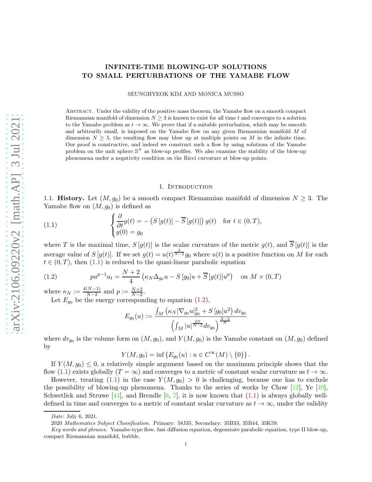# INFINITE-TIME BLOWING-UP SOLUTIONS TO SMALL PERTURBATIONS OF THE YAMABE FLOW

SEUNGHYEOK KIM AND MONICA MUSSO

Abstract. Under the validity of the positive mass theorem, the Yamabe flow on a smooth compact Riemannian manifold of dimension  $N \geq 3$  is known to exist for all time t and converges to a solution to the Yamabe problem as  $t \to \infty$ . We prove that if a suitable perturbation, which may be smooth and arbitrarily small, is imposed on the Yamabe flow on any given Riemannian manifold M of dimension  $N \geq 5$ , the resulting flow may blow up at multiple points on M in the infinite time. Our proof is constructive, and indeed we construct such a flow by using solutions of the Yamabe problem on the unit sphere  $\mathbb{S}^N$  as blow-up profiles. We also examine the stability of the blow-up phenomena under a negativity condition on the Ricci curvature at blow-up points.

#### <span id="page-0-0"></span>1. INTRODUCTION

1.1. **History.** Let  $(M, g_0)$  be a smooth compact Riemannian manifold of dimension  $N \geq 3$ . The Yamabe flow on  $(M, g_0)$  is defined as

(1.1) 
$$
\begin{cases} \frac{\partial}{\partial t} g(t) = -\left(S\left[g(t)\right] - \overline{S}\left[g(t)\right]\right)g(t) & \text{for } t \in (0, T), \\ g(0) = g_0 \end{cases}
$$

where T is the maximal time,  $S[g(t)]$  is the scalar curvature of the metric  $g(t)$ , and  $\overline{S}[g(t)]$  is the average value of  $S[g(t)]$ . If we set  $g(t) = u(t)^{\frac{4}{N-2}}g_0$  where  $u(t)$  is a positive function on M for each  $t \in (0, T)$ , then  $(1.1)$  is reduced to the quasi-linear parabolic equation

<span id="page-0-1"></span>(1.2) 
$$
pu^{p-1}u_t = \frac{N+2}{4} \left(\kappa_N \Delta_{g_0} u - S[g_0]u + \overline{S}[g(t)]u^p\right) \text{ on } M \times (0,T)
$$

where  $\kappa_N := \frac{4(N-1)}{N-2}$  $\frac{(N-1)}{N-2}$  and  $p := \frac{N+2}{N-2}$ .

Let  $E_{g_0}$  be the energy corresponding to equation [\(1.2\)](#page-0-1),

$$
E_{g_0}(u) := \frac{\int_M \left(\kappa_N |\nabla_{g_0} u|_{g_0}^2 + S[g_0]u^2\right) dv_{g_0}}{\left(\int_M |u|^{\frac{2N}{N-2}} dv_{g_0}\right)^{\frac{N-2}{N}}}
$$

where  $dv_{g_0}$  is the volume form on  $(M, g_0)$ , and  $Y(M, g_0)$  is the Yamabe constant on  $(M, g_0)$  defined by

$$
Y(M, g_0) = \inf \{ E_{g_0}(u) : u \in C^{\infty}(M) \setminus \{0\} \}.
$$

If  $Y(M, g_0) \leq 0$ , a relatively simple argument based on the maximum principle shows that the flow [\(1.1\)](#page-0-0) exists globally (T =  $\infty$ ) and converges to a metric of constant scalar curvature as  $t \to \infty$ .

However, treating  $(1.1)$  in the case  $Y(M, g_0) > 0$  is challenging, because one has to exclude the possibility of blowing-up phenomena. Thanks to the series of works by Chow  $[12]$ , Ye  $[49]$ . Schwetlick and Struwe  $[44]$ , and Brendle  $[6, 7]$  $[6, 7]$ , it is now known that  $(1.1)$  is always globally welldefined in time and converges to a metric of constant scalar curvature as  $t \to \infty$ , under the validity

Date: July 6, 2021.

<sup>2020</sup> Mathematics Subject Classification. Primary: 58J35, Secondary: 35B33, 35B44, 35K59.

Key words and phrases. Yamabe-type flow, fast diffusion equation, degenerate parabolic equation, type II blow-up, compact Riemannian manifold, bubble.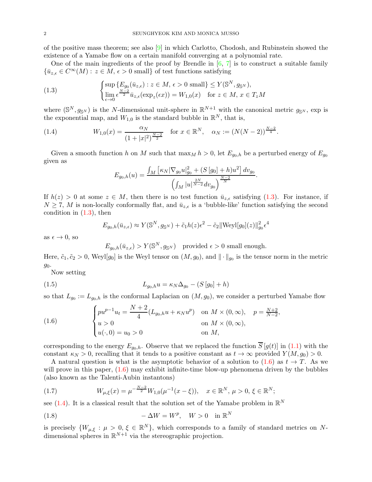of the positive mass theorem; see also [\[9\]](#page-52-3) in which Carlotto, Chodosh, and Rubinstein showed the existence of a Yamabe flow on a certain manifold converging at a polynomial rate.

One of the main ingredients of the proof by Brendle in  $[6, 7]$  $[6, 7]$  is to construct a suitable family  ${\bar{u}}_{z,\epsilon} \in C^{\infty}(M): z \in M, \epsilon > 0$  small of test functions satisfying

<span id="page-1-0"></span>(1.3) 
$$
\begin{cases} \sup \{ E_{g_0}(\bar{u}_{z,\epsilon}) : z \in M, \epsilon > 0 \text{ small} \} \le Y(\mathbb{S}^N, g_{\mathbb{S}^N}), \\ \lim_{\epsilon \to 0} \epsilon^{\frac{N-2}{2}} \bar{u}_{z,\epsilon}(\exp_z(\epsilon x)) = W_{1,0}(x) \quad \text{for } z \in M, x \in T_zM \end{cases}
$$

where  $(\mathbb{S}^N, g_{\mathbb{S}^N})$  is the N-dimensional unit-sphere in  $\mathbb{R}^{N+1}$  with the canonical metric  $g_{\mathbb{S}^N}$ , exp is the exponential map, and  $W_{1,0}$  is the standard bubble in  $\mathbb{R}^N$ , that is,

(1.4) 
$$
W_{1,0}(x) = \frac{\alpha_N}{(1+|x|^2)^{\frac{N-2}{2}}} \text{ for } x \in \mathbb{R}^N, \quad \alpha_N := (N(N-2))^{\frac{N-2}{4}}.
$$

Given a smooth function h on M such that  $\max_M h > 0$ , let  $E_{g_0,h}$  be a perturbed energy of  $E_{g_0}$ given as

<span id="page-1-2"></span>
$$
E_{g_0,h}(u) = \frac{\int_M \left[ \kappa_N |\nabla_{g_0} u|_{g_0}^2 + (S[g_0] + h)u^2 \right] dv_{g_0}}{\left( \int_M |u|^{\frac{2N}{N-2}} dv_{g_0} \right)^{\frac{N-2}{N}}}
$$

.

If  $h(z) > 0$  at some  $z \in M$ , then there is no test function  $\bar{u}_{z,\epsilon}$  satisfying [\(1.3\)](#page-1-0). For instance, if  $N \geq 7$ , M is non-locally conformally flat, and  $\bar{u}_{z,\epsilon}$  is a 'bubble-like' function satisfying the second condition in  $(1.3)$ , then

$$
E_{g_0,h}(\bar{u}_{z,\epsilon}) \approx Y(\mathbb{S}^N, g_{\mathbb{S}^N}) + \tilde{c}_1 h(z) \epsilon^2 - \tilde{c}_2 ||\text{Weyl}[g_0](z)||_{g_0}^2 \epsilon^4
$$

as  $\epsilon \to 0$ , so

<span id="page-1-5"></span> $E_{g_0,h}(\bar{u}_{z,\epsilon}) > Y(\mathbb{S}^N,g_{\mathbb{S}^N})$  provided  $\epsilon > 0$  small enough.

Here,  $\tilde{c}_1, \tilde{c}_2 > 0$ , Weyl[ $g_0$ ] is the Weyl tensor on  $(M, g_0)$ , and  $\|\cdot\|_{g_0}$  is the tensor norm in the metric  $g_0$ .

Now setting

(1.5) 
$$
L_{g_0,h}u = \kappa_N \Delta_{g_0} - (S[g_0] + h)
$$

so that  $L_{g_0} := L_{g_0,h}$  is the conformal Laplacian on  $(M, g_0)$ , we consider a perturbed Yamabe flow

<span id="page-1-1"></span>(1.6) 
$$
\begin{cases} pu^{p-1}u_t = \frac{N+2}{4}(L_{g_0,h}u + \kappa_N u^p) & \text{on } M \times (0,\infty), \quad p = \frac{N+2}{N-2}, \\ u > 0 & \text{on } M \times (0,\infty), \\ u(\cdot,0) = u_0 > 0 & \text{on } M, \end{cases}
$$

corresponding to the energy  $E_{q_0,h}$ . Observe that we replaced the function  $\overline{S}[g(t)]$  in [\(1.1\)](#page-0-0) with the constant  $\kappa_N > 0$ , recalling that it tends to a positive constant as  $t \to \infty$  provided  $Y(M, g_0) > 0$ .

A natural question is what is the asymptotic behavior of a solution to  $(1.6)$  as  $t \to T$ . As we will prove in this paper,  $(1.6)$  may exhibit infinite-time blow-up phenomena driven by the bubbles (also known as the Talenti-Aubin instantons)

<span id="page-1-3"></span>(1.7) 
$$
W_{\mu,\xi}(x) = \mu^{-\frac{N-2}{2}} W_{1,0}(\mu^{-1}(x-\xi)), \quad x \in \mathbb{R}^N, \ \mu > 0, \ \xi \in \mathbb{R}^N;
$$

see [\(1.4\)](#page-1-2). It is a classical result that the solution set of the Yamabe problem in  $\mathbb{R}^N$ 

<span id="page-1-4"></span>(1.8) 
$$
-\Delta W = W^p, \quad W > 0 \quad \text{in } \mathbb{R}^N
$$

is precisely  $\{W_{\mu,\xi} : \mu > 0, \xi \in \mathbb{R}^N\}$ , which corresponds to a family of standard metrics on Ndimensional spheres in  $\mathbb{R}^{N+1}$  via the stereographic projection.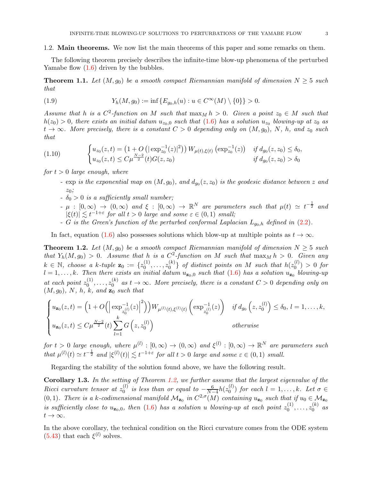### 1.2. Main theorems. We now list the main theorems of this paper and some remarks on them.

The following theorem precisely describes the infinite-time blow-up phenomena of the perturbed Yamabe flow  $(1.6)$  driven by the bubbles.

<span id="page-2-1"></span>**Theorem 1.1.** Let  $(M, g_0)$  be a smooth compact Riemannian manifold of dimension  $N \geq 5$  such that

<span id="page-2-4"></span>(1.9) 
$$
Y_h(M, g_0) := \inf \{ E_{g_0,h}(u) : u \in C^{\infty}(M) \setminus \{0\} \} > 0.
$$

Assume that h is a  $C^2$ -function on M such that  $\max_M h > 0$ . Given a point  $z_0 \in M$  such that  $h(z_0) > 0$ , there exists an initial datum  $u_{z_0,0}$  such that  $(1.6)$  has a solution  $u_{z_0}$  blowing-up at  $z_0$  as  $t \to \infty$ . More precisely, there is a constant  $C > 0$  depending only on  $(M, g_0)$ , N, h, and  $z_0$  such that

$$
(1.10) \qquad \begin{cases} u_{z_0}(z,t) = \left(1 + O\left(|\exp_{z_0}^{-1}(z)|^2\right)\right) W_{\mu(t),\xi(t)} \left(\exp_{z_0}^{-1}(z)\right) & \text{if } d_{g_0}(z,z_0) \le \delta_0, \\ u_{z_0}(z,t) \le C\mu^{\frac{N-2}{2}}(t) G(z,z_0) & \text{if } d_{g_0}(z,z_0) > \delta_0 \end{cases}
$$

for  $t > 0$  large enough, where

- <span id="page-2-3"></span>-  $\exp$  is the exponential map on  $(M, g_0),$  and  $d_{g_0}(z, z_0)$  is the geodesic distance between  $z$  and  $z_0$ ;
- $\delta_0 > 0$  is a sufficiently small number;
- $-\mu : [0,\infty) \to (0,\infty)$  and  $\xi : [0,\infty) \to \mathbb{R}^N$  are parameters such that  $\mu(t) \simeq t^{-\frac{1}{2}}$  and  $|\xi(t)| \lesssim t^{-1+\varepsilon}$  for all  $t > 0$  large and some  $\varepsilon \in (0,1)$  small;
- G is the Green's function of the perturbed conformal Laplacian  $L_{q_0,h}$  defined in [\(2.2\)](#page-8-0).

In fact, equation [\(1.6\)](#page-1-1) also possesses solutions which blow-up at multiple points as  $t \to \infty$ .

<span id="page-2-0"></span>**Theorem 1.2.** Let  $(M, g_0)$  be a smooth compact Riemannian manifold of dimension  $N \geq 5$  such that  $Y_h(M, g_0) > 0$ . Assume that h is a  $C^2$ -function on M such that  $\max_M h > 0$ . Given any  $k \in \mathbb{N}$ , choose a k-tuple  $\mathbf{z}_0 := \{z_0^{(1)}\}$  $z_0^{(1)}, \ldots, z_0^{(k)}$  $\binom{k}{0}$  of distinct points on M such that  $h(z_0^{(l)})$  $\binom{0}{0} > 0$  for  $l = 1, \ldots, k$ . Then there exists an initial datum  $u_{\mathbf{z}_0,0}$  such that  $(1.6)$  has a solution  $u_{\mathbf{z}_0}$  blowing-up at each point  $z_0^{(1)}$  $z_0^{(1)}, \ldots, z_0^{(k)}$  $\alpha_0^{(k)}$  as  $t \to \infty$ . More precisely, there is a constant  $C > 0$  depending only on  $(M, g_0)$ , N, h, k, and  $\mathbf{z}_0$  such that

$$
\begin{cases} u_{\mathbf{z}_0}(z,t) = \left(1 + O\Big(\Big|\exp_{z_0^{(1)}}^{-1}(z)\Big|^2\Big)\right) W_{\mu^{(1)}(t),\xi^{(1)}(t)}\left(\exp_{z_0^{(1)}}^{-1}(z)\right) & \text{if } d_{g_0}\left(z,z_0^{(l)}\right) \le \delta_0, \ l = 1,\ldots,k, \\ u_{\mathbf{z}_0}(z,t) \le C\mu^{\frac{N-2}{2}}(t) \sum_{l=1}^k G\left(z,z_0^{(l)}\right) & \text{otherwise} \end{cases}
$$

for  $t > 0$  large enough, where  $\mu^{(l)} : [0, \infty) \to (0, \infty)$  and  $\xi^{(l)} : [0, \infty) \to \mathbb{R}^N$  are parameters such that  $\mu^{(l)}(t) \simeq t^{-\frac{1}{2}}$  and  $|\xi^{(l)}(t)| \lesssim t^{-1+\varepsilon}$  for all  $t > 0$  large and some  $\varepsilon \in (0,1)$  small.

Regarding the stability of the solution found above, we have the following result.

<span id="page-2-2"></span>**Corollary 1.3.** In the setting of Theorem [1.2,](#page-2-0) we further assume that the largest eigenvalue of the Ricci curvature tensor at  $z_0^{(l)}$  $\frac{d}{d}$  is less than or equal to  $-\frac{6}{N-1}$  $\frac{6}{N-4}h(z_0^{(l)}$  $\binom{0}{0}$  for each  $l = 1, \ldots, k$ . Let  $\sigma \in$ (0, 1). There is a k-codimensional manifold  $\mathcal{M}_{\mathbf{z}_0}$  in  $C^{2,\sigma}(M)$  containing  $u_{\mathbf{z}_0}$  such that if  $u_0 \in \mathcal{M}_{\mathbf{z}_0}$ is sufficiently close to  $u_{\mathbf{z}_0,0}$ , then  $(1.6)$  has a solution u blowing-up at each point  $z_0^{(1)}$  $z_0^{(1)}, \ldots, z_0^{(k)}$  $\int_0^{(\kappa)}$  as  $t\to\infty$ .

In the above corollary, the technical condition on the Ricci curvature comes from the ODE system  $(5.43)$  that each  $\xi^{(l)}$  solves.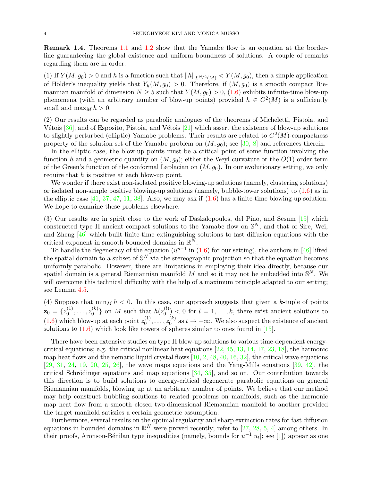<span id="page-3-0"></span>Remark 1.4. Theorems [1.1](#page-2-1) and [1.2](#page-2-0) show that the Yamabe flow is an equation at the borderline guaranteeing the global existence and uniform boundness of solutions. A couple of remarks regarding them are in order.

(1) If  $Y(M, g_0) > 0$  and h is a function such that  $||h||_{L^{N/2}(M)} < Y(M, g_0)$ , then a simple application of Hölder's inequality yields that  $Y_h(M, g_0) > 0$ . Therefore, if  $(M, g_0)$  is a smooth compact Riemannian manifold of dimension  $N \ge 5$  such that  $Y(M, g_0) > 0$ , [\(1.6\)](#page-1-1) exhibits infinite-time blow-up phenomena (with an arbitrary number of blow-up points) provided  $h \in C^2(M)$  is a sufficiently small and  $\max_M h > 0$ .

(2) Our results can be regarded as parabolic analogues of the theorems of Micheletti, Pistoia, and Vétois  $[36]$ , and of Esposito, Pistoia, and Vétois  $[21]$  which assert the existence of blow-up solutions to slightly perturbed (elliptic) Yamabe problems. Their results are related to  $C^2(M)$ -compactness property of the solution set of the Yamabe problem on  $(M, g_0)$ ; see [\[30,](#page-53-3) [8\]](#page-52-5) and references therein.

In the elliptic case, the blow-up points must be a critical point of some function involving the function h and a geometric quantity on  $(M, g_0)$ ; either the Weyl curvature or the  $O(1)$ -order term of the Green's function of the conformal Laplacian on  $(M, g_0)$ . In our evolutionary setting, we only require that h is positive at each blow-up point.

We wonder if there exist non-isolated positive blowing-up solutions (namely, clustering solutions) or isolated non-simple positive blowing-up solutions (namely, bubble-tower solutions) to  $(1.6)$  as in the elliptic case  $[41, 37, 47, 11, 38]$  $[41, 37, 47, 11, 38]$  $[41, 37, 47, 11, 38]$  $[41, 37, 47, 11, 38]$  $[41, 37, 47, 11, 38]$  $[41, 37, 47, 11, 38]$  $[41, 37, 47, 11, 38]$  $[41, 37, 47, 11, 38]$ . Also, we may ask if  $(1.6)$  has a finite-time blowing-up solution. We hope to examine these problems elsewhere.

(3) Our results are in spirit close to the work of Daskalopoulos, del Pino, and Sesum [\[15\]](#page-52-7) which constructed type II ancient compact solutions to the Yamabe flow on  $\mathbb{S}^N$ , and that of Sire, Wei, and Zheng [\[46\]](#page-53-8) which built finite-time extinguishing solutions to fast diffusion equations with the critical exponent in smooth bounded domains in  $\mathbb{R}^N$ .

To handle the degeneracy of the equation  $(u^{p-1}$  in  $(1.6)$  for our setting), the authors in [\[46\]](#page-53-8) lifted the spatial domain to a subset of  $\mathbb{S}^N$  via the stereographic projection so that the equation becomes uniformly parabolic. However, there are limitations in employing their idea directly, because our spatial domain is a general Riemannian manifold M and so it may not be embedded into  $\mathbb{S}^N$ . We will overcome this technical difficulty with the help of a maximum principle adapted to our setting; see Lemma [4.5.](#page-24-0)

(4) Suppose that  $\min_M h < 0$ . In this case, our approach suggests that given a k-tuple of points  $z_0 = \{z_0^{(1)}\}$  $z_0^{(1)}, \ldots, z_0^{(k)}$  $\binom{k}{0}$  on M such that  $h(z_0^{(l)})$  $\binom{0}{0}$  < 0 for  $l = 1, \ldots, k$ , there exist ancient solutions to  $(1.6)$  which blow-up at each point  $z_0^{(1)}$  $z_0^{(1)}, \ldots, z_0^{(k)}$  $\alpha_0^{(k)}$  as  $t \to -\infty$ . We also suspect the existence of ancient solutions to  $(1.6)$  which look like towers of spheres similar to ones found in  $[15]$ .

There have been extensive studies on type II blow-up solutions to various time-dependent energycritical equations; e.g. the critical nonlinear heat equations  $[22, 45, 13, 14, 17, 23, 18]$  $[22, 45, 13, 14, 17, 23, 18]$  $[22, 45, 13, 14, 17, 23, 18]$  $[22, 45, 13, 14, 17, 23, 18]$  $[22, 45, 13, 14, 17, 23, 18]$  $[22, 45, 13, 14, 17, 23, 18]$  $[22, 45, 13, 14, 17, 23, 18]$  $[22, 45, 13, 14, 17, 23, 18]$  $[22, 45, 13, 14, 17, 23, 18]$  $[22, 45, 13, 14, 17, 23, 18]$  $[22, 45, 13, 14, 17, 23, 18]$  $[22, 45, 13, 14, 17, 23, 18]$ , the harmonic map heat flows and the nematic liquid crystal flows  $[10, 2, 48, 40, 16, 32]$  $[10, 2, 48, 40, 16, 32]$  $[10, 2, 48, 40, 16, 32]$  $[10, 2, 48, 40, 16, 32]$  $[10, 2, 48, 40, 16, 32]$  $[10, 2, 48, 40, 16, 32]$  $[10, 2, 48, 40, 16, 32]$  $[10, 2, 48, 40, 16, 32]$  $[10, 2, 48, 40, 16, 32]$  $[10, 2, 48, 40, 16, 32]$ , the critical wave equations  $[29, 31, 24, 19, 20, 25, 26]$  $[29, 31, 24, 19, 20, 25, 26]$  $[29, 31, 24, 19, 20, 25, 26]$  $[29, 31, 24, 19, 20, 25, 26]$  $[29, 31, 24, 19, 20, 25, 26]$  $[29, 31, 24, 19, 20, 25, 26]$  $[29, 31, 24, 19, 20, 25, 26]$  $[29, 31, 24, 19, 20, 25, 26]$  $[29, 31, 24, 19, 20, 25, 26]$  $[29, 31, 24, 19, 20, 25, 26]$  $[29, 31, 24, 19, 20, 25, 26]$  $[29, 31, 24, 19, 20, 25, 26]$  $[29, 31, 24, 19, 20, 25, 26]$ , the wave maps equations and the Yang-Mills equations  $[39, 42]$  $[39, 42]$ , the critical Schrödinger equations and map equations  $[34, 35]$  $[34, 35]$ , and so on. Our contribution towards this direction is to build solutions to energy-critical degenerate parabolic equations on general Riemannian manifolds, blowing up at an arbitrary number of points. We believe that our method may help construct bubbling solutions to related problems on manifolds, such as the harmonic map heat flow from a smooth closed two-dimensional Riemannian manifold to another provided the target manifold satisfies a certain geometric assumption.

Furthermore, several results on the optimal regularity and sharp extinction rates for fast diffusion equations in bounded domains in  $\mathbb{R}^N$  were proved recently; refer to [\[27,](#page-53-20) [28,](#page-53-21) [5,](#page-52-21) [4\]](#page-52-22) among others. In their proofs, Aronson-Bénilan type inequalities (namely, bounds for  $u^{-1}|u_t|$ ; see [\[1\]](#page-52-23)) appear as one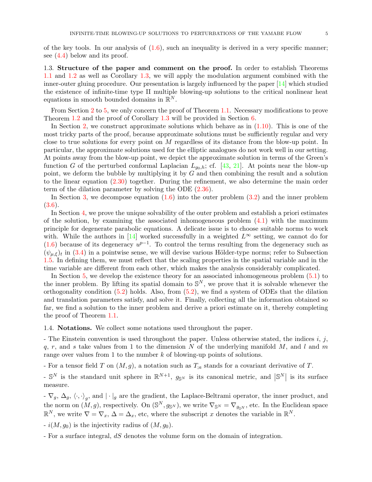of the key tools. In our analysis of  $(1.6)$ , such an inequality is derived in a very specific manner; see [\(4.4\)](#page-19-0) below and its proof.

1.3. Structure of the paper and comment on the proof. In order to establish Theorems [1.1](#page-2-1) and [1.2](#page-2-0) as well as Corollary [1.3,](#page-2-2) we will apply the modulation argument combined with the inner-outer gluing procedure. Our presentation is largely influenced by the paper [\[14\]](#page-52-10) which studied the existence of infinite-time type II multiple blowing-up solutions to the critical nonlinear heat equations in smooth bounded domains in  $\mathbb{R}^N$ .

From Section [2](#page-8-1) to [5,](#page-36-0) we only concern the proof of Theorem [1.1.](#page-2-1) Necessary modifications to prove Theorem [1.2](#page-2-0) and the proof of Corollary [1.3](#page-2-2) will be provided in Section [6.](#page-49-0)

In Section [2,](#page-8-1) we construct approximate solutions which behave as in [\(1.10\)](#page-2-3). This is one of the most tricky parts of the proof, because approximate solutions must be sufficiently regular and very close to true solutions for every point on M regardless of its distance from the blow-up point. In particular, the approximate solutions used for the elliptic analogues do not work well in our setting. At points away from the blow-up point, we depict the approximate solution in terms of the Green's function G of the perturbed conformal Laplacian  $L_{q_0,h}$ ; cf. [\[43,](#page-53-22) [21\]](#page-52-4). At points near the blow-up point, we deform the bubble by multiplying it by  $G$  and then combining the result and a solution to the linear equation  $(2.30)$  together. During the refinement, we also determine the main order term of the dilation parameter by solving the ODE [\(2.36\)](#page-14-0).

In Section [3,](#page-17-0) we decompose equation  $(1.6)$  into the outer problem  $(3.2)$  and the inner problem [\(3.6\)](#page-18-0).

In Section [4,](#page-18-1) we prove the unique solvability of the outer problem and establish a priori estimates of the solution, by examining the associated inhomogeneous problem  $(4.1)$  with the maximum principle for degenerate parabolic equations. A delicate issue is to choose suitable norms to work with. While the authors in [\[14\]](#page-52-10) worked successfully in a weighted  $L^{\infty}$  setting, we cannot do for [\(1.6\)](#page-1-1) because of its degeneracy  $u^{p-1}$ . To control the terms resulting from the degeneracy such as  $(\psi_{\mu,\xi})_t$  in [\(3.4\)](#page-17-2) in a pointwise sense, we will devise various Hölder-type norms; refer to Subsection [1.5.](#page-5-0) In defining them, we must reflect that the scaling properties in the spatial variable and in the time variable are different from each other, which makes the analysis considerably complicated.

In Section [5,](#page-36-0) we develop the existence theory for an associated inhomogeneous problem [\(5.1\)](#page-36-1) to the inner problem. By lifting its spatial domain to  $\mathbb{S}^N$ , we prove that it is solvable whenever the orthogonality condition  $(5.2)$  holds. Also, from  $(5.2)$ , we find a system of ODEs that the dilation and translation parameters satisfy, and solve it. Finally, collecting all the information obtained so far, we find a solution to the inner problem and derive a priori estimate on it, thereby completing the proof of Theorem [1.1.](#page-2-1)

1.4. Notations. We collect some notations used throughout the paper.

- The Einstein convention is used throughout the paper. Unless otherwise stated, the indices  $i, j$ , q, r, and s take values from 1 to the dimension N of the underlying manifold M, and l and m range over values from 1 to the number  $k$  of blowing-up points of solutions.

- For a tensor field T on  $(M, g)$ , a notation such as  $T_{;a}$  stands for a covariant derivative of T.

 $\mathbb{S}^N$  is the standard unit sphere in  $\mathbb{R}^{N+1}$ ,  $g_{\mathbb{S}^N}$  is its canonical metric, and  $|\mathbb{S}^N|$  is its surface measure.

 $-\nabla_g$ ,  $\Delta_g$ ,  $\langle \cdot, \cdot \rangle_g$ , and  $|\cdot|_g$  are the gradient, the Laplace-Beltrami operator, the inner product, and the norm on  $(M, g)$ , respectively. On  $(\mathbb{S}^N, g_{\mathbb{S}^N})$ , we write  $\nabla_{\mathbb{S}^N} = \nabla_{g_{\mathbb{S}^N}}$ , etc. In the Euclidean space  $\mathbb{R}^N$ , we write  $\nabla = \nabla_x$ ,  $\Delta = \Delta_x$ , etc, where the subscript x denotes the variable in  $\mathbb{R}^N$ .

 $- i(M, g_0)$  is the injectivity radius of  $(M, g_0)$ .

- For a surface integral, dS denotes the volume form on the domain of integration.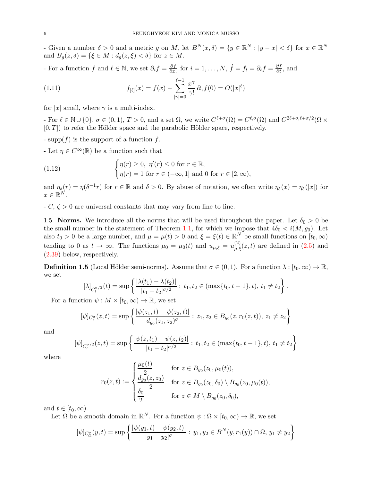- Given a number  $\delta > 0$  and a metric g on M, let  $B^N(x, \delta) = \{y \in \mathbb{R}^N : |y - x| < \delta\}$  for  $x \in \mathbb{R}^N$ and  $B_g(z,\delta) = \{\xi \in M : d_g(z,\xi) < \delta\}$  for  $z \in M$ .

- For a function f and  $\ell \in \mathbb{N}$ , we set  $\partial_i f = \frac{\partial f}{\partial x}$  $\frac{\partial f}{\partial x_i}$  for  $i = 1, \ldots, N$ ,  $\dot{f} = f_t = \partial_t f = \frac{\partial f}{\partial t}$ , and

<span id="page-5-2"></span>(1.11) 
$$
f_{[\ell]}(x) = f(x) - \sum_{|\gamma|=0}^{\ell-1} \frac{x^{\gamma}}{\gamma!} \partial_{\gamma} f(0) = O(|x|^{\ell})
$$

for |x| small, where  $\gamma$  is a multi-index.

- For  $\ell \in \mathbb{N} \cup \{0\}$ ,  $\sigma \in (0, 1)$ ,  $T > 0$ , and a set  $\Omega$ , we write  $C^{\ell+\sigma}(\Omega) = C^{\ell, \sigma}(\Omega)$  and  $C^{2\ell+\sigma, \ell+\sigma/2}(\Omega \times$  $[0, T]$  to refer the Hölder space and the parabolic Hölder space, respectively.

- supp $(f)$  is the support of a function f.

- Let  $\eta \in C^{\infty}(\mathbb{R})$  be a function such that

<span id="page-5-1"></span>(1.12) 
$$
\begin{cases} \eta(r) \ge 0, \ \eta'(r) \le 0 \text{ for } r \in \mathbb{R}, \\ \eta(r) = 1 \text{ for } r \in (-\infty, 1] \text{ and } 0 \text{ for } r \in [2, \infty), \end{cases}
$$

and  $\eta_{\delta}(r) = \eta(\delta^{-1}r)$  for  $r \in \mathbb{R}$  and  $\delta > 0$ . By abuse of notation, we often write  $\eta_{\delta}(x) = \eta_{\delta}(x)$  for  $x \in \mathbb{R}^N$ .

<span id="page-5-0"></span> $-C, \zeta > 0$  are universal constants that may vary from line to line.

1.5. Norms. We introduce all the norms that will be used throughout the paper. Let  $\delta_0 > 0$  be the small number in the statement of Theorem [1.1,](#page-2-1) for which we impose that  $4\delta_0 < i(M, g_0)$ . Let also  $t_0 > 0$  be a large number, and  $\mu = \mu(t) > 0$  and  $\xi = \xi(t) \in \mathbb{R}^N$  be small functions on  $[t_0, \infty)$ tending to 0 as  $t \to \infty$ . The functions  $\mu_0 = \mu_0(t)$  and  $u_{\mu,\xi} = u_{\mu,\xi}^{(2)}(z,t)$  are defined in  $(2.5)$  and [\(2.39\)](#page-15-0) below, respectively.

<span id="page-5-3"></span>**Definition 1.5** (Local Hölder semi-norms). Assume that  $\sigma \in (0,1)$ . For a function  $\lambda : [t_0,\infty) \to \mathbb{R}$ , we set

$$
[\lambda]_{C_t^{\sigma/2}}(t) = \sup \left\{ \frac{|\lambda(t_1) - \lambda(t_2)|}{|t_1 - t_2|^{\sigma/2}} : t_1, t_2 \in (\max\{t_0, t - 1\}, t), t_1 \neq t_2 \right\}.
$$

For a function  $\psi : M \times [t_0, \infty) \to \mathbb{R}$ , we set

$$
[\psi]_{C_2^{\sigma}}(z,t) = \sup \left\{ \frac{|\psi(z_1,t) - \psi(z_2,t)|}{d_{g_0}(z_1,z_2)^{\sigma}} : z_1, z_2 \in B_{g_0}(z,r_0(z,t)), z_1 \neq z_2 \right\}
$$

and

$$
[\psi]_{C_t^{\sigma/2}}(z,t) = \sup \left\{ \frac{|\psi(z,t_1) - \psi(z,t_2)|}{|t_1 - t_2|^{\sigma/2}} : t_1, t_2 \in (\max\{t_0, t-1\}, t), t_1 \neq t_2 \right\}
$$

where

$$
r_0(z,t) := \begin{cases} \frac{\mu_0(t)}{2} & \text{for } z \in B_{g_0}(z_0, \mu_0(t)),\\ \frac{d_{g_0}(z, z_0)}{2} & \text{for } z \in B_{g_0}(z_0, \delta_0) \setminus B_{g_0}(z_0, \mu_0(t)),\\ \frac{\delta_0}{2} & \text{for } z \in M \setminus B_{g_0}(z_0, \delta_0), \end{cases}
$$

and  $t \in [t_0, \infty)$ .

Let  $\Omega$  be a smooth domain in  $\mathbb{R}^N$ . For a function  $\psi : \Omega \times [t_0, \infty) \to \mathbb{R}$ , we set

$$
[\psi]_{C_{\Omega}^{\sigma}}(y,t) = \sup \left\{ \frac{|\psi(y_1,t) - \psi(y_2,t)|}{|y_1 - y_2|^{\sigma}} : y_1, y_2 \in B^N(y,r_1(y)) \cap \Omega, y_1 \neq y_2 \right\}
$$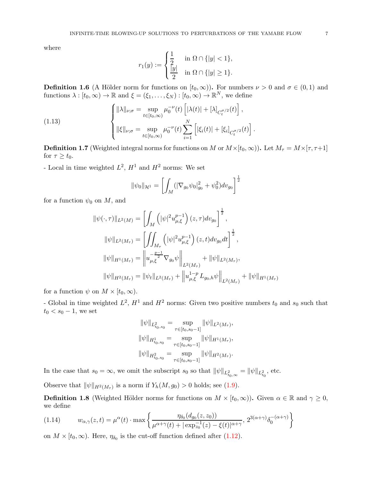where

$$
r_1(y) := \begin{cases} \frac{1}{2} & \text{in } \Omega \cap \{|y| < 1\}, \\ \frac{|y|}{2} & \text{in } \Omega \cap \{|y| \ge 1\}. \end{cases}
$$

<span id="page-6-3"></span>**Definition 1.6** (A Hölder norm for functions on  $[t_0, \infty)$ ). For numbers  $\nu > 0$  and  $\sigma \in (0, 1)$  and functions  $\lambda : [t_0, \infty) \to \mathbb{R}$  and  $\xi = (\xi_1, \dots, \xi_N) : [t_0, \infty) \to \mathbb{R}^N$ , we define

(1.13) 
$$
\begin{cases} \|\lambda\|_{\nu;\sigma} = \sup_{t \in [t_0,\infty)} \mu_0^{-\nu}(t) \left[ |\lambda(t)| + [\lambda]_{C_t^{\sigma/2}}(t) \right], \\ \|\xi\|_{\nu;\sigma} = \sup_{t \in [t_0,\infty)} \mu_0^{-\nu}(t) \sum_{i=1}^N \left[ |\xi_i(t)| + [\xi_i]_{C_t^{\sigma/2}}(t) \right]. \end{cases}
$$

<span id="page-6-1"></span>**Definition 1.7** (Weighted integral norms for functions on M or  $M \times [t_0, \infty)$ ). Let  $M_\tau = M \times [\tau, \tau+1]$ for  $\tau \geq t_0$ .

- Local in time weighted  $L^2$ ,  $H^1$  and  $H^2$  norms: We set

<span id="page-6-0"></span>
$$
\|\psi_0\|_{\mathcal{H}^1} = \left[\int_M (|\nabla_{g_0}\psi_0|_{g_0}^2 + \psi_0^2) dv_{g_0}\right]^{\frac{1}{2}}
$$

for a function  $\psi_0$  on M, and

$$
\|\psi(\cdot,\tau)\|_{L^{2}(M)} = \left[\int_{M} \left(|\psi|^{2} u_{\mu,\xi}^{p-1}\right)(z,\tau) dv_{g_{0}}\right]^{\frac{1}{2}},
$$
  

$$
\|\psi\|_{L^{2}(M_{\tau})} = \left[\int_{M_{\tau}} \left(|\psi|^{2} u_{\mu,\xi}^{p-1}\right)(z,t) dv_{g_{0}} dt\right]^{\frac{1}{2}},
$$
  

$$
\|\psi\|_{H^{1}(M_{\tau})} = \left\|u_{\mu,\xi}^{-\frac{p-1}{2}} \nabla_{g_{0}} \psi\right\|_{L^{2}(M_{\tau})} + \|\psi\|_{L^{2}(M_{\tau})},
$$
  

$$
\|\psi\|_{H^{2}(M_{\tau})} = \|\psi_{t}\|_{L^{2}(M_{\tau})} + \left\|u_{\mu,\xi}^{1-p} L_{g_{0},h} \psi\right\|_{L^{2}(M_{\tau})} + \|\psi\|_{H^{1}(M_{\tau})}
$$

for a function  $\psi$  on  $M \times [t_0, \infty)$ .

- Global in time weighted  $L^2$ ,  $H^1$  and  $H^2$  norms: Given two positive numbers  $t_0$  and  $s_0$  such that  $t_0 < s_0 - 1$ , we set

$$
\|\psi\|_{L^2_{t_0,s_0}} = \sup_{\tau \in [t_0,s_0-1]} \|\psi\|_{L^2(M_\tau)},
$$
  

$$
\|\psi\|_{H^1_{t_0,s_0}} = \sup_{\tau \in [t_0,s_0-1]} \|\psi\|_{H^1(M_\tau)},
$$
  

$$
\|\psi\|_{H^2_{t_0,s_0}} = \sup_{\tau \in [t_0,s_0-1]} \|\psi\|_{H^2(M_\tau)}.
$$

In the case that  $s_0 = \infty$ , we omit the subscript  $s_0$  so that  $\|\psi\|_{L^2_{t_0,\infty}} = \|\psi\|_{L^2_{t_0}},$  etc.

Observe that  $\|\psi\|_{H^2(M_\tau)}$  is a norm if  $Y_h(M, g_0) > 0$  holds; see [\(1.9\)](#page-2-4).

<span id="page-6-2"></span>**Definition 1.8** (Weighted Hölder norms for functions on  $M \times [t_0, \infty)$ ). Given  $\alpha \in \mathbb{R}$  and  $\gamma \ge 0$ , we define

<span id="page-6-4"></span>
$$
(1.14) \t w_{\alpha,\gamma}(z,t) = \mu^{\alpha}(t) \cdot \max\left\{ \frac{\eta_{\delta_0}(d_{g_0}(z,z_0))}{\mu^{\alpha+\gamma}(t) + |\exp_{z_0}^{-1}(z) - \xi(t)|^{\alpha+\gamma}}, 2^{3(\alpha+\gamma)}\delta_0^{-(\alpha+\gamma)} \right\}
$$

on  $M \times [t_0, \infty)$ . Here,  $\eta_{\delta_0}$  is the cut-off function defined after [\(1.12\)](#page-5-1).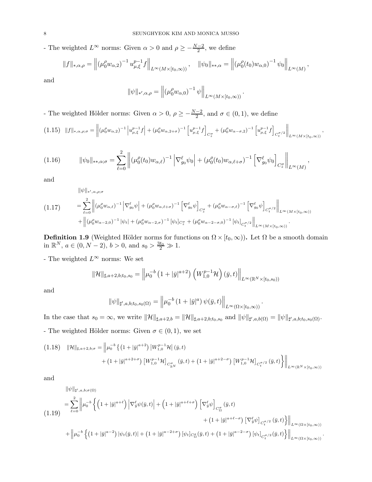- The weighted  $L^{\infty}$  norms: Given  $\alpha > 0$  and  $\rho \geq -\frac{N-2}{2}$ , we define

$$
||f||_{*,\alpha,\rho} = \left\| (\mu_0^{\rho} w_{\alpha,2})^{-1} u_{\mu,\xi}^{p-1} f \right\|_{L^{\infty}(M \times [t_0,\infty))}, \quad ||\psi_0||_{*,\alpha} = \left\| (\mu_0^{\rho}(t_0) w_{\alpha,0})^{-1} \psi_0 \right\|_{L^{\infty}(M)},
$$

and

$$
\|\psi\|_{*,\alpha,\rho} = \left\| \left(\mu_0^{\rho} w_{\alpha,0}\right)^{-1} \psi \right\|_{L^{\infty}(M \times [t_0,\infty))}
$$

.

.

.

- The weighted Hölder norms: Given  $\alpha > 0$ ,  $\rho \ge -\frac{N-2}{2}$ , and  $\sigma \in (0,1)$ , we define

<span id="page-7-3"></span>
$$
(1.15)\quad \|f\|_{*,\alpha,\rho;\sigma} = \left\| (\mu_0^{\rho} w_{\alpha,2})^{-1} \left| u_{\mu,\xi}^{p-1} f \right| + (\mu_0^{\rho} w_{\alpha,2+\sigma})^{-1} \left[ u_{\mu,\xi}^{p-1} f \right]_{C_z^{\sigma}} + (\mu_0^{\rho} w_{\alpha-\sigma,2})^{-1} \left[ u_{\mu,\xi}^{p-1} f \right]_{C_t^{\sigma/2}} \right\|_{L^{\infty}(M \times [t_0,\infty))},
$$

<span id="page-7-1"></span>
$$
(1.16) \t\t ||\psi_0||_{**,\alpha;\sigma} = \sum_{\ell=0}^2 \left\| (\mu_0^{\rho}(t_0)w_{\alpha,\ell})^{-1} \left| \nabla_{g_0}^{\ell} \psi_0 \right| + (\mu_0^{\rho}(t_0)w_{\alpha,\ell+\sigma})^{-1} \left[ \nabla_{g_0}^{\ell} \psi_0 \right]_{C_z^{\sigma}} \right\|_{L^{\infty}(M)},
$$

and

<span id="page-7-2"></span>
$$
(1.17) \qquad \begin{aligned} \|\psi\|_{*',\alpha,\rho;\sigma} \\ &= \sum_{\ell=0}^2 \left\| (\mu_0^{\rho} w_{\alpha,\ell})^{-1} \left| \nabla_{g_0}^{\ell} \psi \right| + (\mu_0^{\rho} w_{\alpha,\ell+\sigma})^{-1} \left[ \nabla_{g_0}^{\ell} \psi \right]_{C_2^{\sigma}} + (\mu_0^{\rho} w_{\alpha-\sigma,\ell})^{-1} \left[ \nabla_{g_0}^{\ell} \psi \right]_{C_1^{\sigma/2}} \right\|_{L^{\infty}(M \times [t_0,\infty))} \\ &+ \left\| (\mu_0^{\rho} w_{\alpha-2,0})^{-1} |\psi_t| + (\mu_0^{\rho} w_{\alpha-2,\sigma})^{-1} [\psi_t]_{C_2^{\sigma}} + (\mu_0^{\rho} w_{\alpha-2-\sigma,0})^{-1} [\psi_t]_{C_t^{\sigma/2}} \right\|_{L^{\infty}(M \times [t_0,\infty))} .\end{aligned}
$$

<span id="page-7-4"></span>**Definition 1.9** (Weighted Hölder norms for functions on  $\Omega \times [t_0, \infty)$ ). Let  $\Omega$  be a smooth domain in  $\mathbb{R}^N$ ,  $a \in (0, N - 2)$ ,  $b > 0$ , and  $s_0 > \frac{3t_0}{2} \gg 1$ .

- The weighted  $L^\infty$  norms: We set

$$
\|\mathcal{H}\|_{\sharp,a+2,b;t_0,s_0} = \left\|\mu_0^{-b}\left(1+|\bar{y}|^{a+2}\right)\left(W_{1,0}^{p-1}\mathcal{H}\right)(\bar{y},t)\right\|_{L^{\infty}(\mathbb{R}^N\times[t_0,s_0))}
$$

and

$$
\|\psi\|_{\sharp',a,b;t_0,s_0(\Omega)} = \left\|\mu_0^{-b} \left(1 + |\bar{y}|^a\right) \psi(\bar{y},t)\right\|_{L^\infty(\Omega \times [t_0,\infty))}
$$

In the case that  $s_0 = \infty$ , we write  $\|\mathcal{H}\|_{\sharp,a+2,b} = \|\mathcal{H}\|_{\sharp,a+2,b;t_0,s_0}$  and  $\|\psi\|_{\sharp',a,b(\Omega)} = \|\psi\|_{\sharp',a,b;t_0,s_0(\Omega)}$ . - The weighted Hölder norms: Given  $\sigma \in (0,1)$ , we set

<span id="page-7-5"></span>
$$
(1.18) \quad \|\mathcal{H}\|_{\sharp,a+2,b;\sigma} = \left\|\mu_0^{-b}\left\{\left(1+|\bar{y}|^{a+2}\right)|W_{1,0}^{p-1}\mathcal{H}|(\bar{y},t)\right.\right.\left.+\left(1+|\bar{y}|^{a+2+\sigma}\right)[W_{1,0}^{p-1}\mathcal{H}]_{C_{\mathbb{R}^N}^{\sigma}}(\bar{y},t) + \left(1+|\bar{y}|^{a+2-\sigma}\right)[W_{1,0}^{p-1}\mathcal{H}]_{C_{\xi}^{\sigma/2}}(\bar{y},t)\right\}\right\|_{L^{\infty}(\mathbb{R}^N\times[t_0,\infty))}
$$

and

<span id="page-7-0"></span> $\|\psi\|_{\sharp',a,b;\sigma(\Omega)}$ 

$$
(1.19) \begin{aligned} = \sum_{\ell=0}^{2} \left\| \mu_0^{-b} \left\{ \left( 1 + |\bar{y}|^{a+\ell} \right) \left| \nabla_{\bar{y}}^{\ell} \psi(\bar{y}, t) \right| + \left( 1 + |\bar{y}|^{a+\ell+\sigma} \right) \left[ \nabla_{\bar{y}}^{\ell} \psi \right]_{C_{\Omega}^{\sigma}} (\bar{y}, t) \right. \right. \\ \left. + \left. \left( 1 + |\bar{y}|^{a+\ell-\sigma} \right) \left[ \nabla_{\bar{y}}^{\ell} \psi \right]_{C_{t}^{\sigma/2}} (\bar{y}, t) \right\} \right\|_{L^{\infty}(\Omega \times [t_0, \infty))} \\ + \left\| \mu_0^{-b} \left\{ \left( 1 + |\bar{y}|^{a-2} \right) \left| \psi_t(\bar{y}, t) \right| + \left( 1 + |\bar{y}|^{a-2+\sigma} \right) \left[ \psi_t \right]_{C_{\Omega}^{\sigma}} (\bar{y}, t) + \left( 1 + |\bar{y}|^{a-2-\sigma} \right) \left[ \psi_t \right]_{C_{t}^{\sigma/2}} (\bar{y}, t) \right\} \right\|_{L^{\infty}(\Omega \times [t_0, \infty))} \end{aligned}
$$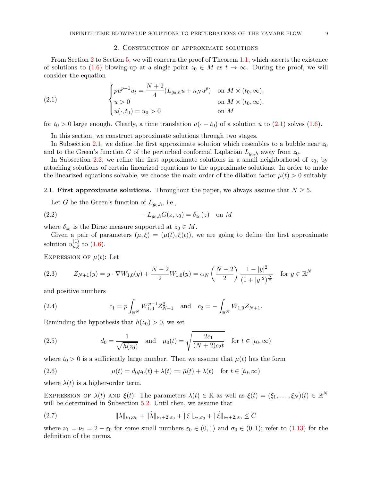### <span id="page-8-3"></span>2. Construction of approximate solutions

<span id="page-8-1"></span>From Section [2](#page-8-1) to Section [5,](#page-36-0) we will concern the proof of Theorem [1.1,](#page-2-1) which asserts the existence of solutions to [\(1.6\)](#page-1-1) blowing-up at a single point  $z_0 \in M$  as  $t \to \infty$ . During the proof, we will consider the equation

(2.1) 
$$
\begin{cases} pu^{p-1}u_t = \frac{N+2}{4}(L_{g_0,h}u + \kappa_N u^p) & \text{on } M \times (t_0, \infty), \\ u > 0 & \text{on } M \times (t_0, \infty), \\ u(\cdot, t_0) = u_0 > 0 & \text{on } M \end{cases}
$$

for  $t_0 > 0$  large enough. Clearly, a time translation  $u(-t_0)$  of a solution u to [\(2.1\)](#page-8-3) solves [\(1.6\)](#page-1-1).

In this section, we construct approximate solutions through two stages.

In Subsection [2.1,](#page-8-4) we define the first approximate solution which resembles to a bubble near  $z_0$ and to the Green's function G of the perturbed conformal Laplacian  $L_{g_0,h}$  away from  $z_0$ .

In Subsection [2.2,](#page-13-1) we refine the first approximate solutions in a small neighborhood of  $z_0$ , by attaching solutions of certain linearized equations to the approximate solutions. In order to make the linearized equations solvable, we choose the main order of the dilation factor  $\mu(t) > 0$  suitably.

### <span id="page-8-4"></span>2.1. First approximate solutions. Throughout the paper, we always assume that  $N \geq 5$ .

<span id="page-8-0"></span>Let G be the Green's function of  $L_{q_0,h}$ , i.e.,

(2.2) 
$$
-L_{g_0,h}G(z,z_0)=\delta_{z_0}(z) \text{ on } M
$$

where  $\delta_{z_0}$  is the Dirac measure supported at  $z_0 \in M$ .

Given a pair of parameters  $(\mu, \xi) = (\mu(t), \xi(t))$ , we are going to define the first approximate solution  $u_{\mu,\xi}^{(1)}$  to  $(1.6)$ .

EXPRESSION OF  $\mu(t)$ : Let

<span id="page-8-7"></span>
$$
(2.3) \qquad Z_{N+1}(y) = y \cdot \nabla W_{1,0}(y) + \frac{N-2}{2} W_{1,0}(y) = \alpha_N \left(\frac{N-2}{2}\right) \frac{1-|y|^2}{(1+|y|^2)^{\frac{N}{2}}} \quad \text{for } y \in \mathbb{R}^N
$$

and positive numbers

<span id="page-8-8"></span>(2.4) 
$$
c_1 = p \int_{\mathbb{R}^N} W_{1,0}^{p-1} Z_{N+1}^2 \text{ and } c_2 = - \int_{\mathbb{R}^N} W_{1,0} Z_{N+1}.
$$

Reminding the hypothesis that  $h(z_0) > 0$ , we set

<span id="page-8-2"></span>(2.5) 
$$
d_0 = \frac{1}{\sqrt{h(z_0)}} \text{ and } \mu_0(t) = \sqrt{\frac{2c_1}{(N+2)c_2t}} \text{ for } t \in [t_0, \infty)
$$

where  $t_0 > 0$  is a sufficiently large number. Then we assume that  $\mu(t)$  has the form

<span id="page-8-6"></span>(2.6) 
$$
\mu(t) = d_0 \mu_0(t) + \lambda(t) =: \bar{\mu}(t) + \lambda(t) \quad \text{for } t \in [t_0, \infty)
$$

where  $\lambda(t)$  is a higher-order term.

EXPRESSION OF  $\lambda(t)$  AND  $\xi(t)$ : The parameters  $\lambda(t) \in \mathbb{R}$  as well as  $\xi(t) = (\xi_1, \ldots, \xi_N)(t) \in \mathbb{R}^N$ will be determined in Subsection [5.2.](#page-42-0) Until then, we assume that

<span id="page-8-5"></span>(2.7) 
$$
\|\lambda\|_{\nu_1;\sigma_0} + \|\dot{\lambda}\|_{\nu_1+2;\sigma_0} + \|\xi\|_{\nu_2;\sigma_0} + \|\dot{\xi}\|_{\nu_2+2;\sigma_0} \leq C
$$

where  $\nu_1 = \nu_2 = 2 - \varepsilon_0$  for some small numbers  $\varepsilon_0 \in (0,1)$  and  $\sigma_0 \in (0,1)$ ; refer to  $(1.13)$  for the definition of the norms.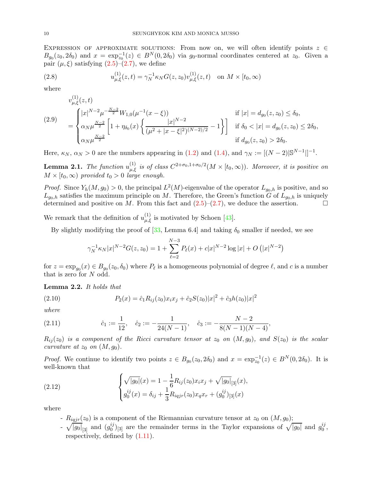EXPRESSION OF APPROXIMATE SOLUTIONS: From now on, we will often identify points  $z \in \mathbb{R}$  $B_{g_0}(z_0, 2\delta_0)$  and  $x = \exp_{z_0}^{-1}(z) \in B^N(0, 2\delta_0)$  via  $g_0$ -normal coordinates centered at  $z_0$ . Given a pair  $(\mu, \xi)$  satisfying  $(2.5)-(2.7)$  $(2.5)-(2.7)$ , we define

(2.8) 
$$
u_{\mu,\xi}^{(1)}(z,t) = \gamma_N^{-1} \kappa_N G(z,z_0) v_{\mu,\xi}^{(1)}(z,t) \text{ on } M \times [t_0,\infty)
$$

where

<span id="page-9-4"></span><span id="page-9-3"></span> $(1)$ 

$$
(2.9) \quad\n\begin{aligned}\n& v_{\mu,\xi}^{(1)}(z,t) \\
&= \begin{cases}\n|x|^{N-2}\mu^{-\frac{N-2}{2}}W_{1,0}(\mu^{-1}(x-\xi)) \\
\alpha_N\mu^{\frac{N-2}{2}}\left[1+\eta_{\delta_0}(x)\left\{\frac{|x|^{N-2}}{(\mu^2+|x-\xi|^2)^{(N-2)/2}}-1\right\}\right] & \text{if } \delta_0 < |x| = d_{g_0}(z,z_0) \le 2\delta_0, \\
& \alpha_N\mu^{\frac{N-2}{2}} & \text{if } d_{g_0}(z,z_0) > 2\delta_0.\n\end{cases}\n\end{aligned}
$$

Here,  $\kappa_N$ ,  $\alpha_N > 0$  are the numbers appearing in [\(1.2\)](#page-0-1) and [\(1.4\)](#page-1-2), and  $\gamma_N := [(N-2)|\mathbb{S}^{N-1}|]^{-1}$ .

**Lemma 2.1.** The function  $u_{\mu,\xi}^{(1)}$  is of class  $C^{2+\sigma_0,1+\sigma_0/2}(M\times [t_0,\infty))$ . Moreover, it is positive on  $M \times [t_0, \infty)$  provided  $t_0 > 0$  large enough.

*Proof.* Since  $Y_h(M, g_0) > 0$ , the principal  $L^2(M)$ -eigenvalue of the operator  $L_{g_0,h}$  is positive, and so  $L_{g_0,h}$  satisfies the maximum principle on M. Therefore, the Green's function G of  $L_{g_0,h}$  is uniquely determined and positive on M. From this fact and  $(2.5)-(2.7)$  $(2.5)-(2.7)$ , we deduce the assertion.

We remark that the definition of  $u_{\mu,\xi}^{(1)}$  is motivated by Schoen [\[43\]](#page-53-22).

By slightly modifying the proof of [\[33,](#page-53-23) Lemma 6.4] and taking  $\delta_0$  smaller if needed, we see

<span id="page-9-1"></span>
$$
\gamma_N^{-1} \kappa_N |x|^{N-2} G(z, z_0) = 1 + \sum_{\ell=2}^{N-3} P_\ell(x) + c|x|^{N-2} \log |x| + O(|x|^{N-2})
$$

for  $z = \exp_{g_0}(x) \in B_{g_0}(z_0, \delta_0)$  where  $P_\ell$  is a homogeneous polynomial of degree  $\ell$ , and  $c$  is a number that is zero for N odd.

Lemma 2.2. It holds that

(2.10) 
$$
P_2(x) = \hat{c}_1 R_{ij}(z_0) x_i x_j + \hat{c}_2 S(z_0) |x|^2 + \hat{c}_3 h(z_0) |x|^2
$$

where

<span id="page-9-2"></span>(2.11) 
$$
\hat{c}_1 := \frac{1}{12}, \quad \hat{c}_2 := -\frac{1}{24(N-1)}, \quad \hat{c}_3 := -\frac{N-2}{8(N-1)(N-4)},
$$

 $R_{ij}(z_0)$  is a component of the Ricci curvature tensor at  $z_0$  on  $(M, g_0)$ , and  $S(z_0)$  is the scalar curvature at  $z_0$  on  $(M, g_0)$ .

*Proof.* We continue to identify two points  $z \in B_{g_0}(z_0, 2\delta_0)$  and  $x = \exp_{z_0}^{-1}(z) \in B^N(0, 2\delta_0)$ . It is well-known that

(2.12) 
$$
\begin{cases} \sqrt{|g_0|}(x) = 1 - \frac{1}{6} R_{ij}(z_0) x_i x_j + \sqrt{|g_0|}_{[3]}(x), \\ g_0^{ij}(x) = \delta_{ij} + \frac{1}{3} R_{iqj r}(z_0) x_q x_r + (g_0^{ij})_{[3]}(x) \end{cases}
$$

where

- <span id="page-9-0"></span>-  $R_{iqjr}(z_0)$  is a component of the Riemannian curvature tensor at  $z_0$  on  $(M, g_0)$ ;
- $\sqrt{|g_0|}_{[3]}$  and  $(g_0^{ij})$  $\binom{ij}{0}$ [3] are the remainder terms in the Taylor expansions of  $\sqrt{|g_0|}$  and  $g_0^{ij}$  $_{0}^{\imath\jmath},$ respectively, defined by [\(1.11\)](#page-5-2).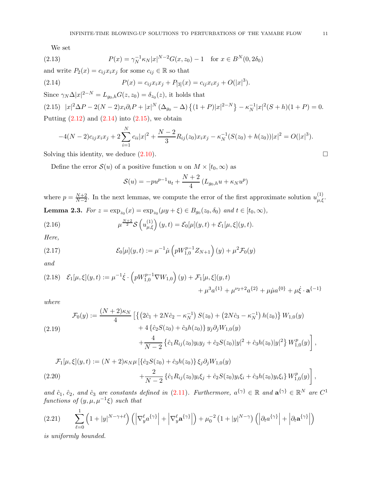<span id="page-10-2"></span>We set

(2.13) 
$$
P(x) = \gamma_N^{-1} \kappa_N |x|^{N-2} G(x, z_0) - 1 \quad \text{for } x \in B^N(0, 2\delta_0)
$$

and write  $P_2(x) = c_{ij}x_ix_j$  for some  $c_{ij} \in \mathbb{R}$  so that

<span id="page-10-0"></span>(2.14) 
$$
P(x) = c_{ij}x_ix_j + P_{[3]}(x) = c_{ij}x_ix_j + O(|x|^3).
$$

<span id="page-10-1"></span>Since  $\gamma_N \Delta |x|^{2-N} = L_{g_0,h} G(z, z_0) = \delta_{z_0}(z)$ , it holds that (2.15)  $|x|^2\Delta P - 2(N-2)x_i\partial_i P + |x|^N (\Delta_{g_0} - \Delta) \{(1+P)|x|^{2-N}\} - \kappa_N^{-1}$  $\binom{-1}{N} |x|^2 (S+h)(1+P) = 0.$ Putting  $(2.12)$  and  $(2.14)$  into  $(2.15)$ , we obtain

$$
-4(N-2)c_{ij}x_ix_j+2\sum_{i=1}^N c_{ii}|x|^2+\frac{N-2}{3}R_{ij}(z_0)x_ix_j-\kappa_N^{-1}(S(z_0)+h(z_0))|x|^2=O(|x|^3).
$$

Solving this identity, we deduce  $(2.10)$ .

Define the error  $\mathcal{S}(u)$  of a positive function u on  $M \times [t_0, \infty)$  as

<span id="page-10-4"></span><span id="page-10-3"></span>
$$
S(u) = -pu^{p-1}u_t + \frac{N+2}{4} (L_{g_0,h}u + \kappa_N u^p)
$$

where  $p = \frac{N+2}{N-2}$ . In the next lemmas, we compute the error of the first approximate solution  $u_{\mu,\xi}^{(1)}$ . **Lemma 2.3.** For  $z = \exp_{z_0}(x) = \exp_{z_0}(\mu y + \xi) \in B_{g_0}(z_0, \delta_0)$  and  $t \in [t_0, \infty)$ ,

(2.16) 
$$
\mu^{\frac{N+2}{2}}\mathcal{S}\left(u_{\mu,\xi}^{(1)}\right)(y,t)=\mathcal{E}_0[\mu](y,t)+\mathcal{E}_1[\mu,\xi](y,t).
$$

Here,

(2.17) 
$$
\mathcal{E}_0[\mu](y,t) := \mu^{-1} \dot{\mu} \left( pW_{1,0}^{p-1} Z_{N+1} \right)(y) + \mu^2 \mathcal{F}_0(y)
$$

and

<span id="page-10-8"></span>
$$
(2.18) \quad \mathcal{E}_1[\mu,\xi](y,t) := \mu^{-1}\dot{\xi} \cdot \left(pW_{1,0}^{p-1}\nabla W_{1,0}\right)(y) + \mathcal{F}_1[\mu,\xi](y,t) + \mu^3 a^{\{1\}} + \mu^{\nu_2+2} a^{\{2\}} + \mu \dot{\mu} a^{\{0\}} + \mu \dot{\xi} \cdot \mathbf{a}^{\{-1\}}
$$

where

<span id="page-10-5"></span>
$$
\mathcal{F}_0(y) := \frac{(N+2)\kappa_N}{4} \left[ \left\{ \left( 2\hat{c}_1 + 2N\hat{c}_2 - \kappa_N^{-1} \right) S(z_0) + \left( 2N\hat{c}_3 - \kappa_N^{-1} \right) h(z_0) \right\} W_{1,0}(y) + 4 \left\{ \hat{c}_2 S(z_0) + \hat{c}_3 h(z_0) \right\} y_j \partial_j W_{1,0}(y) + \frac{4}{N-2} \left\{ \hat{c}_1 R_{ij}(z_0) y_i y_j + \hat{c}_2 S(z_0) |y|^2 + \hat{c}_3 h(z_0) |y|^2 \right\} W_{1,0}^p(y) \right],
$$

<span id="page-10-6"></span>
$$
\mathcal{F}_1[\mu,\xi](y,t) := (N+2)\kappa_N\mu\left[\{\hat{c}_2S(z_0) + \hat{c}_3h(z_0)\}\,\xi_j\partial_jW_{1,0}(y) \right.\\
\left. + \frac{2}{N-2}\left\{\hat{c}_1R_{ij}(z_0)y_i\xi_j + \hat{c}_2S(z_0)y_i\xi_i + \hat{c}_3h(z_0)y_i\xi_i\right\}W_{1,0}^p(y)\right],
$$
\n(2.20)

and  $\hat{c}_1$ ,  $\hat{c}_2$ , and  $\hat{c}_3$  are constants defined in [\(2.11\)](#page-9-2). Furthermore,  $a^{\{\gamma\}} \in \mathbb{R}$  and  $a^{\{\gamma\}} \in \mathbb{R}^N$  are  $C^1$  $functions \ of \ (y,\mu,\mu^{-1}\xi) \ such \ that$ 

<span id="page-10-7"></span>
$$
(2.21) \qquad \sum_{\ell=0}^{1} \left(1+|y|^{N-\gamma+\ell}\right) \left( \left|\nabla_y^{\ell} a^{\{\gamma\}}\right| + \left|\nabla_y^{\ell} a^{\{\gamma\}}\right| \right) + \mu_0^{-2} \left(1+|y|^{N-\gamma}\right) \left( \left|\partial_t a^{\{\gamma\}}\right| + \left|\partial_t a^{\{\gamma\}}\right| \right)
$$

is uniformly bounded.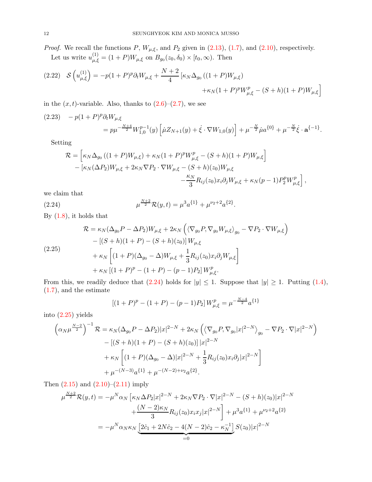*Proof.* We recall the functions P,  $W_{\mu,\xi}$ , and P<sub>2</sub> given in [\(2.13\)](#page-10-2), [\(1.7\)](#page-1-3), and [\(2.10\)](#page-9-1), respectively. Let us write  $u_{\mu,\xi}^{(1)} = (1+P)W_{\mu,\xi}$  on  $B_{g_0}(z_0,\delta_0) \times [t_0,\infty)$ . Then

<span id="page-11-3"></span>
$$
(2.22) \quad \mathcal{S}\left(u_{\mu,\xi}^{(1)}\right) = -p(1+P)^{p}\partial_{t}W_{\mu,\xi} + \frac{N+2}{4}\left[\kappa_{N}\Delta_{g_{0}}\left((1+P)W_{\mu,\xi}\right) + \kappa_{N}(1+P)^{p}W_{\mu,\xi}^{p} - (S+h)(1+P)W_{\mu,\xi}\right]
$$

in the  $(x, t)$ -variable. Also, thanks to  $(2.6)$ – $(2.7)$ , we see

<span id="page-11-2"></span>
$$
(2.23) \quad -p(1+P)^p \partial_t W_{\mu,\xi}
$$
\n
$$
= p\mu^{-\frac{N+4}{2}} W_{1,0}^{p-1}(y) \left[ \dot{\mu} Z_{N+1}(y) + \dot{\xi} \cdot \nabla W_{1,0}(y) \right] + \mu^{-\frac{N}{2}} \dot{\mu} a^{\{0\}} + \mu^{-\frac{N}{2}} \dot{\xi} \cdot \mathbf{a}^{\{-1\}}.
$$

Setting

<span id="page-11-0"></span>
$$
\mathcal{R} = \left[ \kappa_N \Delta_{g_0} \left( (1+P) W_{\mu,\xi} \right) + \kappa_N (1+P)^p W_{\mu,\xi}^p - (S+h)(1+P) W_{\mu,\xi} \right] - \left[ \kappa_N (\Delta P_2) W_{\mu,\xi} + 2 \kappa_N \nabla P_2 \cdot \nabla W_{\mu,\xi} - (S+h)(z_0) W_{\mu,\xi} - \frac{\kappa_N}{3} R_{ij}(z_0) x_i \partial_j W_{\mu,\xi} + \kappa_N (p-1) P_2^p W_{\mu,\xi}^p \right],
$$

we claim that

(2.24) 
$$
\mu^{\frac{N+2}{2}} \mathcal{R}(y,t) = \mu^3 a^{\{1\}} + \mu^{\nu_2+2} a^{\{2\}}.
$$

By  $(1.8)$ , it holds that

<span id="page-11-1"></span>
$$
\mathcal{R} = \kappa_N (\Delta_{g_0} P - \Delta P_2) W_{\mu,\xi} + 2\kappa_N \left( \langle \nabla_{g_0} P, \nabla_{g_0} W_{\mu,\xi} \rangle_{g_0} - \nabla P_2 \cdot \nabla W_{\mu,\xi} \right) \n- \left[ (S + h)(1 + P) - (S + h)(z_0) \right] W_{\mu,\xi} \n+ \kappa_N \left[ (1 + P)(\Delta_{g_0} - \Delta) W_{\mu,\xi} + \frac{1}{3} R_{ij}(z_0) x_i \partial_j W_{\mu,\xi} \right] \n+ \kappa_N \left[ (1 + P)^p - (1 + P) - (p - 1) P_2 \right] W_{\mu,\xi}^p.
$$

From this, we readily deduce that  $(2.24)$  holds for  $|y| \leq 1$ . Suppose that  $|y| \geq 1$ . Putting  $(1.4)$ , [\(1.7\)](#page-1-3), and the estimate

$$
[(1+P)^p - (1+P) - (p-1)P_2]W_{\mu,\xi}^p = \mu^{-\frac{N-4}{2}} a^{\{1\}}
$$

into [\(2.25\)](#page-11-1) yields

$$
\left(\alpha_{N}\mu^{\frac{N-2}{2}}\right)^{-1} \mathcal{R} = \kappa_{N}(\Delta_{g_{0}}P - \Delta P_{2})|x|^{2-N} + 2\kappa_{N}\left(\left\langle\nabla_{g_{0}}P, \nabla_{g_{0}}|x|^{2-N}\right\rangle_{g_{0}} - \nabla P_{2} \cdot \nabla |x|^{2-N}\right) - \left[(S+h)(1+P) - (S+h)(z_{0})\right]|x|^{2-N} + \kappa_{N}\left[(1+P)(\Delta_{g_{0}} - \Delta)|x|^{2-N} + \frac{1}{3}R_{ij}(z_{0})x_{i}\partial_{j}|x|^{2-N}\right] + \mu^{-(N-3)}a^{\{1\}} + \mu^{-(N-2)+\nu_{2}}a^{\{2\}}.
$$

Then  $(2.15)$  and  $(2.10)–(2.11)$  $(2.10)–(2.11)$  imply

$$
\mu^{\frac{N+2}{2}} \mathcal{R}(y,t) = -\mu^N \alpha_N \left[ \kappa_N \Delta P_2 |x|^{2-N} + 2\kappa_N \nabla P_2 \cdot \nabla |x|^{2-N} - (S+h)(z_0) |x|^{2-N} \right. \\
\left. + \frac{(N-2)\kappa_N}{3} R_{ij}(z_0) x_i x_j |x|^{2-N} \right] + \mu^3 a^{\{1\}} + \mu^{\nu_2+2} a^{\{2\}} \\
= -\mu^N \alpha_N \kappa_N \underbrace{\left[ 2\hat{c}_1 + 2N\hat{c}_2 - 4(N-2)\hat{c}_2 - \kappa_N^{-1} \right] S(z_0) |x|^{2-N}}_{=0}
$$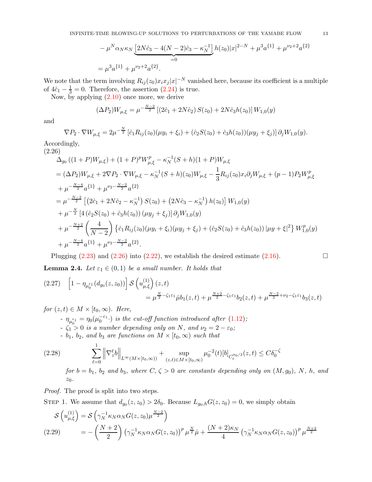$$
-\mu^N \alpha_N \kappa_N \underbrace{[2N\hat{c}_3 - 4(N-2)\hat{c}_3 - \kappa_N^{-1}]}_{=0} h(z_0)|x|^{2-N} + \mu^3 a^{\{1\}} + \mu^{\nu_2+2} a^{\{2\}}
$$
  
=  $\mu^3 a^{\{1\}} + \mu^{\nu_2+2} a^{\{2\}}.$ 

We note that the term involving  $R_{ij}(z_0)x_ix_j|x|^{-N}$  vanished here, because its coefficient is a multiple of  $4\hat{c}_1 - \frac{1}{3} = 0$ . Therefore, the assertion  $(2.24)$  is true.

Now, by applying  $(2.10)$  once more, we derive

$$
(\Delta P_2)W_{\mu,\xi} = \mu^{-\frac{N-2}{2}} \left[ (2\hat{c}_1 + 2N\hat{c}_2) S(z_0) + 2N\hat{c}_3 h(z_0) \right] W_{1,0}(y)
$$

and

$$
\nabla P_2 \cdot \nabla W_{\mu,\xi} = 2\mu^{-\frac{N}{2}} \left[ \hat{c}_1 R_{ij}(z_0) (\mu y_i + \xi_i) + (\hat{c}_2 S(z_0) + \hat{c}_3 h(z_0)) (\mu y_j + \xi_j) \right] \partial_j W_{1,0}(y).
$$

Accordingly, (2.26)

<span id="page-12-0"></span>
$$
\Delta_{g_{0}}((1+P)W_{\mu,\xi}) + (1+P)^{p}W_{\mu,\xi}^{p} - \kappa_{N}^{-1}(S+h)(1+P)W_{\mu,\xi}
$$
\n
$$
= (\Delta P_{2})W_{\mu,\xi} + 2\nabla P_{2} \cdot \nabla W_{\mu,\xi} - \kappa_{N}^{-1}(S+h)(z_{0})W_{\mu,\xi} - \frac{1}{3}R_{ij}(z_{0})x_{i}\partial_{j}W_{\mu,\xi} + (p-1)P_{2}W_{\mu,\xi}^{p}
$$
\n
$$
+ \mu^{-\frac{N-4}{2}}a^{\{1\}} + \mu^{\nu_{2} - \frac{N-2}{2}}a^{\{2\}}
$$
\n
$$
= \mu^{-\frac{N-2}{2}} \left[ (2\hat{c}_{1} + 2N\hat{c}_{2} - \kappa_{N}^{-1}) S(z_{0}) + (2N\hat{c}_{3} - \kappa_{N}^{-1}) h(z_{0}) \right] W_{1,0}(y)
$$
\n
$$
+ \mu^{-\frac{N}{2}} \left[ 4 (\hat{c}_{2}S(z_{0}) + \hat{c}_{3}h(z_{0})) (\mu y_{j} + \xi_{j}) \right] \partial_{j}W_{1,0}(y)
$$
\n
$$
+ \mu^{-\frac{N+2}{2}} \left( \frac{4}{N-2} \right) \left\{ \hat{c}_{1} R_{ij}(z_{0}) (\mu y_{i} + \xi_{i}) (\mu y_{j} + \xi_{j}) + (\hat{c}_{2}S(z_{0}) + \hat{c}_{3}h(z_{0})) |\mu y + \xi|^{2} \right\} W_{1,0}^{p}(y)
$$
\n
$$
+ \mu^{-\frac{N-4}{2}} a^{\{1\}} + \mu^{\nu_{2} - \frac{N-2}{2}} a^{\{2\}}.
$$

Plugging  $(2.23)$  and  $(2.26)$  into  $(2.22)$ , we establish the desired estimate  $(2.16)$ .

<span id="page-12-4"></span>**Lemma 2.4.** Let  $\varepsilon_1 \in (0,1)$  be a small number. It holds that

<span id="page-12-1"></span>
$$
(2.27) \quad \left[1 - \eta_{\mu_0^{\varepsilon_1}}(d_{g_0}(z, z_0))\right] \mathcal{S}\left(u_{\mu, \xi}^{(1)}\right)(z, t) \n= \mu^{\frac{N}{2} - \zeta_1 \varepsilon_1} \dot{\mu} b_1(z, t) + \mu^{\frac{N+2}{2} - \zeta_1 \varepsilon_1} b_2(z, t) + \mu^{\frac{N-2}{2} + \nu_2 - \zeta_1 \varepsilon_1} b_3(z, t)
$$

for  $(z, t) \in M \times [t_0, \infty)$ . Here,

- $-\eta_{\mu_0^{\varepsilon_1}} = \eta_0(\mu_0^{-\varepsilon_1} \cdot)$  is the cut-off function introduced after  $(1.12)$ ;
- $-\zeta_1 > 0$  is a number depending only on N, and  $\nu_2 = 2 \varepsilon_0$ ;
- <span id="page-12-2"></span>-  $b_1$ ,  $b_2$ , and  $b_3$  are functions on  $M \times [t_0, \infty)$  such that

(2.28) 
$$
\sum_{\ell=0}^{1} \left\| \nabla_{z}^{\ell} b \right\|_{L^{\infty}(M \times [t_0, \infty))} + \sup_{(z,t) \in M \times [t_0, \infty)} \mu_0^{-2}(t) [b]_{C_t^{\sigma_0/2}}(z,t) \leq C \delta_0^{-\zeta}
$$
  
for  $b = b_1$ ,  $b_2$  and  $b_3$ , where  $C, \zeta > 0$  are constants depending only on  $(M, g_0)$ ,  $N, h, \text{ and }$   
 $z_0$ .

Proof. The proof is split into two steps.

STEP 1. We assume that  $d_{g_0}(z, z_0) > 2\delta_0$ . Because  $L_{g_0,h}G(z, z_0) = 0$ , we simply obtain

<span id="page-12-3"></span>
$$
\mathcal{S}\left(u_{\mu,\xi}^{(1)}\right) = \mathcal{S}\left(\gamma_N^{-1}\kappa_N\alpha_N G(z,z_0)\mu^{\frac{N-2}{2}}\right)
$$
\n
$$
(2.29) \qquad = -\left(\frac{N+2}{2}\right)\left(\gamma_N^{-1}\kappa_N\alpha_N G(z,z_0)\right)^p \mu^{\frac{N}{2}}\mu + \frac{(N+2)\kappa_N}{4}\left(\gamma_N^{-1}\kappa_N\alpha_N G(z,z_0)\right)^p \mu^{\frac{N+2}{2}}
$$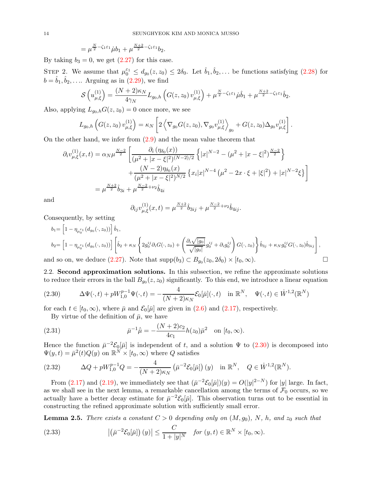$$
= \mu^{\frac{N}{2} - \zeta_1 \varepsilon_1} \dot{\mu} b_1 + \mu^{\frac{N+2}{2} - \zeta_1 \varepsilon_1} b_2.
$$

By taking  $b_3 = 0$ , we get  $(2.27)$  for this case.

STEP 2. We assume that  $\mu_0^{\varepsilon_1} \leq d_{g_0}(z, z_0) \leq 2\delta_0$ . Let  $\hat{b}_1, \hat{b}_2, \ldots$  be functions satisfying [\(2.28\)](#page-12-2) for  $b = \hat{b}_1, \hat{b}_2, \dots$  Arguing as in  $(2.29)$ , we find

$$
\mathcal{S}\left(u_{\mu,\xi}^{(1)}\right) = \frac{(N+2)\kappa_N}{4\gamma_N} L_{g_0,h} \left(G(z,z_0) v_{\mu,\xi}^{(1)}\right) + \mu^{\frac{N}{2}-\zeta_1 \varepsilon_1} \dot{\mu} \dot{b}_1 + \mu^{\frac{N+2}{2}-\zeta_1 \varepsilon_1} \dot{b}_2.
$$

Also, applying  $L_{q_0,h}G(z, z_0) = 0$  once more, we see

$$
L_{g_0,h}\left(G(z,z_0)\,v_{\mu,\xi}^{(1)}\right)=\kappa_N\left[2\left\langle\nabla_{g_0}G(z,z_0),\nabla_{g_0}v_{\mu,\xi}^{(1)}\right\rangle_{g_0}+G(z,z_0)\Delta_{g_0}v_{\mu,\xi}^{(1)}\right].
$$

On the other hand, we infer from [\(2.9\)](#page-9-3) and the mean value theorem that

$$
\partial_i v_{\mu,\xi}^{(1)}(x,t) = \alpha_N \mu^{\frac{N-2}{2}} \left[ \frac{\partial_i (\eta_{\delta_0}(x))}{(\mu^2 + |x - \xi|^2)^{(N-2)/2}} \left\{ |x|^{N-2} - (\mu^2 + |x - \xi|^2)^{\frac{N-2}{2}} \right\} + \frac{(N-2)\eta_{\delta_0}(x)}{(\mu^2 + |x - \xi|^2)^{N/2}} \left\{ x_i |x|^{N-4} (\mu^2 - 2x \cdot \xi + |\xi|^2) + |x|^{N-2} \xi \right\} \right]
$$
  
=  $\mu^{\frac{N+2}{2}} \hat{b}_{3i} + \mu^{\frac{N-2}{2} + \nu_2} \hat{b}_{4i}$ 

and

$$
\partial_{ij}v_{\mu,\xi}^{(1)}(x,t) = \mu^{\frac{N+2}{2}}\hat{b}_{3ij} + \mu^{\frac{N-2}{2}+\nu_2}\hat{b}_{4ij}.
$$

Consequently, by setting

$$
b_1 = \left[1 - \eta_{\mu_0^{\varepsilon_1}}(d_{g_0}(\cdot, z_0))\right] \hat{b}_1,
$$
  
\n
$$
b_2 = \left[1 - \eta_{\mu_0^{\varepsilon_1}}(d_{g_0}(\cdot, z_0))\right] \left[\hat{b}_2 + \kappa_N \left\{2g_0^{ij}\partial_i G(\cdot, z_0) + \left(\frac{\partial_i \sqrt{|g_0|}}{\sqrt{|g_0|}}g_0^{ij} + \partial_i g_0^{ij}\right) G(\cdot, z_0)\right\} \hat{b}_{3j} + \kappa_N g_0^{ij} G(\cdot, z_0) \hat{b}_{3ij}\right],
$$

<span id="page-13-1"></span>and so on, we deduce  $(2.27)$ . Note that  $\text{supp}(b_3) \subset B_{g_0}(z_0, 2\delta_0) \times [t_0, \infty)$ .

2.2. Second approximation solutions. In this subsection, we refine the approximate solutions to reduce their errors in the ball  $B_{g_0}(z, z_0)$  significantly. To this end, we introduce a linear equation

<span id="page-13-0"></span>(2.30) 
$$
\Delta \Psi(\cdot, t) + pW_{1,0}^{p-1} \Psi(\cdot, t) = -\frac{4}{(N+2)\kappa_N} \mathcal{E}_0[\bar{\mu}](\cdot, t) \text{ in } \mathbb{R}^N, \quad \Psi(\cdot, t) \in \dot{W}^{1,2}(\mathbb{R}^N)
$$

for each  $t \in [t_0, \infty)$ , where  $\bar{\mu}$  and  $\mathcal{E}_0[\bar{\mu}]$  are given in [\(2.6\)](#page-8-6) and [\(2.17\)](#page-10-4), respectively.

<span id="page-13-2"></span>By virtue of the definition of  $\bar{\mu}$ , we have

(2.31) 
$$
\bar{\mu}^{-1}\dot{\bar{\mu}} = -\frac{(N+2)c_2}{4c_1}h(z_0)\bar{\mu}^2 \text{ on } [t_0, \infty).
$$

Hence the function  $\bar{\mu}^{-2}\mathcal{E}_0[\bar{\mu}]$  is independent of t, and a solution  $\Psi$  to [\(2.30\)](#page-13-0) is decomposed into  $\Psi(y,t) = \bar{\mu}^2(t)Q(y)$  on  $\mathbb{R}^N \times [t_0, \infty)$  where Q satisfies

<span id="page-13-4"></span>(2.32) 
$$
\Delta Q + pW_{1,0}^{p-1}Q = -\frac{4}{(N+2)\kappa_N} \left( \bar{\mu}^{-2} \mathcal{E}_0[\bar{\mu}] \right)(y) \text{ in } \mathbb{R}^N, \quad Q \in \dot{W}^{1,2}(\mathbb{R}^N).
$$

From [\(2.17\)](#page-10-4) and [\(2.19\)](#page-10-5), we immediately see that  $(\bar{\mu}^{-2} \mathcal{E}_0[\bar{\mu}])(y) = O(|y|^{2-N})$  for |y| large. In fact, as we shall see in the next lemma, a remarkable cancellation among the terms of  $\mathcal{F}_0$  occurs, so we actually have a better decay estimate for  $\bar{\mu}^{-2} \mathcal{E}_0[\bar{\mu}]$ . This observation turns out to be essential in constructing the refined approximate solution with sufficiently small error.

**Lemma 2.5.** There exists a constant  $C > 0$  depending only on  $(M, g_0)$ , N, h, and  $z_0$  such that

<span id="page-13-3"></span>(2.33) 
$$
\left| \left( \bar{\mu}^{-2} \mathcal{E}_0[\bar{\mu}] \right) (y) \right| \leq \frac{C}{1+|y|^N} \quad \text{for } (y, t) \in \mathbb{R}^N \times [t_0, \infty).
$$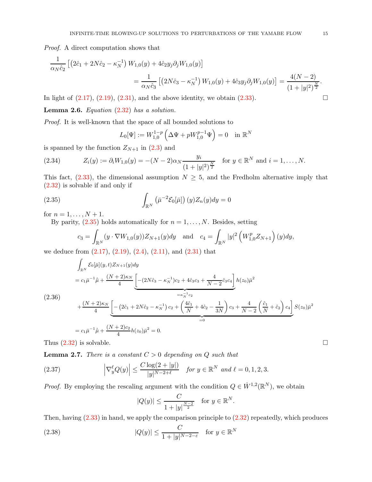Proof. A direct computation shows that

$$
\frac{1}{\alpha_N \hat{c}_2} \left[ \left( 2\hat{c}_1 + 2N\hat{c}_2 - \kappa_N^{-1} \right) W_{1,0}(y) + 4\hat{c}_2 y_j \partial_j W_{1,0}(y) \right]
$$
\n
$$
= \frac{1}{\alpha_N \hat{c}_3} \left[ \left( 2N\hat{c}_3 - \kappa_N^{-1} \right) W_{1,0}(y) + 4\hat{c}_3 y_j \partial_j W_{1,0}(y) \right] = \frac{4(N-2)}{(1+|y|^2)^{\frac{N}{2}}}.
$$

In light of  $(2.17)$ ,  $(2.19)$ ,  $(2.31)$ , and the above identity, we obtain  $(2.33)$ .

Lemma 2.6. Equation  $(2.32)$  has a solution.

Proof. It is well-known that the space of all bounded solutions to

<span id="page-14-1"></span>
$$
L_0[\Psi] := W_{1,0}^{1-p} \left( \Delta \Psi + pW_{1,0}^{p-1} \Psi \right) = 0 \quad \text{in } \mathbb{R}^N
$$

is spanned by the function  $Z_{N+1}$  in [\(2.3\)](#page-8-7) and

<span id="page-14-4"></span>(2.34) 
$$
Z_i(y) := \partial_i W_{1,0}(y) = -(N-2)\alpha_N \frac{y_i}{(1+|y|^2)^{\frac{N}{2}}} \text{ for } y \in \mathbb{R}^N \text{ and } i = 1,\dots,N.
$$

This fact,  $(2.33)$ , the dimensional assumption  $N \geq 5$ , and the Fredholm alternative imply that [\(2.32\)](#page-13-4) is solvable if and only if

(2.35) 
$$
\int_{\mathbb{R}^N} \left( \bar{\mu}^{-2} \mathcal{E}_0[\bar{\mu}] \right) (y) Z_n(y) dy = 0
$$

for  $n = 1, ..., N + 1$ .

By parity,  $(2.35)$  holds automatically for  $n = 1, \ldots, N$ . Besides, setting

$$
c_3 = \int_{\mathbb{R}^N} (y \cdot \nabla W_{1,0}(y)) Z_{N+1}(y) dy \text{ and } c_4 = \int_{\mathbb{R}^N} |y|^2 \left( W_{1,0}^p Z_{N+1} \right)(y) dy,
$$

we deduce from  $(2.17), (2.19), (2.4), (2.11),$  $(2.17), (2.19), (2.4), (2.11),$  $(2.17), (2.19), (2.4), (2.11),$  $(2.17), (2.19), (2.4), (2.11),$  $(2.17), (2.19), (2.4), (2.11),$  $(2.17), (2.19), (2.4), (2.11),$  $(2.17), (2.19), (2.4), (2.11),$  and  $(2.31)$  that

<span id="page-14-0"></span>
$$
\int_{\mathbb{R}^N} \mathcal{E}_0[\bar{\mu}](y, t) Z_{N+1}(y) dy
$$
\n
$$
= c_1 \bar{\mu}^{-1} \dot{\bar{\mu}} + \frac{(N+2)\kappa_N}{4} \left[ -(2N\hat{c}_3 - \kappa_N^{-1})c_2 + 4\hat{c}_3c_3 + \frac{4}{N-2}\hat{c}_3c_4 \right] h(z_0)\bar{\mu}^2
$$
\n
$$
(2.36)
$$
\n
$$
+ \frac{(N+2)\kappa_N}{4} \left[ -(2\hat{c}_1 + 2N\hat{c}_2 - \kappa_N^{-1})c_2 + \left( \frac{4\hat{c}_1}{N} + 4\hat{c}_2 - \frac{1}{3N} \right)c_3 + \frac{4}{N-2} \left( \frac{\hat{c}_1}{N} + \hat{c}_2 \right) c_4 \right] S(z_0)\bar{\mu}^2
$$
\n
$$
= c_1 \bar{\mu}^{-1} \dot{\bar{\mu}} + \frac{(N+2)c_2}{4} h(z_0)\bar{\mu}^2 = 0.
$$

Thus  $(2.32)$  is solvable.

<span id="page-14-5"></span>**Lemma 2.7.** There is a constant  $C > 0$  depending on Q such that

(2.37) 
$$
\left|\nabla_y^{\ell}Q(y)\right| \leq \frac{C\log(2+|y|)}{|y|^{N-2+\ell}} \quad \text{for } y \in \mathbb{R}^N \text{ and } \ell=0,1,2,3.
$$

*Proof.* By employing the rescaling argument with the condition  $Q \in \dot{W}^{1,2}(\mathbb{R}^N)$ , we obtain

<span id="page-14-3"></span><span id="page-14-2"></span>
$$
|Q(y)| \le \frac{C}{1+|y|^{\frac{N-2}{2}}}
$$
 for  $y \in \mathbb{R}^N$ .

Then, having  $(2.33)$  in hand, we apply the comparison principle to  $(2.32)$  repeatedly, which produces

(2.38) 
$$
|Q(y)| \leq \frac{C}{1+|y|^{N-2-\varepsilon}} \quad \text{for } y \in \mathbb{R}^N
$$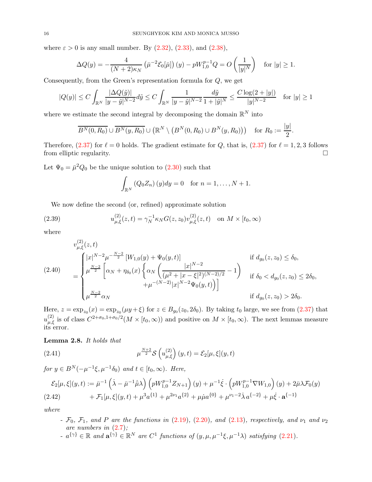where  $\varepsilon > 0$  is any small number. By  $(2.32)$ ,  $(2.33)$ , and  $(2.38)$ ,

$$
\Delta Q(y) = -\frac{4}{(N+2)\kappa_N} \left( \bar{\mu}^{-2} \mathcal{E}_0[\bar{\mu}] \right)(y) - pW_{1,0}^{p-1} Q = O\left( \frac{1}{|y|^N} \right) \text{ for } |y| \ge 1.
$$

Consequently, from the Green's representation formula for Q, we get

$$
|Q(y)| \le C \int_{\mathbb{R}^N} \frac{|\Delta Q(\tilde{y})|}{|y - \tilde{y}|^{N-2}} d\tilde{y} \le C \int_{\mathbb{R}^N} \frac{1}{|y - \tilde{y}|^{N-2}} \frac{d\tilde{y}}{1 + |\tilde{y}|^N} \le \frac{C \log(2 + |y|)}{|y|^{N-2}} \quad \text{for } |y| \ge 1
$$

where we estimate the second integral by decomposing the domain  $\mathbb{R}^N$  into

$$
\overline{B^N(0,R_0)} \cup \overline{B^N(y,R_0)} \cup (\mathbb{R}^N \setminus (B^N(0,R_0) \cup B^N(y,R_0))) \text{ for } R_0 := \frac{|y|}{2}
$$

.

Therefore, [\(2.37\)](#page-14-3) for  $\ell = 0$  holds. The gradient estimate for Q, that is, (2.37) for  $\ell = 1, 2, 3$  follows from elliptic regularity.

Let  $\Psi_0 = \bar{\mu}^2 Q_0$  be the unique solution to  $(2.30)$  such that

<span id="page-15-0"></span>
$$
\int_{\mathbb{R}^N} (Q_0 Z_n)(y) dy = 0 \text{ for } n = 1, \dots, N+1.
$$

We now define the second (or, refined) approximate solution

(2.39) 
$$
u_{\mu,\xi}^{(2)}(z,t) = \gamma_N^{-1} \kappa_N G(z,z_0) v_{\mu,\xi}^{(2)}(z,t) \text{ on } M \times [t_0,\infty)
$$

where

<span id="page-15-1"></span>
$$
(2.40) \quad\n\begin{aligned}\n&v^{(2)}_{\mu,\xi}(z,t) \\
&= \n\begin{cases}\n|x|^{N-2}\mu^{-\frac{N-2}{2}}\left[W_{1,0}(y) + \Psi_0(y,t)\right] & \text{if } d_{g_0}(z,z_0) \le \delta_0, \\
& \mu^{\frac{N-2}{2}}\left[\alpha_N + \eta_{\delta_0}(x)\left\{\alpha_N\left(\frac{|x|^{N-2}}{(\mu^2 + |x - \xi|^2)^{(N-2)/2}} - 1\right) & \text{if } \delta_0 < d_{g_0}(z,z_0) \le 2\delta_0, \\
& \mu^{-\frac{N-2}{2}}\alpha_N & \text{if } d_{g_0}(z,z_0) > 2\delta_0.\n\end{cases}\n\end{aligned}
$$

Here,  $z = \exp_{z_0}(x) = \exp_{z_0}(\mu y + \xi)$  for  $z \in B_{g_0}(z_0, 2\delta_0)$ . By taking  $t_0$  large, we see from  $(2.37)$  that  $u_{\mu,\xi}^{(2)}$  is of class  $C^{2+\sigma_0,1+\sigma_0/2}(M\times [t_0,\infty))$  and positive on  $M\times [t_0,\infty)$ . The next lemmas measure its error.

## Lemma 2.8. It holds that

<span id="page-15-2"></span>(2.41) 
$$
\mu^{\frac{N+2}{2}} \mathcal{S}\left(u_{\mu,\xi}^{(2)}\right)(y,t) = \mathcal{E}_2[\mu,\xi](y,t)
$$

for  $y \in B^N(-\mu^{-1}\xi, \mu^{-1}\delta_0)$  and  $t \in [t_0, \infty)$ . Here,

<span id="page-15-3"></span>
$$
\mathcal{E}_{2}[\mu,\xi](y,t) := \bar{\mu}^{-1}(\dot{\lambda} - \bar{\mu}^{-1}\dot{\bar{\mu}}\lambda) \left(pW_{1,0}^{p-1}Z_{N+1}\right)(y) + \mu^{-1}\dot{\xi} \cdot \left(pW_{1,0}^{p-1}\nabla W_{1,0}\right)(y) + 2\bar{\mu}\lambda \mathcal{F}_{0}(y) \n+ \mathcal{F}_{1}[\mu,\xi](y,t) + \mu^{3}a^{\{1\}} + \mu^{2\nu_{1}}a^{\{2\}} + \mu\dot{\mu}a^{\{0\}} + \mu^{\nu_{1}-2}\dot{\lambda}a^{\{-2\}} + \mu\dot{\xi} \cdot \mathbf{a}^{\{-1\}}
$$

where

- $\mathcal{F}_0$ ,  $\mathcal{F}_1$ , and P are the functions in [\(2.19\)](#page-10-5), [\(2.20\)](#page-10-6), and [\(2.13\)](#page-10-2), respectively, and  $\nu_1$  and  $\nu_2$ are numbers in  $(2.7)$ ;
- $a^{\{\gamma\}} \in \mathbb{R}$  and  $\mathbf{a}^{\{\gamma\}} \in \mathbb{R}^N$  are  $C^1$  functions of  $(y, \mu, \mu^{-1}\xi, \mu^{-1}\lambda)$  satisfying  $(2.21)$ .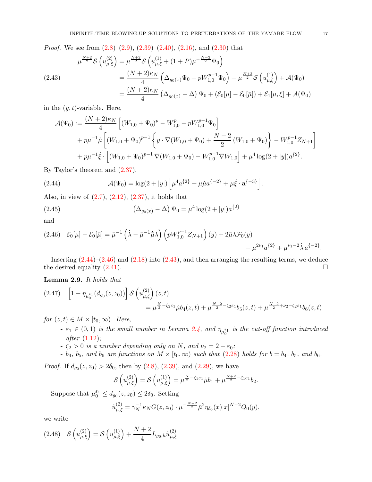*Proof.* We see from  $(2.8)$ – $(2.9)$ ,  $(2.39)$ – $(2.40)$ ,  $(2.16)$ , and  $(2.30)$  that

<span id="page-16-2"></span>
$$
\mu^{\frac{N+2}{2}} \mathcal{S} \left( u_{\mu,\xi}^{(2)} \right) = \mu^{\frac{N+2}{2}} \mathcal{S} \left( u_{\mu,\xi}^{(1)} + (1+P)\mu^{-\frac{N-2}{2}} \Psi_0 \right)
$$
\n
$$
= \frac{(N+2)\kappa_N}{4} \left( \Delta_{g_0(x)} \Psi_0 + pW_{1,0}^{p-1} \Psi_0 \right) + \mu^{\frac{N+2}{2}} \mathcal{S} \left( u_{\mu,\xi}^{(1)} \right) + \mathcal{A}(\Psi_0)
$$
\n
$$
= \frac{(N+2)\kappa_N}{4} \left( \Delta_{g_0(x)} - \Delta \right) \Psi_0 + \left( \mathcal{E}_0[\mu] - \mathcal{E}_0[\bar{\mu}] \right) + \mathcal{E}_1[\mu, \xi] + \mathcal{A}(\Psi_0)
$$

in the  $(y, t)$ -variable. Here,

$$
\mathcal{A}(\Psi_0) := \frac{(N+2)\kappa_N}{4} \left[ (W_{1,0} + \Psi_0)^p - W_{1,0}^p - pW_{1,0}^{p-1}\Psi_0 \right] + p\mu^{-1}\mu \left[ (W_{1,0} + \Psi_0)^{p-1} \left\{ y \cdot \nabla (W_{1,0} + \Psi_0) + \frac{N-2}{2} (W_{1,0} + \Psi_0) \right\} - W_{1,0}^{p-1} Z_{N+1} \right] + p\mu^{-1}\dot{\xi} \cdot \left[ (W_{1,0} + \Psi_0)^{p-1} \nabla (W_{1,0} + \Psi_0) - W_{1,0}^{p-1} \nabla W_{1,0} \right] + \mu^4 \log(2 + |y|) a^{\{2\}}.
$$

By Taylor's theorem and [\(2.37\)](#page-14-3),

<span id="page-16-0"></span>(2.44) 
$$
\mathcal{A}(\Psi_0) = \log(2 + |y|) \left[ \mu^4 a^{\{2\}} + \mu \dot{\mu} a^{\{-2\}} + \mu \dot{\xi} \cdot \mathbf{a}^{\{-3\}} \right].
$$

Also, in view of  $(2.7)$ ,  $(2.12)$ ,  $(2.37)$ , it holds that

(2.45) 
$$
\left(\Delta_{g_0(x)} - \Delta\right) \Psi_0 = \mu^4 \log(2 + |y|) a^{\{2\}}
$$

and

<span id="page-16-1"></span>
$$
(2.46)\quad \mathcal{E}_0[\mu] - \mathcal{E}_0[\bar{\mu}] = \bar{\mu}^{-1} \left(\dot{\lambda} - \bar{\mu}^{-1} \dot{\bar{\mu}} \lambda\right) \left(pW_{1,0}^{p-1} Z_{N+1}\right)(y) + 2\bar{\mu}\lambda \mathcal{F}_0(y) + \mu^{2\nu_1} a^{\{2\}} + \mu^{\nu_1 - 2} \dot{\lambda} a^{\{-2\}}.
$$

Inserting  $(2.44)-(2.46)$  $(2.44)-(2.46)$  and  $(2.18)$  into  $(2.43)$ , and then arranging the resulting terms, we deduce the desired equality  $(2.41)$ .

### <span id="page-16-5"></span>Lemma 2.9. It holds that

<span id="page-16-4"></span>
$$
(2.47) \quad \left[1 - \eta_{\mu_0^{\varepsilon_1}}(d_{g_0}(z, z_0))\right] \mathcal{S}\left(u_{\mu, \xi}^{(2)}\right)(z, t) \n= \mu^{\frac{N}{2} - \zeta_2 \varepsilon_1} \dot{\mu} b_4(z, t) + \mu^{\frac{N+2}{2} - \zeta_2 \varepsilon_1} b_5(z, t) + \mu^{\frac{N-2}{2} + \nu_2 - \zeta_2 \varepsilon_1} b_6(z, t)
$$

for  $(z, t) \in M \times [t_0, \infty)$ . Here,

- $\varepsilon_1 \in (0,1)$  is the small number in Lemma [2.4,](#page-12-4) and  $\eta_{\mu_0^{\varepsilon_1}}$  is the cut-off function introduced after [\(1.12\)](#page-5-1);
- $-\zeta_2 > 0$  is a number depending only on N, and  $\nu_2 = 2 \varepsilon_0$ ;
- b<sub>4</sub>, b<sub>5</sub>, and b<sub>6</sub> are functions on  $M \times [t_0, \infty)$  such that [\(2.28\)](#page-12-2) holds for  $b = b_4$ , b<sub>5</sub>, and b<sub>6</sub>.

*Proof.* If  $d_{g_0}(z, z_0) > 2\delta_0$ , then by  $(2.8)$ ,  $(2.39)$ , and  $(2.29)$ , we have

$$
\mathcal{S}\left(u_{\mu,\xi}^{(2)}\right)=\mathcal{S}\left(u_{\mu,\xi}^{(1)}\right)=\mu^{\frac{N}{2}-\zeta_1\varepsilon_1}\dot{\mu}b_1+\mu^{\frac{N+2}{2}-\zeta_1\varepsilon_1}b_2.
$$

Suppose that  $\mu_0^{\varepsilon_1} \le d_{g_0}(z, z_0) \le 2\delta_0$ . Setting

$$
\tilde{u}_{\mu,\xi}^{(2)} = \gamma_N^{-1} \kappa_N G(z,z_0) \cdot \mu^{-\frac{N-2}{2}} \bar{\mu}^2 \eta_{\delta_0}(x) |x|^{N-2} Q_0(y),
$$

we write

<span id="page-16-3"></span>
$$
(2.48) \quad \mathcal{S}\left(u_{\mu,\xi}^{(2)}\right) = \mathcal{S}\left(u_{\mu,\xi}^{(1)}\right) + \frac{N+2}{4} L_{g_0,h} \tilde{u}_{\mu,\xi}^{(2)}
$$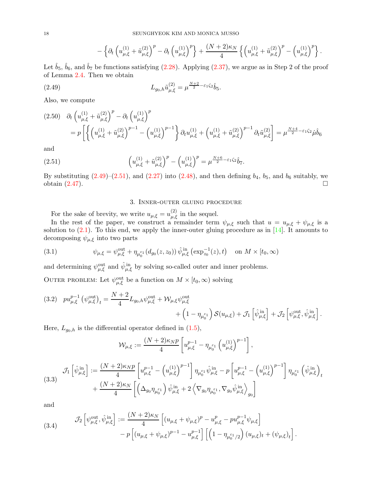<span id="page-17-3"></span>
$$
-\left\{\partial_t\left(u_{\mu,\xi}^{(1)}+\tilde{u}_{\mu,\xi}^{(2)}\right)^p-\partial_t\left(u_{\mu,\xi}^{(1)}\right)^p\right\}+\frac{(N+2)\kappa_N}{4}\left\{\left(u_{\mu,\xi}^{(1)}+\tilde{u}_{\mu,\xi}^{(2)}\right)^p-\left(u_{\mu,\xi}^{(1)}\right)^p\right\}.
$$

Let  $\hat{b}_5$ ,  $\hat{b}_6$ , and  $\hat{b}_7$  be functions satisfying [\(2.28\)](#page-12-2). Applying [\(2.37\)](#page-14-3), we argue as in Step 2 of the proof of Lemma [2.4.](#page-12-4) Then we obtain

(2.49) 
$$
L_{g_0,h}\tilde{u}_{\mu,\xi}^{(2)} = \mu^{\frac{N+2}{2} - \varepsilon_1\zeta_2}\hat{b}_5.
$$

Also, we compute

$$
(2.50) \quad \partial_t \left( u_{\mu,\xi}^{(1)} + \tilde{u}_{\mu,\xi}^{(2)} \right)^p - \partial_t \left( u_{\mu,\xi}^{(1)} \right)^p
$$
  
=  $p \left[ \left\{ \left( u_{\mu,\xi}^{(1)} + \tilde{u}_{\mu,\xi}^{(2)} \right)^{p-1} - \left( u_{\mu,\xi}^{(1)} \right)^{p-1} \right\} \partial_t u_{\mu,\xi}^{(1)} + \left( u_{\mu,\xi}^{(1)} + \tilde{u}_{\mu,\xi}^{(2)} \right)^{p-1} \partial_t \tilde{u}_{\mu,\xi}^{(2)} \right] = \mu^{\frac{N+4}{2} - \varepsilon_1 \zeta_2} \mu \tilde{b}_6$ 

and

(2.51) 
$$
\left(u_{\mu,\xi}^{(1)} + \tilde{u}_{\mu,\xi}^{(2)}\right)^p - \left(u_{\mu,\xi}^{(1)}\right)^p = \mu^{\frac{N+6}{2} - \varepsilon_1 \zeta_2} \hat{b}_7.
$$

By substituting  $(2.49)$ – $(2.51)$ , and  $(2.27)$  into  $(2.48)$ , and then defining  $b_4$ ,  $b_5$ , and  $b_6$  suitably, we obtain  $(2.47)$ .

## <span id="page-17-4"></span>3. Inner-outer gluing procedure

<span id="page-17-0"></span>For the sake of brevity, we write  $u_{\mu,\xi} = u_{\mu,\xi}^{(2)}$  in the sequel.

In the rest of the paper, we construct a remainder term  $\psi_{\mu,\xi}$  such that  $u = u_{\mu,\xi} + \psi_{\mu,\xi}$  is a solution to  $(2.1)$ . To this end, we apply the inner-outer gluing procedure as in  $[14]$ . It amounts to decomposing  $\psi_{\mu,\xi}$  into two parts

<span id="page-17-5"></span>(3.1) 
$$
\psi_{\mu,\xi} = \psi_{\mu,\xi}^{\text{out}} + \eta_{\mu_0^{\varepsilon_1}}(d_{g_0}(z,z_0))\,\hat{\psi}_{\mu,\xi}^{\text{in}}\left(\exp_{z_0}^{-1}(z),t\right) \quad \text{on } M \times [t_0,\infty)
$$

and determining  $\psi_{\mu,\xi}^{\text{out}}$  and  $\hat{\psi}_{\mu,\xi}^{\text{in}}$  by solving so-called outer and inner problems.

OUTER PROBLEM: Let  $\psi_{\mu,\xi}^{\text{out}}$  be a function on  $M \times [t_0,\infty)$  solving

<span id="page-17-1"></span>(3.2) 
$$
p u_{\mu,\xi}^{p-1} (\psi_{\mu,\xi}^{\text{out}})_t = \frac{N+2}{4} L_{g_0,h} \psi_{\mu,\xi}^{\text{out}} + \mathcal{W}_{\mu,\xi} \psi_{\mu,\xi}^{\text{out}} + \left(1 - \eta_{\mu_0^{\varepsilon_1}}\right) \mathcal{S}(u_{\mu,\xi}) + \mathcal{J}_1 \left[\hat{\psi}_{\mu,\xi}^{\text{in}}\right] + \mathcal{J}_2 \left[\psi_{\mu,\xi}^{\text{out}}, \hat{\psi}_{\mu,\xi}^{\text{in}}\right].
$$

Here,  $L_{g_0,h}$  is the differential operator defined in [\(1.5\)](#page-1-5),

$$
\mathcal{W}_{\mu,\xi} := \frac{(N+2)\kappa_N p}{4} \left[ u_{\mu,\xi}^{p-1} - \eta_{\mu_0^{\varepsilon_1}} \left( u_{\mu,\xi}^{(1)} \right)^{p-1} \right],
$$

<span id="page-17-6"></span>
$$
(3.3) \quad \mathcal{J}_1\left[\hat{\psi}_{\mu,\xi}^{\text{in}}\right] := \frac{(N+2)\kappa_N p}{4} \left[ u_{\mu,\xi}^{p-1} - \left(u_{\mu,\xi}^{(1)}\right)^{p-1} \right] \eta_{\mu_0^{\varepsilon_1}} \hat{\psi}_{\mu,\xi}^{\text{in}} - p \left[ u_{\mu,\xi}^{p-1} - \left(u_{\mu,\xi}^{(1)}\right)^{p-1} \right] \eta_{\mu_0^{\varepsilon_1}} \left(\hat{\psi}_{\mu,\xi}^{\text{in}}\right)_t \newline + \frac{(N+2)\kappa_N}{4} \left[ \left(\Delta_{g_0} \eta_{\mu_0^{\varepsilon_1}}\right) \hat{\psi}_{\mu,\xi}^{\text{in}} + 2 \left\langle \nabla_{g_0} \eta_{\mu_0^{\varepsilon_1}} , \nabla_{g_0} \hat{\psi}_{\mu,\xi}^{\text{in}} \right\rangle_{g_0} \right]
$$

and

<span id="page-17-2"></span>(3.4) 
$$
\mathcal{J}_2 \left[ \psi_{\mu,\xi}^{\text{out}}, \hat{\psi}_{\mu,\xi}^{\text{in}} \right] := \frac{(N+2)\kappa_N}{4} \left[ (u_{\mu,\xi} + \psi_{\mu,\xi})^p - u_{\mu,\xi}^p - p u_{\mu,\xi}^{p-1} \psi_{\mu,\xi} \right] - p \left[ (u_{\mu,\xi} + \psi_{\mu,\xi})^{p-1} - u_{\mu,\xi}^{p-1} \right] \left[ \left( 1 - \eta_{\mu_0^{\varepsilon_1}/2} \right) (u_{\mu,\xi})_t + (\psi_{\mu,\xi})_t \right].
$$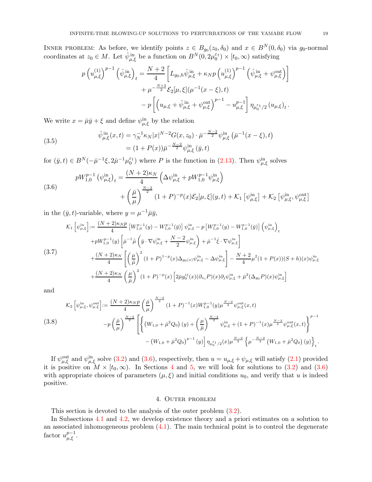INNER PROBLEM: As before, we identify points  $z \in B_{g_0}(z_0, \delta_0)$  and  $x \in B^N(0, \delta_0)$  via  $g_0$ -normal coordinates at  $z_0 \in M$ . Let  $\hat{\psi}_{\mu,\xi}^{\text{in}}$  be a function on  $B^N(0, 2\mu_0^{\varepsilon_1}) \times [t_0, \infty)$  satisfying

$$
p\left(u_{\mu,\xi}^{(1)}\right)^{p-1} \left(\hat{\psi}_{\mu,\xi}^{\text{in}}\right)_t = \frac{N+2}{4} \left[L_{g_0,h}\hat{\psi}_{\mu,\xi}^{\text{in}} + \kappa_N p\left(u_{\mu,\xi}^{(1)}\right)^{p-1} \left(\hat{\psi}_{\mu,\xi}^{\text{in}} + \psi_{\mu,\xi}^{\text{out}}\right)\right] + \mu^{-\frac{N+2}{2}} \mathcal{E}_2[\mu,\xi](\mu^{-1}(x-\xi),t) - p\left[\left(u_{\mu,\xi} + \hat{\psi}_{\mu,\xi}^{\text{in}} + \psi_{\mu,\xi}^{\text{out}}\right)^{p-1} - u_{\mu,\xi}^{p-1}\right] \eta_{\mu_0^{\varepsilon_1}/2} \left(u_{\mu,\xi}\right)_t.
$$

We write  $x = \bar{\mu}\bar{y} + \xi$  and define  $\psi_{\mu,\xi}^{in}$  by the relation

<span id="page-18-2"></span>(3.5) 
$$
\hat{\psi}_{\mu,\xi}^{\text{in}}(x,t) = \gamma_N^{-1} \kappa_N |x|^{N-2} G(x,z_0) \cdot \bar{\mu}^{-\frac{N-2}{2}} \psi_{\mu,\xi}^{\text{in}} \left( \bar{\mu}^{-1}(x-\xi), t \right) \n= (1 + P(x)) \bar{\mu}^{-\frac{N-2}{2}} \psi_{\mu,\xi}^{\text{in}} \left( \bar{y}, t \right)
$$

for  $(\bar{y}, t) \in B^N(-\bar{\mu}^{-1}\xi, 2\bar{\mu}^{-1}\mu_0^{\varepsilon_1})$  where P is the function in [\(2.13\)](#page-10-2). Then  $\psi_{\mu,\xi}^{\text{in}}$  solves

<span id="page-18-0"></span>(3.6)  

$$
pW_{1,0}^{p-1} (\psi_{\mu,\xi}^{\text{in}})_t = \frac{(N+2)\kappa_N}{4} \left( \Delta \psi_{\mu,\xi}^{\text{in}} + pW_{1,0}^{p-1} \psi_{\mu,\xi}^{\text{in}} \right) + \left( \frac{\bar{\mu}}{\mu} \right)^{\frac{N-2}{2}} (1+P)^{-p}(x) \mathcal{E}_2[\mu,\xi](y,t) + \mathcal{K}_1 [\psi_{\mu,\xi}^{\text{in}}] + \mathcal{K}_2 [\psi_{\mu,\xi}^{\text{in}}, \psi_{\mu,\xi}^{\text{out}}]
$$

in the  $(\bar{y}, t)$ -variable, where  $y = \mu^{-1} \bar{\mu} \bar{y}$ ,

4

 $\bar{\mu}$ 

<span id="page-18-3"></span>
$$
\mathcal{K}_{1}\left[\psi_{\mu,\xi}^{\text{in}}\right] := \frac{(N+2)\kappa_{N}p}{4}\left[W_{1,0}^{p-1}(y) - W_{1,0}^{p-1}(\bar{y})\right]\psi_{\mu,\xi}^{\text{in}} - p\left[W_{1,0}^{p-1}(y) - W_{1,0}^{p-1}(\bar{y})\right]\left(\psi_{\mu,\xi}^{\text{in}}\right)_{t} \n+ pW_{1,0}^{p-1}(y)\left[\bar{\mu}^{-1}\dot{\bar{\mu}}\left(\bar{y}\cdot\nabla\psi_{\mu,\xi}^{\text{in}} + \frac{N-2}{2}\psi_{\mu,\xi}^{\text{in}}\right) + \bar{\mu}^{-1}\dot{\xi}\cdot\nabla\psi_{\mu,\xi}^{\text{in}}\right] \n(3.7) \n+ \frac{(N+2)\kappa_{N}}{4}\left[\left(\frac{\mu}{\bar{\mu}}\right)^{2}(1+P)^{1-p}(x)\Delta_{g_{0}(x)}\psi_{\mu,\xi}^{\text{in}} - \Delta\psi_{\mu,\xi}^{\text{in}}\right] - \frac{N+2}{4}\mu^{2}(1+P(x))(S+h)(x)\psi_{\mu,\xi}^{\text{in}} \n+ \frac{(N+2)\kappa_{N}}{4}\left(\frac{\mu}{\bar{\mu}}\right)^{2}(1+P)^{-p}(x)\left[2\bar{\mu}g_{0}^{ij}(x)(\partial_{x_{i}}P)(x)\partial_{j}\psi_{\mu,\xi}^{\text{in}} + \bar{\mu}^{2}(\Delta_{g_{0}}P)(x)\psi_{\mu,\xi}^{\text{in}}\right]
$$

and

<span id="page-18-4"></span>
$$
\begin{split} \text{(3.8)}\\ \text{(3.8)}\\ \text{(3.8)}\\ \text{(3.8)}\\ \text{(3.8)}\\ \text{(3.8)}\\ \text{(3.9)}\\ \text{(3.9)}\\ \text{(3.9)}\\ \text{(3.9)}\\ \text{(3.9)}\\ \text{(3.9)}\\ \text{(3.9)}\\ \text{(3.9)}\\ \text{(3.9)}\\ \text{(3.9)}\\ \text{(3.9)}\\ \text{(3.9)}\\ \text{(3.9)}\\ \text{(3.9)}\\ \text{(3.9)}\\ \text{(3.9)}\\ \text{(3.9)}\\ \text{(3.9)}\\ \text{(3.9)}\\ \text{(3.9)}\\ \text{(3.9)}\\ \text{(3.9)}\\ \text{(3.9)}\\ \text{(3.9)}\\ \text{(3.9)}\\ \text{(3.9)}\\ \text{(3.9)}\\ \text{(3.9)}\\ \text{(3.9)}\\ \text{(3.9)}\\ \text{(3.9)}\\ \text{(3.9)}\\ \text{(3.9)}\\ \text{(3.9)}\\ \text{(3.9)}\\ \text{(3.9)}\\ \text{(3.9)}\\ \text{(3.9)}\\ \text{(3.9)}\\ \text{(3.9)}\\ \text{(3.9)}\\ \text{(3.9)}\\ \text{(3.9)}\\ \text{(3.9)}\\ \text{(3.9)}\\ \text{(3.9)}\\ \text{(3.9)}\\ \text{(3.9)}\\ \text{(3.9)}\\ \text{(3.9)}\\ \text{(3.9)}\\ \text{(3.9)}\\ \text{(3.9)}\\ \text{(3.9)}\\ \text{(3.9)}\\ \text{(3.9)}\\ \text{(3.9)}\\ \text{(3.9)}\\ \text{(3.9)}\\ \text{(3.9)}\\ \text{(3.9)}\\ \text{(3.9)}\\ \text{(3.9)}\\ \text{(3.9)}\\ \text{(3.9)}\\ \text{(3.9)}\\ \text{(3.9)}\\ \text{(3.9)}\\ \text{(3.9)}\\ \text{(3.9)}\\ \text{(3.9)}\\ \text{(3.9)}\\ \text{(3.9)}\\ \text{(3.9)}\\ \text{(3.9)}\\ \text{(3.9)}\\ \text{(3.9)}\\ \text{(3.9)}\\ \text{(3.9)}\\ \text{(3.9)}\\ \text{(3.9)}\\ \text{(3.9)}\\ \text{(3.9)}\\ \text{(3.9)}\\ \text{(3.9)}\\ \text{(3.9)}\\ \text{(3.9)}\\ \text{(3.9)}\\ \text{(
$$

If  $\psi_{\mu,\xi}^{\text{out}}$  and  $\psi_{\mu,\xi}^{\text{in}}$  solve [\(3.2\)](#page-17-1) and [\(3.6\)](#page-18-0), respectively, then  $u = u_{\mu,\xi} + \psi_{\mu,\xi}$  will satisfy [\(2.1\)](#page-8-3) provided it is positive on  $M \times [t_0, \infty)$ . In Sections [4](#page-18-1) and [5,](#page-36-0) we will look for solutions to [\(3.2\)](#page-17-1) and [\(3.6\)](#page-18-0) with appropriate choices of parameters  $(\mu, \xi)$  and initial conditions  $u_0$ , and verify that u is indeed positive.

### 4. Outer problem

<span id="page-18-1"></span>This section is devoted to the analysis of the outer problem [\(3.2\)](#page-17-1).

In Subsections [4.1](#page-19-2) and [4.2,](#page-24-1) we develop existence theory and a priori estimates on a solution to an associated inhomogeneous problem  $(4.1)$ . The main technical point is to control the degenerate factor  $u_{\mu,\xi}^{p-1}$ .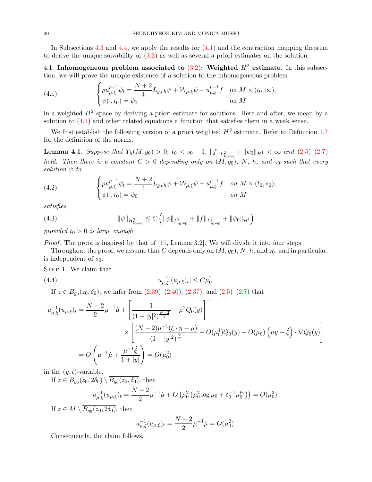In Subsections [4.3](#page-31-0) and [4.4,](#page-35-0) we apply the results for [\(4.1\)](#page-19-1) and the contraction mapping theorem to derive the unique solvability of [\(3.2\)](#page-17-1) as well as several a priori estimates on the solution.

<span id="page-19-2"></span>4.1. Inhomogeneous problem associated to  $(3.2)$ : Weighted  $H^2$  estimate. In this subsection, we will prove the unique existence of a solution to the inhomogeneous problem

<span id="page-19-1"></span>(4.1) 
$$
\begin{cases} pu_{\mu,\xi}^{p-1} \psi_t = \frac{N+2}{4} L_{g_0,h} \psi + \mathcal{W}_{\mu,\xi} \psi + u_{\mu,\xi}^{p-1} f & \text{on } M \times (t_0,\infty), \\ \psi(\cdot,t_0) = \psi_0 & \text{on } M \end{cases}
$$

in a weighted  $H^2$  space by deriving a priori estimate for solutions. Here and after, we mean by a solution to [\(4.1\)](#page-19-1) and other related equations a function that satisfies them in a weak sense.

We first establish the following version of a priori weighted  $H^2$  estimate. Refer to Definition [1.7](#page-6-1) for the definition of the norms.

<span id="page-19-4"></span>**Lemma 4.1.** Suppose that  $Y_h(M, g_0) > 0$ ,  $t_0 < s_0 - 1$ ,  $||f||_{L^2_{t_0, s_0}} + ||\psi_0||_{\mathcal{H}^1} < \infty$  and  $(2.5)-(2.7)$  $(2.5)-(2.7)$  $(2.5)-(2.7)$ hold. Then there is a constant  $C > 0$  depending only on  $(M, g_0)$ , N, h, and  $z_0$  such that every solution  $\psi$  to

<span id="page-19-5"></span>(4.2) 
$$
\begin{cases} pu_{\mu,\xi}^{p-1} \psi_t = \frac{N+2}{4} L_{g_0,h} \psi + \mathcal{W}_{\mu,\xi} \psi + u_{\mu,\xi}^{p-1} f & \text{on } M \times (t_0, s_0), \\ \psi(\cdot, t_0) = \psi_0 & \text{on } M \end{cases}
$$

satisfies

<span id="page-19-3"></span>(4.3) 
$$
\|\psi\|_{H^2_{t_0,s_0}} \leq C \left( \|\psi\|_{L^2_{t_0,s_0}} + \|f\|_{L^2_{t_0,s_0}} + \|\psi_0\|_{\mathcal{H}^1} \right)
$$

provided  $t_0 > 0$  is large enough.

*Proof.* The proof is inspired by that of  $[15, \text{Lemma } 3.2]$ . We will divide it into four steps.

Throughout the proof, we assume that C depends only on  $(M, g_0)$ , N, h, and  $z_0$ , and in particular, is independent of  $s_0$ .

Step 1. We claim that

(4.4) 
$$
u_{\mu,\xi}^{-1}|(u_{\mu,\xi})_t| \leq C\mu_0^2.
$$

<span id="page-19-0"></span>If  $z \in B_{g_0}(z_0, \delta_0)$ , we infer from  $(2.39)$ – $(2.40)$ ,  $(2.37)$ , and  $(2.5)$ – $(2.7)$  that

$$
u_{\mu,\xi}^{-1}(u_{\mu,\xi})_t = \frac{N-2}{2}\mu^{-1}\dot{\mu} + \left[\frac{1}{(1+|y|^2)^{\frac{N-2}{2}}} + \bar{\mu}^2 Q_0(y)\right]^{-1}
$$
  
\$\times \left[\frac{(N-2)\mu^{-1}(\dot{\xi}\cdot y - \dot{\mu})}{(1+|y|^2)^{\frac{N}{2}}} + O(\mu\_0^4)Q\_0(y) + O(\mu\_0)\left(\dot{\mu}y - \dot{\xi}\right)\cdot \nabla Q\_0(y)\right]\$  
= 
$$
O\left(\mu^{-1}\dot{\mu} + \frac{\mu^{-1}\dot{\xi}}{1+|y|}\right) = O(\mu_0^2)
$$

in the  $(y, t)$ -variable.

If  $z \in B_{g_0}(z_0, 2\delta_0) \setminus B_{g_0}(z_0, \delta_0)$ , then

$$
u_{\mu,\xi}^{-1}(u_{\mu,\xi})_t = \frac{N-2}{2}\mu^{-1}\dot{\mu} + O\left(\mu_0^2\left(\mu_0^2\log\mu_0 + \delta_0^{-1}\mu_0^{\nu_2}\right)\right) = O(\mu_0^2).
$$

If  $z \in M \setminus B_{g_0}(z_0, 2\delta_0)$ , then

$$
u_{\mu,\xi}^{-1}(u_{\mu,\xi})_t = \frac{N-2}{2}\mu^{-1}\dot{\mu} = O(\mu_0^2).
$$

Consequently, the claim follows.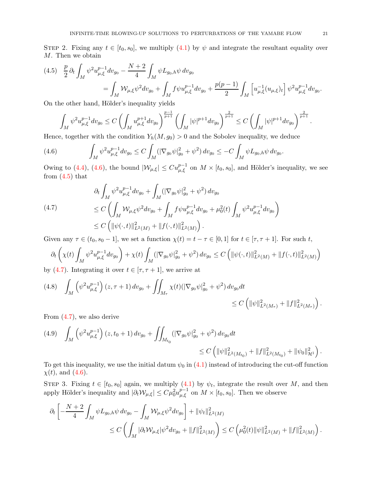STEP 2. Fixing any  $t \in [t_0, s_0]$ , we multiply  $(4.1)$  by  $\psi$  and integrate the resultant equality over M. Then we obtain

<span id="page-20-1"></span>
$$
(4.5) \quad \frac{p}{2} \partial_t \int_M \psi^2 u_{\mu,\xi}^{p-1} dv_{g_0} - \frac{N+2}{4} \int_M \psi L_{g_0,h} \psi \, dv_{g_0}
$$
  

$$
= \int_M \mathcal{W}_{\mu,\xi} \psi^2 dv_{g_0} + \int_M f \psi u_{\mu,\xi}^{p-1} dv_{g_0} + \frac{p(p-1)}{2} \int_M \left[ u_{\mu,\xi}^{-1} (u_{\mu,\xi})_t \right] \psi^2 u_{\mu,\xi}^{p-1} dv_{g_0}.
$$

On the other hand, Hölder's inequality yields

$$
\int_M \psi^2 u_{\mu,\xi}^{p-1} dv_{g_0} \le C \left( \int_M u_{\mu,\xi}^{p+1} dv_{g_0} \right)^{\frac{p-1}{p+1}} \left( \int_M |\psi|^{p+1} dv_{g_0} \right)^{\frac{2}{p+1}} \le C \left( \int_M |\psi|^{p+1} dv_{g_0} \right)^{\frac{2}{p+1}}
$$

Hence, together with the condition  $Y_h(M, g_0) > 0$  and the Sobolev inequality, we deduce

<span id="page-20-0"></span>(4.6) 
$$
\int_M \psi^2 u_{\mu,\xi}^{p-1} dv_{g_0} \leq C \int_M (|\nabla_{g_0} \psi|_{g_0}^2 + \psi^2) dv_{g_0} \leq -C \int_M \psi L_{g_0,h} \psi dv_{g_0}.
$$

Owing to [\(4.4\)](#page-19-0), [\(4.6\)](#page-20-0), the bound  $|\mathcal{W}_{\mu,\xi}| \leq Cu_{\mu,\xi}^{p-1}$  on  $M \times [t_0, s_0]$ , and Hölder's inequality, we see from  $(4.5)$  that

<span id="page-20-2"></span>
$$
(4.7) \qquad \partial_t \int_M \psi^2 u_{\mu,\xi}^{p-1} dv_{g_0} + \int_M (|\nabla_{g_0} \psi|_{g_0}^2 + \psi^2) dv_{g_0}
$$
\n
$$
\leq C \left( \int_M \mathcal{W}_{\mu,\xi} \psi^2 dv_{g_0} + \int_M f \psi u_{\mu,\xi}^{p-1} dv_{g_0} + \mu_0^2(t) \int_M \psi^2 u_{\mu,\xi}^{p-1} dv_{g_0} \right)
$$
\n
$$
\leq C \left( \| \psi(\cdot,t) \|_{L^2(M)}^2 + \| f(\cdot,t) \|_{L^2(M)}^2 \right).
$$

Given any  $\tau \in (t_0, s_0 - 1]$ , we set a function  $\chi(t) = t - \tau \in [0, 1]$  for  $t \in [\tau, \tau + 1]$ . For such t,

$$
\partial_t \left( \chi(t) \int_M \psi^2 u_{\mu,\xi}^{p-1} dv_{g_0} \right) + \chi(t) \int_M (|\nabla_{g_0} \psi|_{g_0}^2 + \psi^2) dv_{g_0} \le C \left( \| \psi(\cdot,t) \|_{L^2(M)}^2 + \| f(\cdot,t) \|_{L^2(M)}^2 \right)
$$

by [\(4.7\)](#page-20-2). Integrating it over  $t \in [\tau, \tau + 1]$ , we arrive at

<span id="page-20-3"></span>
$$
(4.8) \quad \int_M \left( \psi^2 u_{\mu,\xi}^{p-1} \right) (z,\tau+1) \, dv_{g_0} + \iint_{M_\tau} \chi(t) (|\nabla_{g_0} \psi|_{g_0}^2 + \psi^2) \, dv_{g_0} dt \leq C \left( \|\psi\|_{L^2(M_\tau)}^2 + \|f\|_{L^2(M_\tau)}^2 \right).
$$

From [\(4.7\)](#page-20-2), we also derive

<span id="page-20-4"></span>
$$
(4.9) \quad \int_M \left( \psi^2 u_{\mu, \xi}^{p-1} \right) (z, t_0 + 1) \, dv_{g_0} + \iint_{M_{t_0}} (|\nabla_{g_0} \psi|_{g_0}^2 + \psi^2) \, dv_{g_0} dt
$$
  

$$
\leq C \left( \|\psi\|_{L^2(M_{t_0})}^2 + \|f\|_{L^2(M_{t_0})}^2 + \|\psi_0\|_{\mathcal{H}^1}^2 \right).
$$

To get this inequality, we use the initial datum  $\psi_0$  in [\(4.1\)](#page-19-1) instead of introducing the cut-off function  $\chi(t)$ , and [\(4.6\)](#page-20-0).

STEP 3. Fixing  $t \in [t_0, s_0]$  again, we multiply  $(4.1)$  by  $\psi_t$ , integrate the result over M, and then apply Hölder's inequality and  $|\partial_t \mathcal{W}_{\mu,\xi}| \leq C \mu_0^2 u_{\mu,\xi}^{p-1}$  on  $M \times [t_0, s_0]$ . Then we observe

$$
\begin{aligned} \partial_t \left[ -\frac{N+2}{4} \int_M \psi L_{g_0,h} \psi \, dv_{g_0} - \int_M \mathcal{W}_{\mu,\xi} \psi^2 dv_{g_0} \right] + \|\psi_t\|_{L^2(M)}^2 \\ & \leq C \left( \int_M |\partial_t \mathcal{W}_{\mu,\xi}| \psi^2 dv_{g_0} + \|f\|_{L^2(M)}^2 \right) \leq C \left( \mu_0^2(t) \|\psi\|_{L^2(M)}^2 + \|f\|_{L^2(M)}^2 \right). \end{aligned}
$$

.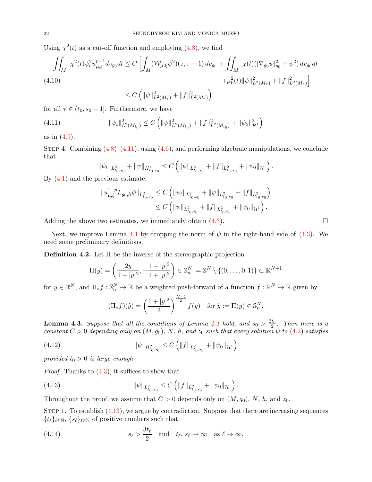Using  $\chi^2(t)$  as a cut-off function and employing [\(4.8\)](#page-20-3), we find

$$
\iint_{M_{\tau}} \chi^{2}(t)\psi_{t}^{2}u_{\mu,\xi}^{p-1}dv_{g_{0}}dt \leq C\left[\int_{M} (\mathcal{W}_{\mu,\xi}\psi^{2})(z,\tau+1) dv_{g_{0}} + \iint_{M_{\tau}} \chi(t)(|\nabla_{g_{0}}\psi|_{g_{0}}^{2} + \psi^{2}) dv_{g_{0}}dt + \mu_{0}^{2}(t)||\psi||_{L^{2}(M_{\tau})}^{2} + ||f||_{L^{2}(M_{\tau})}^{2}\right]
$$
\n
$$
\leq C\left(||\psi||_{L^{2}(M_{\tau})}^{2} + ||f||_{L^{2}(M_{\tau})}^{2}\right)
$$

for all  $\tau \in (t_0, s_0 - 1]$ . Furthermore, we have

(4.11) 
$$
\|\psi_t\|_{L^2(M_{t_0})}^2 \leq C \left( \|\psi\|_{L^2(M_{t_0})}^2 + \|f\|_{L^2(M_{t_0})}^2 + \|\psi_0\|_{\mathcal{H}^1}^2 \right)
$$

as in [\(4.9\)](#page-20-4).

STEP 4. Combining  $(4.8)$ – $(4.11)$ , using  $(4.6)$ , and performing algebraic manipulations, we conclude that

<span id="page-21-0"></span>
$$
\|\psi_t\|_{L^2_{t_0,s_0}}+\|\psi\|_{H^1_{t_0,s_0}}\leq C\left(\|\psi\|_{L^2_{t_0,s_0}}+\|f\|_{L^2_{t_0,s_0}}+\|\psi_0\|_{\mathcal{H}^1}\right).
$$

By [\(4.1\)](#page-19-1) and the previous estimate,

$$
\begin{split} \|u_{\mu,\xi}^{1-p} L_{g_0,h} \psi\|_{L^2_{t_0,s_0}} &\leq C \left( \|\psi_t\|_{L^2_{t_0,s_0}} + \|\psi\|_{L^2_{t_0,s_0}} + \|f\|_{L^2_{t_0,s_0}} \right) \\ &\leq C \left( \|\psi\|_{L^2_{t_0,s_0}} + \|f\|_{L^2_{t_0,s_0}} + \|\psi_0\|_{\mathcal{H}^1} \right). \end{split}
$$

Adding the above two estimates, we immediately obtain  $(4.3)$ .

Next, we improve Lemma [4.1](#page-19-4) by dropping the norm of  $\psi$  in the right-hand side of [\(4.3\)](#page-19-3). We need some preliminary definitions.

<span id="page-21-2"></span>Definition 4.2. Let  $\Pi$  be the inverse of the stereographic projection

$$
\Pi(y) = \left(\frac{2y}{1+|y|^2}, -\frac{1-|y|^2}{1+|y|^2}\right) \in \mathbb{S}_n^N := \mathbb{S}^N \setminus \{(0, \dots, 0, 1)\} \subset \mathbb{R}^{N+1}
$$

for  $y \in \mathbb{R}^N$ , and  $\Pi_* f : \mathbb{S}_n^N \to \mathbb{R}$  be a weighted push-forward of a function  $f : \mathbb{R}^N \to \mathbb{R}$  given by

<span id="page-21-3"></span>
$$
(\Pi_* f)(\tilde{y}) = \left(\frac{1+|y|^2}{2}\right)^{\frac{N-2}{2}} f(y) \text{ for } \tilde{y} := \Pi(y) \in \mathbb{S}_n^N.
$$

<span id="page-21-5"></span>**Lemma 4.3.** Suppose that all the conditions of Lemma [4.1](#page-19-4) hold, and  $s_0 > \frac{3t_0}{2}$ . Then there is a constant  $C > 0$  depending only on  $(M, g_0)$ , N, h, and  $z_0$  such that every solution  $\psi$  to [\(4.2\)](#page-19-5) satisfies

(4.12) 
$$
\|\psi\|_{H^2_{t_0,s_0}} \leq C \left( \|f\|_{L^2_{t_0,s_0}} + \|\psi_0\|_{\mathcal{H}^1} \right)
$$

provided  $t_0 > 0$  is large enough.

*Proof.* Thanks to  $(4.3)$ , it suffices to show that

<span id="page-21-1"></span>(4.13) 
$$
\|\psi\|_{L^2_{t_0,s_0}} \leq C \left( \|f\|_{L^2_{t_0,s_0}} + \|\psi_0\|_{\mathcal{H}^1} \right).
$$

Throughout the proof, we assume that  $C > 0$  depends only on  $(M, g_0)$ , N, h, and  $z_0$ .

STEP 1. To establish  $(4.13)$ , we argue by contradiction. Suppose that there are increasing sequences  ${t_\ell}_{\ell \in \mathbb{N}}, {s_\ell}_{\ell \in \mathbb{N}}$  of positive numbers such that

<span id="page-21-4"></span>(4.14) 
$$
s_{\ell} > \frac{3t_{\ell}}{2}
$$
 and  $t_{\ell}, s_{\ell} \to \infty$  as  $\ell \to \infty$ ,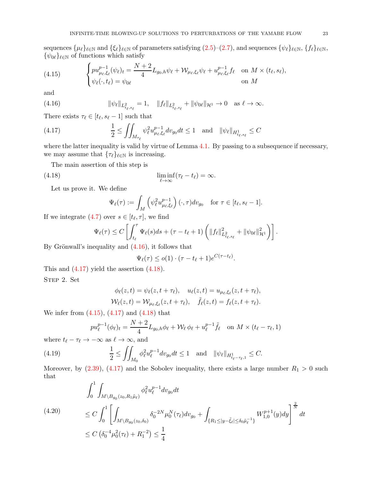sequences  $\{\mu_\ell\}_{\ell \in \mathbb{N}}$  and  $\{\xi_\ell\}_{\ell \in \mathbb{N}}$  of parameters satisfying  $(2.5)-(2.7)$  $(2.5)-(2.7)$ , and sequences  $\{\psi_\ell\}_{\ell \in \mathbb{N}}$ ,  $\{f_\ell\}_{\ell \in \mathbb{N}}$ ,  $\{\psi_{0\ell}\}_{\ell \in \mathbb{N}}$  of functions which satisfy

<span id="page-22-3"></span>(4.15) 
$$
\begin{cases} pu_{\mu_{\ell},\xi_{\ell}}^{p-1}(\psi_{\ell})_{t} = \frac{N+2}{4}L_{g_{0},h}\psi_{\ell} + \mathcal{W}_{\mu_{\ell},\xi_{\ell}}\psi_{\ell} + u_{\mu_{\ell},\xi_{\ell}}^{p-1}f_{\ell} \quad \text{on } M \times (t_{\ell},s_{\ell}),\\ \psi_{\ell}(\cdot,t_{\ell}) = \psi_{0\ell} \quad \text{on } M \end{cases}
$$

and

<span id="page-22-0"></span>(4.16) 
$$
\|\psi_{\ell}\|_{L^2_{t_{\ell},s_{\ell}}} = 1, \quad \|f_{\ell}\|_{L^2_{t_{\ell},s_{\ell}}} + \|\psi_{0\ell}\|_{\mathcal{H}^1} \to 0 \quad \text{as } \ell \to \infty.
$$

There exists  $\tau_{\ell} \in [t_{\ell}, s_{\ell} - 1]$  such that

<span id="page-22-1"></span>(4.17) 
$$
\frac{1}{2} \le \iint_{M_{\tau_{\ell}}} \psi_{\ell}^2 u_{\mu_{\ell}, \xi_{\ell}}^{p-1} dv_{g_0} dt \le 1 \text{ and } \|\psi_{\ell}\|_{H_{t_{\ell}, s_{\ell}}^1} \le C
$$

where the latter inequality is valid by virtue of Lemma [4.1.](#page-19-4) By passing to a subsequence if necessary, we may assume that  $\{\tau_{\ell}\}_{\ell \in \mathbb{N}}$  is increasing.

The main assertion of this step is

(4.18) 
$$
\liminf_{\ell \to \infty} (\tau_{\ell} - t_{\ell}) = \infty.
$$

Let us prove it. We define

<span id="page-22-2"></span>
$$
\Psi_{\ell}(\tau) := \int_M \left( \psi_{\ell}^2 u_{\mu_{\ell}, \xi_{\ell}}^{p-1} \right)(\cdot, \tau) dv_{g_0} \quad \text{for } \tau \in [t_{\ell}, s_{\ell} - 1].
$$

If we integrate  $(4.7)$  over  $s \in [t_{\ell}, \tau]$ , we find

$$
\Psi_{\ell}(\tau) \leq C \left[ \int_{t_{\ell}}^{\tau} \Psi_{\ell}(s) ds + (\tau - t_{\ell} + 1) \left( \|f_{\ell}\|_{L_{t_{\ell}, s_{\ell}}}^2 + \|\psi_{0\ell}\|_{\mathcal{H}^1}^2 \right) \right].
$$

By Grönwall's inequality and  $(4.16)$ , it follows that

$$
\Psi_{\ell}(\tau) \leq o(1) \cdot (\tau - t_{\ell} + 1) e^{C(\tau - t_{\ell})}
$$

.

This and  $(4.17)$  yield the assertion  $(4.18)$ . STEP 2. Set

$$
\phi_{\ell}(z,t) = \psi_{\ell}(z,t+\tau_{\ell}), \quad u_{\ell}(z,t) = u_{\mu_{\ell},\xi_{\ell}}(z,t+\tau_{\ell}),
$$

$$
\mathcal{W}_{\ell}(z,t) = \mathcal{W}_{\mu_{\ell},\xi_{\ell}}(z,t+\tau_{\ell}), \quad \tilde{f}_{\ell}(z,t) = f_{\ell}(z,t+\tau_{\ell}).
$$

We infer from  $(4.15)$ ,  $(4.17)$  and  $(4.18)$  that

<span id="page-22-4"></span>
$$
p u_{\ell}^{p-1}(\phi_{\ell})_t = \frac{N+2}{4} L_{g_0,h} \phi_{\ell} + \mathcal{W}_{\ell} \phi_{\ell} + u_{\ell}^{p-1} \tilde{f}_{\ell} \quad \text{on } M \times (t_{\ell} - \tau_{\ell}, 1)
$$

where  $t_{\ell} - \tau_{\ell} \to -\infty$  as  $\ell \to \infty$ , and

(4.19) 
$$
\frac{1}{2} \le \iint_{M_0} \phi_{\ell}^2 u_{\ell}^{p-1} dv_{g_0} dt \le 1 \text{ and } \|\psi_{\ell}\|_{H_{t_{\ell} - \tau_{\ell}, 1}^1} \le C.
$$

Moreover, by  $(2.39)$ ,  $(4.17)$  and the Sobolev inequality, there exists a large number  $R_1 > 0$  such that

<span id="page-22-5"></span>
$$
(4.20) \qquad \int_0^1 \int_{M \setminus B_{g_0}(z_0, R_1 \tilde{\mu}_{\ell})} \phi_{\ell}^2 u_{\ell}^{p-1} dv_{g_0} dt
$$
\n
$$
\leq C \int_0^1 \left[ \int_{M \setminus B_{g_0}(z_0, \delta_0)} \delta_0^{-2N} \mu_0^N(\tau_{\ell}) dv_{g_0} + \int_{\{R_1 \leq |y - \tilde{\xi}_{\ell}| \leq \delta_0 \tilde{\mu}_{\ell}^{-1}\}} W_{1,0}^{p+1}(y) dy \right]^{\frac{2}{N}} dt
$$
\n
$$
\leq C \left( \delta_0^{-4} \mu_0^2(\tau_{\ell}) + R_1^{-2} \right) \leq \frac{1}{4}
$$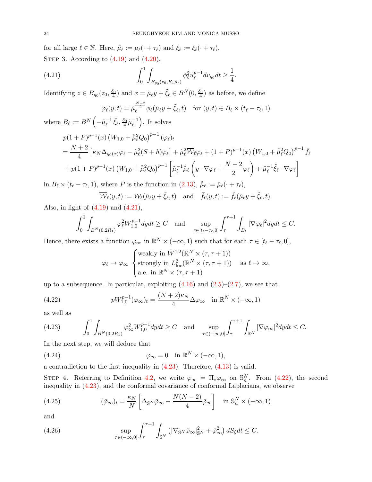for all large  $\ell \in \mathbb{N}$ . Here,  $\tilde{\mu}_{\ell} := \mu_{\ell}(\cdot + \tau_{\ell})$  and  $\tilde{\xi}_{\ell} := \xi_{\ell}(\cdot + \tau_{\ell})$ . STEP 3. According to  $(4.19)$  and  $(4.20)$ ,

(4.21) 
$$
\int_0^1 \int_{B_{g_0}(z_0, R_1\tilde{\mu}_\ell)} \phi_\ell^2 u_\ell^{p-1} dv_{g_0} dt \ge \frac{1}{4}.
$$

Identifying  $z \in B_{g_0}(z_0, \frac{\delta_0}{4})$  and  $x = \tilde{\mu}_{\ell}y + \tilde{\xi}_{\ell} \in B^N(0, \frac{\delta_0}{4})$  as before, we define

<span id="page-23-0"></span>
$$
\varphi_{\ell}(y,t) = \tilde{\mu}_{\ell}^{\frac{N-2}{2}} \phi_{\ell}(\tilde{\mu}_{\ell}y + \tilde{\xi}_{\ell}, t) \quad \text{for } (y,t) \in B_{\ell} \times (t_{\ell} - \tau_{\ell}, 1)
$$

where  $B_{\ell} := B^N \left(-\tilde{\mu}_{\ell}^{-1}\right)$  $^{-1}_{\ell}$   $\tilde{\xi}_{\ell}, \frac{\delta_0}{4} \tilde{\mu}_{\ell}^{-1}$  $\ell$ . It solves

$$
p(1+P)^{p-1}(x) (W_{1,0} + \tilde{\bar{\mu}}_{\ell}^2 Q_0)^{p-1} (\varphi_{\ell})_t
$$
  
=  $\frac{N+2}{4} [\kappa_N \Delta_{g_0(x)} \varphi_{\ell} - \tilde{\mu}_{\ell}^2 (S+h) \varphi_{\ell}] + \tilde{\mu}_{\ell}^2 \overline{W}_{\ell} \varphi_{\ell} + (1+P)^{p-1}(x) (W_{1,0} + \tilde{\bar{\mu}}_{\ell}^2 Q_0)^{p-1} \overline{f}_{\ell}$   
+  $p(1+P)^{p-1}(x) (W_{1,0} + \tilde{\bar{\mu}}_{\ell}^2 Q_0)^{p-1} \left[ \tilde{\mu}_{\ell}^{-1} \dot{\tilde{\mu}}_{\ell} \left( y \cdot \nabla \varphi_{\ell} + \frac{N-2}{2} \varphi_{\ell} \right) + \tilde{\mu}_{\ell}^{-1} \dot{\tilde{\xi}}_{\ell} \cdot \nabla \varphi_{\ell} \right]$ 

in  $B_{\ell} \times (t_{\ell} - \tau_{\ell}, 1)$ , where P is the function in [\(2.13\)](#page-10-2),  $\tilde{\bar{\mu}}_{\ell} := \bar{\mu}_{\ell}(\cdot + \tau_{\ell}),$ 

$$
\overline{\mathcal{W}}_{\ell}(y,t) := \mathcal{W}_{\ell}(\tilde{\mu}_{\ell}y + \tilde{\xi}_{\ell},t) \quad \text{and} \quad \overline{f}_{\ell}(y,t) := \tilde{f}_{\ell}(\tilde{\mu}_{\ell}y + \tilde{\xi}_{\ell},t).
$$

Also, in light of  $(4.19)$  and  $(4.21)$ ,

$$
\int_0^1 \int_{B^N(0,2R_1)} \varphi_\ell^2 W_{1,0}^{p-1} dy dt \ge C \quad \text{and} \quad \sup_{\tau \in [t_\ell - \tau_\ell, 0]} \int_\tau^{\tau+1} \int_{B_\ell} |\nabla \varphi_\ell|^2 dy dt \le C.
$$

Hence, there exists a function  $\varphi_{\infty}$  in  $\mathbb{R}^N \times (-\infty, 1)$  such that for each  $\tau \in [t_{\ell} - \tau_{\ell}, 0],$ 

<span id="page-23-2"></span>
$$
\varphi_{\ell} \to \varphi_{\infty} \begin{cases} \text{weakly in } \dot{W}^{1,2}(\mathbb{R}^N \times (\tau, \tau + 1)) \\ \text{strongly in } L^2_{\text{loc}}(\mathbb{R}^N \times (\tau, \tau + 1)) \\ \text{a.e. in } \mathbb{R}^N \times (\tau, \tau + 1) \end{cases} \text{ as } \ell \to \infty,
$$

up to a subsequence. In particular, exploiting  $(4.16)$  and  $(2.5)-(2.7)$  $(2.5)-(2.7)$ , we see that

(4.22) 
$$
pW_{1,0}^{p-1}(\varphi_{\infty})_t = \frac{(N+2)\kappa_N}{4} \Delta \varphi_{\infty} \quad \text{in } \mathbb{R}^N \times (-\infty, 1)
$$

as well as

<span id="page-23-1"></span>
$$
(4.23) \qquad \int_0^1 \int_{B^N(0,2R_1)} \varphi_\infty^2 W_{1,0}^{p-1} dy dt \ge C \quad \text{and} \quad \sup_{\tau \in (-\infty,0]} \int_{\tau}^{\tau+1} \int_{\mathbb{R}^N} |\nabla \varphi_\infty|^2 dy dt \le C.
$$

In the next step, we will deduce that

<span id="page-23-5"></span>(4.24) 
$$
\varphi_{\infty} = 0 \quad \text{in } \mathbb{R}^{N} \times (-\infty, 1),
$$

a contradiction to the first inequality in [\(4.23\)](#page-23-1). Therefore, [\(4.13\)](#page-21-1) is valid.

STEP 4. Referring to Definition [4.2,](#page-21-2) we write  $\bar{\varphi}_{\infty} = \Pi_* \varphi_{\infty}$  on  $\mathbb{S}_n^N$ . From [\(4.22\)](#page-23-2), the second inequality in [\(4.23\)](#page-23-1), and the conformal covariance of conformal Laplacians, we observe

<span id="page-23-4"></span>(4.25) 
$$
(\bar{\varphi}_{\infty})_t = \frac{\kappa_N}{N} \left[ \Delta_{\mathbb{S}^N} \bar{\varphi}_{\infty} - \frac{N(N-2)}{4} \bar{\varphi}_{\infty} \right] \text{ in } \mathbb{S}_n^N \times (-\infty, 1)
$$

and

<span id="page-23-3"></span>(4.26) 
$$
\sup_{\tau \in (-\infty,0]} \int_{\tau}^{\tau+1} \int_{\mathbb{S}^N} \left( |\nabla_{\mathbb{S}^N} \bar{\varphi}_{\infty}|_{\mathbb{S}^N}^2 + \bar{\varphi}_{\infty}^2 \right) dS_{\tilde{y}} dt \leq C.
$$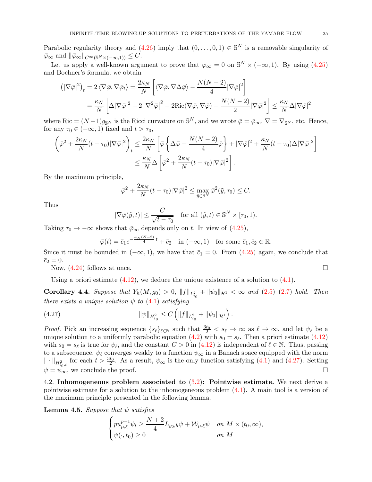Parabolic regularity theory and  $(4.26)$  imply that  $(0, \ldots, 0, 1) \in \mathbb{S}^N$  is a removable singularity of  $\overline{\varphi}_{\infty}$  and  $\|\overline{\varphi}_{\infty}\|_{C^{\infty}(\mathbb{S}^{N}\times(-\infty,1))}\leq C.$ 

Let us apply a well-known argument to prove that  $\bar{\varphi}_{\infty} = 0$  on  $\mathbb{S}^{N} \times (-\infty, 1)$ . By using [\(4.25\)](#page-23-4) and Bochner's formula, we obtain

$$
\left( |\nabla \bar{\varphi}|^2 \right)_t = 2 \left\langle \nabla \bar{\varphi}, \nabla \bar{\varphi}_t \right\rangle = \frac{2\kappa_N}{N} \left[ \left\langle \nabla \bar{\varphi}, \nabla \Delta \bar{\varphi} \right\rangle - \frac{N(N-2)}{4} |\nabla \bar{\varphi}|^2 \right]
$$

$$
= \frac{\kappa_N}{N} \left[ \Delta |\nabla \bar{\varphi}|^2 - 2 |\nabla^2 \bar{\varphi}|^2 - 2 \text{Ric}(\nabla \bar{\varphi}, \nabla \bar{\varphi}) - \frac{N(N-2)}{2} |\nabla \bar{\varphi}|^2 \right] \le \frac{\kappa_N}{N} \Delta |\nabla \bar{\varphi}|^2
$$

where Ric =  $(N-1)g_{\mathbb{S}^N}$  is the Ricci curvature on  $\mathbb{S}^N$ , and we wrote  $\bar{\varphi} = \bar{\varphi}_{\infty}$ ,  $\nabla = \nabla_{\mathbb{S}^N}$ , etc. Hence, for any  $\tau_0 \in (-\infty, 1)$  fixed and  $t > \tau_0$ ,

$$
\begin{split} \left(\bar{\varphi}^2+\frac{2\kappa_N}{N}(t-\tau_0)|\nabla\bar{\varphi}|^2\right)_t &\leq \frac{2\kappa_N}{N}\left[\bar{\varphi}\left\{\Delta\bar{\varphi}-\frac{N(N-2)}{4}\bar{\varphi}\right\}+|\nabla\bar{\varphi}|^2+\frac{\kappa_N}{N}(t-\tau_0)\Delta|\nabla\bar{\varphi}|^2\right] \\ &\leq \frac{\kappa_N}{N}\Delta\left[\bar{\varphi}^2+\frac{2\kappa_N}{N}(t-\tau_0)|\nabla\bar{\varphi}|^2\right]. \end{split}
$$

By the maximum principle,

$$
\bar{\varphi}^2 + \frac{2\kappa_N}{N}(t-\tau_0)|\nabla \bar{\varphi}|^2 \le \max_{\tilde{y}\in\mathbb{S}^N} \bar{\varphi}^2(\tilde{y},\tau_0) \le C.
$$

Thus

$$
|\nabla \bar{\varphi}(\tilde{y},t)| \leq \frac{C}{\sqrt{t-\tau_0}} \quad \text{for all } (\tilde{y},t) \in \mathbb{S}^N \times [\tau_0,1).
$$

Taking  $\tau_0 \to -\infty$  shows that  $\bar{\varphi}_{\infty}$  depends only on t. In view of [\(4.25\)](#page-23-4),

<span id="page-24-2"></span>
$$
\bar{\varphi}(t) = \bar{c}_1 e^{-\frac{\kappa_N (N-2)}{4}t} + \bar{c}_2 \quad \text{in } (-\infty, 1) \quad \text{for some } \bar{c}_1, \bar{c}_2 \in \mathbb{R}.
$$

Since it must be bounded in  $(-\infty, 1)$ , we have that  $\bar{c}_1 = 0$ . From  $(4.25)$  again, we conclude that  $\bar{c}_2 = 0.$ 

Now,  $(4.24)$  follows at once.

Using a priori estimate  $(4.12)$ , we deduce the unique existence of a solution to  $(4.1)$ .

<span id="page-24-3"></span>**Corollary 4.4.** Suppose that  $Y_h(M, g_0) > 0$ ,  $||f||_{L^2_{t_0}} + ||\psi_0||_{\mathcal{H}^1} < \infty$  and  $(2.5)-(2.7)$  $(2.5)-(2.7)$  $(2.5)-(2.7)$  hold. Then there exists a unique solution  $\psi$  to [\(4.1\)](#page-19-1) satisfying

(4.27) 
$$
\|\psi\|_{H^2_{t_0}} \leq C \left( \|f\|_{L^2_{t_0}} + \|\psi_0\|_{\mathcal{H}^1} \right).
$$

*Proof.* Pick an increasing sequence  $\{s_\ell\}_{\ell \in \mathbb{N}}$  such that  $\frac{3t_0}{2} < s_\ell \to \infty$  as  $\ell \to \infty$ , and let  $\psi_\ell$  be a unique solution to a uniformly parabolic equation  $(4.2)$  with  $s_0 = s_\ell$ . Then a priori estimate  $(4.12)$ with  $s_0 = s_\ell$  is true for  $\psi_\ell$ , and the constant  $C > 0$  in [\(4.12\)](#page-21-3) is independent of  $\ell \in \mathbb{N}$ . Thus, passing to a subsequence,  $\psi_{\ell}$  converges weakly to a function  $\psi_{\infty}$  in a Banach space equipped with the norm  $\|\cdot\|_{H_{t_0,t}^2}$  for each  $t > \frac{3t_0}{2}$ . As a result,  $\psi_{\infty}$  is the only function satisfying [\(4.1\)](#page-19-1) and [\(4.27\)](#page-24-2). Setting  $\psi = \psi_{\infty}$ , we conclude the proof.

<span id="page-24-1"></span>4.2. Inhomogeneous problem associated to  $(3.2)$ : Pointwise estimate. We next derive a pointwise estimate for a solution to the inhomogeneous problem [\(4.1\)](#page-19-1). A main tool is a version of the maximum principle presented in the following lemma.

<span id="page-24-0"></span>**Lemma 4.5.** Suppose that  $\psi$  satisfies

$$
\begin{cases} pu_{\mu,\xi}^{p-1}\psi_t\geq \dfrac{N+2}{4}L_{g_0,h}\psi+\mathcal{W}_{\mu,\xi}\psi & \text{on $M\times (t_0,\infty)$},\\ \psi(\cdot,t_0)\geq 0 & \text{on $M$} \end{cases}
$$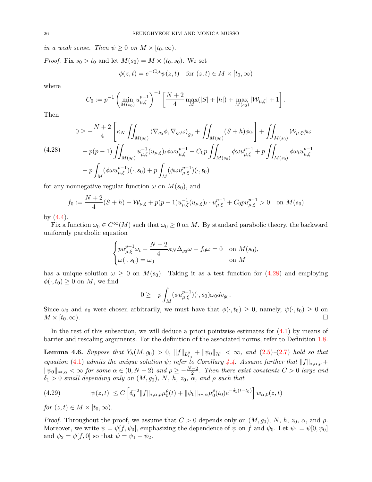in a weak sense. Then  $\psi \geq 0$  on  $M \times [t_0, \infty)$ .

*Proof.* Fix  $s_0 > t_0$  and let  $M(s_0) = M \times (t_0, s_0)$ . We set

$$
\phi(z,t) = e^{-C_0 t} \psi(z,t) \quad \text{for } (z,t) \in M \times [t_0, \infty)
$$

where

$$
C_0 := p^{-1} \left( \min_{M(s_0)} u_{\mu,\xi}^{p-1} \right)^{-1} \left[ \frac{N+2}{4} \max_M(|S|+|h|) + \max_{M(s_0)} |\mathcal{W}_{\mu,\xi}| + 1 \right].
$$

Then

<span id="page-25-0"></span>
$$
(4.28) \qquad 0 \ge -\frac{N+2}{4} \left[ \kappa_N \iint_{M(s_0)} \langle \nabla_{g_0} \phi, \nabla_{g_0} \omega \rangle_{g_0} + \iint_{M(s_0)} (S+h)\phi \omega \right] + \iint_{M(s_0)} \mathcal{W}_{\mu,\xi} \phi \omega + p(p-1) \iint_{M(s_0)} u_{\mu,\xi}^{-1} (u_{\mu,\xi})_t \phi \omega u_{\mu,\xi}^{p-1} - C_0 p \iint_{M(s_0)} \phi \omega u_{\mu,\xi}^{p-1} + p \iint_{M(s_0)} \phi \omega_t u_{\mu,\xi}^{p-1} - p \int_M (\phi \omega u_{\mu,\xi}^{p-1}) (\cdot, s_0) + p \int_M (\phi \omega u_{\mu,\xi}^{p-1}) (\cdot, t_0)
$$

for any nonnegative regular function  $\omega$  on  $M(s_0)$ , and

$$
f_0 := \frac{N+2}{4}(S+h) - \mathcal{W}_{\mu,\xi} + p(p-1)u_{\mu,\xi}^{-1}(u_{\mu,\xi})_t \cdot u_{\mu,\xi}^{p-1} + C_0 p u_{\mu,\xi}^{p-1} > 0 \text{ on } M(s_0)
$$

by  $(4.4)$ .

Fix a function  $\omega_0 \in C^{\infty}(M)$  such that  $\omega_0 \geq 0$  on M. By standard parabolic theory, the backward uniformly parabolic equation

$$
\begin{cases} pu_{\mu,\xi}^{p-1}\omega_t + \frac{N+2}{4}\kappa_N\Delta_{g_0}\omega - f_0\omega = 0 & \text{on } M(s_0),\\ \omega(\cdot, s_0) = \omega_0 & \text{on } M \end{cases}
$$

has a unique solution  $\omega \geq 0$  on  $M(s_0)$ . Taking it as a test function for  $(4.28)$  and employing  $\phi(\cdot, t_0) \geq 0$  on M, we find

$$
0 \ge -p \int_M (\phi u_{\mu,\xi}^{p-1})(\cdot, s_0) \omega_0 dv_{g_0}.
$$

Since  $\omega_0$  and  $s_0$  were chosen arbitrarily, we must have that  $\phi(\cdot, t_0) \geq 0$ , namely,  $\psi(\cdot, t_0) \geq 0$  on  $M \times [t_0, \infty)$ .  $M \times [t_0,\infty)$ .

In the rest of this subsection, we will deduce a priori pointwise estimates for [\(4.1\)](#page-19-1) by means of barrier and rescaling arguments. For the definition of the associated norms, refer to Definition [1.8.](#page-6-2)

<span id="page-25-2"></span>**Lemma 4.6.** Suppose that  $Y_h(M, g_0) > 0$ ,  $||f||_{L^2_{t_0}} + ||\psi_0||_{\mathcal{H}^1} < \infty$ , and  $(2.5)-(2.7)$  $(2.5)-(2.7)$  $(2.5)-(2.7)$  hold so that equation [\(4.1\)](#page-19-1) admits the unique solution  $\psi$ ; refer to Corollary [4.4.](#page-24-3) Assume further that  $||f||_{*,\alpha,\rho} +$  $\|\psi_0\|_{*,\alpha} < \infty$  for some  $\alpha \in (0, N-2)$  and  $\rho \geq -\frac{N-2}{2}$ . Then there exist constants  $C > 0$  large and  $\delta_1 > 0$  small depending only on  $(M, g_0)$ , N, h,  $z_0$ ,  $\alpha$ , and  $\rho$  such that

<span id="page-25-1"></span>(4.29) 
$$
|\psi(z,t)| \le C \left[ \delta_0^{-2} \|f\|_{*,\alpha,\rho} \mu_0^{\rho}(t) + \|\psi_0\|_{*,\alpha} \mu_0^{\rho}(t_0) e^{-\delta_1(t-t_0)} \right] w_{\alpha,0}(z,t)
$$

for  $(z, t) \in M \times [t_0, \infty)$ .

*Proof.* Throughout the proof, we assume that  $C > 0$  depends only on  $(M, g_0)$ , N, h,  $z_0$ ,  $\alpha$ , and  $\rho$ . Moreover, we write  $\psi = \psi[f, \psi_0]$ , emphasizing the dependence of  $\psi$  on f and  $\psi_0$ . Let  $\psi_1 = \psi[0, \psi_0]$ and  $\psi_2 = \psi[f, 0]$  so that  $\psi = \psi_1 + \psi_2$ .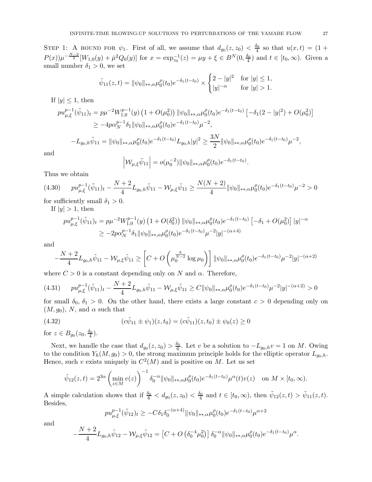STEP 1: A BOUND FOR  $\psi_1$ . First of all, we assume that  $d_{g_0}(z, z_0) < \frac{\delta_0}{4}$  so that  $u(x,t) = (1 +$  $P(x)\mu^{-\frac{N-2}{2}}[W_{1,0}(y)+\bar{\mu}^2Q_0(y)]$  for  $x = \exp_{z_0}^{-1}(z) = \mu y + \xi \in B^N(0, \frac{\delta_0}{4})$  and  $t \in [t_0, \infty)$ . Given a small number  $\delta_1 > 0$ , we set

$$
\tilde{\psi}_{11}(z,t) = \|\psi_0\|_{*,\alpha} \mu_0^{\rho}(t_0) e^{-\delta_1(t-t_0)} \times \begin{cases} 2 - |y|^2 & \text{for } |y| \le 1, \\ |y|^{-\alpha} & \text{for } |y| > 1. \end{cases}
$$

If  $|y| \leq 1$ , then

$$
pu_{\mu,\xi}^{p-1}(\tilde{\psi}_{11})_t = p\mu^{-2}W_{1,0}^{p-1}(y) \left(1 + O(\mu_0^2)\right) \|\psi_0\|_{\ast,\alpha} \mu_0^{\rho}(t_0) e^{-\delta_1(t-t_0)} \left[-\delta_1(2-|y|^2) + O(\mu_0^2)\right]
$$
  
\n
$$
\geq -4p\alpha_N^{p-1}\delta_1 \|\psi_0\|_{\ast,\alpha} \mu_0^{\rho}(t_0) e^{-\delta_1(t-t_0)} \mu^{-2},
$$

$$
-L_{g_0,h}\tilde{\psi}_{11} = \|\psi_0\|_{**,\alpha} \mu_0^{\rho}(t_0) e^{-\delta_1(t-t_0)} L_{g_0,h} |y|^2 \ge \frac{3N}{2} \|\psi_0\|_{**,\alpha} \mu_0^{\rho}(t_0) e^{-\delta_1(t-t_0)} \mu^{-2},
$$

and

$$
\left| \mathcal{W}_{\mu,\xi} \tilde{\psi}_{11} \right| = o(\mu_0^{-2}) ||\psi_0||_{\ast\ast,\alpha} \mu_0^{\rho}(t_0) e^{-\delta_1(t-t_0)}.
$$

Thus we obtain

<span id="page-26-0"></span>
$$
(4.30) \tpu_{\mu,\xi}^{p-1}(\tilde{\psi}_{11})_t - \frac{N+2}{4}L_{g_0,h}\tilde{\psi}_{11} - \mathcal{W}_{\mu,\xi}\tilde{\psi}_{11} \ge \frac{N(N+2)}{4} \|\psi_0\|_{**,\alpha} \mu_0^{\rho}(t_0) e^{-\delta_1(t-t_0)} \mu^{-2} > 0
$$

for sufficiently small  $\delta_1 > 0$ .

If  $|y| > 1$ , then

$$
pu_{\mu,\xi}^{p-1}(\tilde{\psi}_{11})_t = p\mu^{-2}W_{1,0}^{p-1}(y) \left(1 + O(\delta_0^2)\right) \|\psi_0\|_{*,\alpha} \mu_0^{\rho}(t_0) e^{-\delta_1(t-t_0)} \left[-\delta_1 + O(\mu_0^2)\right] |y|^{-\alpha}
$$
  
\n
$$
\geq -2p\alpha_N^{p-1} \delta_1 \|\psi_0\|_{*,\alpha} \mu_0^{\rho}(t_0) e^{-\delta_1(t-t_0)} \mu^{-2} |y|^{-(\alpha+4)}
$$

and

$$
-\frac{N+2}{4}L_{g_0,h}\tilde{\psi}_{11}-\mathcal{W}_{\mu,\xi}\tilde{\psi}_{11}\geq \left[C+O\left(\mu_0^{\frac{8}{N-2}}\log\mu_0\right)\right]\|\psi_0\|_{\ast\ast,\alpha}\mu_0^{\rho}(t_0)e^{-\delta_1(t-t_0)}\mu^{-2}|y|^{-(\alpha+2)}
$$

where  $C > 0$  is a constant depending only on N and  $\alpha$ . Therefore,

$$
(4.31) \tpu_{\mu,\xi}^{p-1}(\tilde{\psi}_{11})_t - \frac{N+2}{4}L_{g_0,h}\tilde{\psi}_{11} - \mathcal{W}_{\mu,\xi}\tilde{\psi}_{11} \ge C \|\psi_0\|_{\ast\ast,\alpha} \mu_0^{\rho}(t_0) e^{-\delta_1(t-t_0)} \mu^{-2}|y|^{-(\alpha+2)} > 0
$$

for small  $\delta_0$ ,  $\delta_1 > 0$ . On the other hand, there exists a large constant  $c > 0$  depending only on  $(M, g_0)$ , N, and  $\alpha$  such that

(4.32) 
$$
(c\tilde{\psi}_{11} \pm \psi_1)(z, t_0) = (c\tilde{\psi}_{11})(z, t_0) \pm \psi_0(z) \ge 0
$$

for  $z \in B_{g_0}(z_0, \frac{\delta_0}{4})$ .

Next, we handle the case that  $d_{g_0}(z, z_0) > \frac{\delta_0}{6}$ . Let v be a solution to  $-L_{g_0,h}v = 1$  on M. Owing to the condition  $Y_h(M, g_0) > 0$ , the strong maximum principle holds for the elliptic operator  $L_{g_0,h}$ . Hence, such v exists uniquely in  $C^2(M)$  and is positive on M. Let us set

$$
\tilde{\psi}_{12}(z,t) = 2^{3\alpha} \left( \min_{z \in M} v(z) \right)^{-1} \delta_0^{-\alpha} ||\psi_0||_{\ast \ast, \alpha} \mu_0^{\rho}(t_0) e^{-\delta_1 (t - t_0)} \mu^{\alpha}(t) v(z) \quad \text{on } M \times [t_0, \infty).
$$

A simple calculation shows that if  $\frac{\delta_0}{6} < d_{g_0}(z, z_0) < \frac{\delta_0}{4}$  and  $t \in [t_0, \infty)$ , then  $\tilde{\psi}_{12}(z, t) > \tilde{\psi}_{11}(z, t)$ . Besides,

$$
pu_{\mu,\xi}^{p-1}(\tilde{\psi}_{12})_t \ge -C\delta_1\delta_0^{-(\alpha+4)} \|\psi_0\|_{**,\alpha} \mu_0^{\rho}(t_0) e^{-\delta_1(t-t_0)} \mu^{\alpha+2}
$$

and

$$
-\frac{N+2}{4}L_{g_0,h}\tilde{\psi}_{12}-\mathcal{W}_{\mu,\xi}\tilde{\psi}_{12}=\left[C+O\left(\delta_0^{-4}\mu_0^2\right)\right]\delta_0^{-\alpha}\|\psi_0\|_{**,\alpha}\mu_0^{\rho}(t_0)e^{-\delta_1(t-t_0)}\mu^{\alpha}.
$$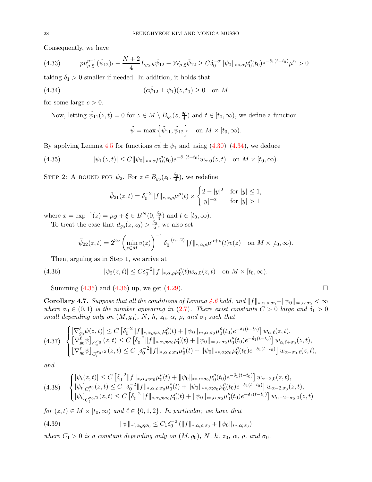Consequently, we have

$$
(4.33) \tpu_{\mu,\xi}^{p-1}(\tilde{\psi}_{12})_t - \frac{N+2}{4}L_{g_0,h}\tilde{\psi}_{12} - \mathcal{W}_{\mu,\xi}\tilde{\psi}_{12} \geq C\delta_0^{-\alpha} \|\psi_0\|_{\ast\ast,\alpha} \mu_0^{\rho}(t_0)e^{-\delta_1(t-t_0)}\mu^{\alpha} > 0
$$

taking  $\delta_1 > 0$  smaller if needed. In addition, it holds that

(4.34) 
$$
(c\tilde{\psi}_{12} \pm \psi_1)(z, t_0) \ge 0 \text{ on } M
$$

for some large  $c > 0$ .

<span id="page-27-0"></span>Now, letting  $\tilde{\psi}_{11}(z,t) = 0$  for  $z \in M \setminus B_{g_0}(z, \frac{\delta_0}{4})$  and  $t \in [t_0, \infty)$ , we define a function  $\tilde{\psi} = \max \left\{ \tilde{\psi}_{11}, \tilde{\psi}_{12} \right\} \quad \text{on } M \times [t_0, \infty).$ 

By applying Lemma [4.5](#page-24-0) for functions  $c\tilde{\psi} \pm \psi_1$  and using [\(4.30\)](#page-26-0)–[\(4.34\)](#page-27-0), we deduce

(4.35) 
$$
|\psi_1(z,t)| \le C \|\psi_0\|_{**,\alpha} \mu_0^{\rho}(t_0) e^{-\delta_1(t-t_0)} w_{\alpha,0}(z,t) \text{ on } M \times [t_0,\infty).
$$

STEP 2: A BOUND FOR  $\psi_2$ . For  $z \in B_{g_0}(z_0, \frac{\delta_0}{4})$ , we redefine

<span id="page-27-1"></span>
$$
\tilde{\psi}_{21}(z,t) = \delta_0^{-2} ||f||_{*,\alpha,\rho} \mu^{\rho}(t) \times \begin{cases} 2 - |y|^2 & \text{for } |y| \le 1, \\ |y|^{-\alpha} & \text{for } |y| > 1 \end{cases}
$$

where  $x = \exp^{-1}(z) = \mu y + \xi \in B^{N}(0, \frac{\delta_{0}}{4})$  and  $t \in [t_{0}, \infty)$ . To treat the case that  $d_{g_0}(z, z_0) > \frac{\delta_0}{6}$ , we also set

<span id="page-27-2"></span>
$$
\tilde{\psi}_{22}(z,t)=2^{3\alpha}\left(\min_{z\in M}v(z)\right)^{-1}\delta_0^{-(\alpha+2)}\|f\|_{*,\alpha,\rho}\mu^{\alpha+\rho}(t)v(z)\quad \text{on $M\times [t_0,\infty)$}.
$$

Then, arguing as in Step 1, we arrive at

(4.36) 
$$
|\psi_2(z,t)| \leq C \delta_0^{-2} ||f||_{*,\alpha,\rho} \mu_0^{\rho}(t) w_{\alpha,0}(z,t) \text{ on } M \times [t_0,\infty).
$$

Summing [\(4.35\)](#page-27-1) and [\(4.36\)](#page-27-2) up, we get [\(4.29\)](#page-25-1).

<span id="page-27-6"></span>**Corollary 4.7.** Suppose that all the conditions of Lemma [4.6](#page-25-2) hold, and  $||f||_{*,\alpha,\rho;\sigma_0}+||\psi_0||_{**,\alpha;\sigma_0}<\infty$ where  $\sigma_0 \in (0,1)$  is the number appearing in [\(2.7\)](#page-8-5). There exist constants  $C > 0$  large and  $\delta_1 > 0$ small depending only on  $(M, g_0)$ , N, h,  $z_0$ ,  $\alpha$ ,  $\rho$ , and  $\sigma_0$  such that

<span id="page-27-3"></span>
$$
(4.37) \begin{cases} \left| \nabla^{\ell}_{g_{0}} \psi(z,t) \right| \leq C \left[ \delta_{0}^{-2} \| f \|_{*,\alpha,\rho;\sigma_{0}} \mu_{0}^{\rho}(t) + \| \psi_{0} \|_{*,\alpha;\sigma_{0}} \mu_{0}^{\rho}(t_{0}) e^{-\delta_{1}(t-t_{0})} \right] w_{\alpha,\ell}(z,t), \\ \left[ \nabla^{\ell}_{g_{0}} \psi \right]_{C_{z}^{\sigma_{0}}}(z,t) \leq C \left[ \delta_{0}^{-2} \| f \|_{*,\alpha,\rho;\sigma_{0}} \mu_{0}^{\rho}(t) + \| \psi_{0} \|_{*,\alpha;\sigma_{0}} \mu_{0}^{\rho}(t_{0}) e^{-\delta_{1}(t-t_{0})} \right] w_{\alpha,\ell+\sigma_{0}}(z,t), \\ \left[ \nabla^{\ell}_{g_{0}} \psi \right]_{C_{t}^{\sigma_{0}/2}}(z,t) \leq C \left[ \delta_{0}^{-2} \| f \|_{*,\alpha,\rho;\sigma_{0}} \mu_{0}^{\rho}(t) + \| \psi_{0} \|_{*,\alpha;\sigma_{0}} \mu_{0}^{\rho}(t_{0}) e^{-\delta_{1}(t-t_{0})} \right] w_{\alpha-\sigma_{0},\ell}(z,t), \end{cases}
$$

and

<span id="page-27-4"></span>
$$
(4.38) \quad \begin{cases} |\psi_t(z,t)| \le C \left[ \delta_0^{-2} ||f||_{*,\alpha,\rho;\sigma_0} \mu_0^{\rho}(t) + ||\psi_0||_{*,\alpha;\sigma_0} \mu_0^{\rho}(t_0) e^{-\delta_1(t-t_0)} \right] w_{\alpha-2,0}(z,t), \\ [\psi_t]_{C_z^{\sigma_0}}(z,t) \le C \left[ \delta_0^{-2} ||f||_{*,\alpha,\rho;\sigma_0} \mu_0^{\rho}(t) + ||\psi_0||_{*,\alpha;\sigma_0} \mu_0^{\rho}(t_0) e^{-\delta_1(t-t_0)} \right] w_{\alpha-2,\sigma_0}(z,t), \\ [\psi_t]_{C_t^{\sigma_0/2}}(z,t) \le C \left[ \delta_0^{-2} ||f||_{*,\alpha,\rho;\sigma_0} \mu_0^{\rho}(t) + ||\psi_0||_{*,\alpha;\sigma_0} \mu_0^{\rho}(t_0) e^{-\delta_1(t-t_0)} \right] w_{\alpha-2-\sigma_0,0}(z,t) \end{cases}
$$

for  $(z, t) \in M \times [t_0, \infty)$  and  $\ell \in \{0, 1, 2\}$ . In particular, we have that

<span id="page-27-5"></span>(4.39) 
$$
\|\psi\|_{*,\alpha,\rho;\sigma_0} \leq C_1 \delta_0^{-2} (\|f\|_{*,\alpha,\rho;\sigma_0} + \|\psi_0\|_{*,\alpha;\sigma_0})
$$

where  $C_1 > 0$  is a constant depending only on  $(M, g_0)$ , N, h,  $z_0$ ,  $\alpha$ ,  $\rho$ , and  $\sigma_0$ .

$$
\qquad \qquad \Box
$$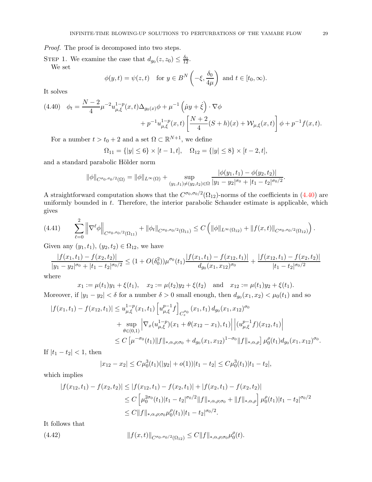Proof. The proof is decomposed into two steps.

STEP 1. We examine the case that  $d_{g_0}(z, z_0) \leq \frac{\delta_0}{12}$ . We set

$$
\phi(y,t) = \psi(z,t)
$$
 for  $y \in B^N\left(-\xi, \frac{\delta_0}{4\mu}\right)$  and  $t \in [t_0, \infty)$ .

It solves

<span id="page-28-0"></span>
$$
(4.40) \quad \phi_t = \frac{N-2}{4} \mu^{-2} u_{\mu,\xi}^{1-p}(x,t) \Delta_{g_0(x)} \phi + \mu^{-1} \left( \mu y + \dot{\xi} \right) \cdot \nabla \phi + p^{-1} u_{\mu,\xi}^{1-p}(x,t) \left[ \frac{N+2}{4} (S+h)(x) + \mathcal{W}_{\mu,\xi}(x,t) \right] \phi + p^{-1} f(x,t).
$$

For a number  $t > t_0 + 2$  and a set  $\Omega \subset \mathbb{R}^{N+1}$ , we define

$$
\Omega_{11} = \{ |y| \le 6 \} \times [t-1, t], \quad \Omega_{12} = \{ |y| \le 8 \} \times [t-2, t],
$$

and a standard parabolic Hölder norm

$$
\|\phi\|_{C^{\sigma_0,\sigma_0/2}(\Omega)} = \|\phi\|_{L^{\infty}(\Omega)} + \sup_{(y_1,t_1)\neq (y_2,t_2)\in\Omega} \frac{|\phi(y_1,t_1) - \phi(y_2,t_2)|}{|y_1 - y_2|^{\sigma_0} + |t_1 - t_2|^{\sigma_0/2}}.
$$

A straightforward computation shows that the  $C^{\sigma_0,\sigma_0/2}(\Omega_{12})$ -norms of the coefficients in [\(4.40\)](#page-28-0) are uniformly bounded in  $t$ . Therefore, the interior parabolic Schauder estimate is applicable, which gives

<span id="page-28-2"></span>
$$
(4.41) \qquad \sum_{\ell=0}^{2} \left\| \nabla^{\ell} \phi \right\|_{C^{\sigma_0, \sigma_0/2}(\Omega_{11})} + \|\phi_t\|_{C^{\sigma_0, \sigma_0/2}(\Omega_{11})} \leq C \left( \|\phi\|_{L^{\infty}(\Omega_{12})} + \|f(x, t)\|_{C^{\sigma_0, \sigma_0/2}(\Omega_{12})} \right).
$$

Given any  $(y_1, t_1), (y_2, t_2) \in \Omega_{12}$ , we have

$$
\frac{|f(x_1, t_1) - f(x_2, t_2)|}{|y_1 - y_2|^{\sigma_0} + |t_1 - t_2|^{\sigma_0/2}} \le (1 + O(\delta_0^2))\mu^{\sigma_0}(t_1) \frac{|f(x_1, t_1) - f(x_{12}, t_1)|}{d_{g_0}(x_1, x_{12})^{\sigma_0}} + \frac{|f(x_{12}, t_1) - f(x_{2}, t_2)|}{|t_1 - t_2|^{\sigma_0/2}}
$$

where

 $x_1 := \mu(t_1)y_1 + \xi(t_1), \quad x_2 := \mu(t_2)y_2 + \xi(t_2) \quad \text{and} \quad x_{12} := \mu(t_1)y_2 + \xi(t_1).$ 

Moreover, if  $|y_1 - y_2| < \delta$  for a number  $\delta > 0$  small enough, then  $d_{g_0}(x_1, x_2) < \mu_0(t_1)$  and so

$$
|f(x_1, t_1) - f(x_{12}, t_1)| \leq u_{\mu, \xi}^{1-p}(x_1, t_1) \left[ u_{\mu, \xi}^{p-1} f \right]_{C_z^{\sigma_0}} (x_1, t_1) d_{g_0}(x_1, x_{12})^{\sigma_0}
$$
  
+ 
$$
\sup_{\theta \in (0, 1)} \left| \nabla_x (u_{\mu, \xi}^{1-p})(x_1 + \theta(x_{12} - x_1), t_1) \right| \left| (u_{\mu, \xi}^{p-1} f)(x_{12}, t_1) \right|
$$
  

$$
\leq C \left[ \mu^{-\sigma_0}(t_1) \| f \|_{*, \alpha, \rho; \sigma_0} + d_{g_0}(x_1, x_{12})^{1-\sigma_0} \| f \|_{*, \alpha, \rho} \right] \mu_0^{\rho}(t_1) d_{g_0}(x_1, x_{12})^{\sigma_0}.
$$

If  $|t_1 - t_2| < 1$ , then

<span id="page-28-1"></span>
$$
|x_{12} - x_2| \le C\mu_0^3(t_1)(|y_2| + o(1))|t_1 - t_2| \le C\mu_0^3(t_1)|t_1 - t_2|,
$$

which implies

$$
|f(x_{12}, t_1) - f(x_2, t_2)| \le |f(x_{12}, t_1) - f(x_2, t_1)| + |f(x_2, t_1) - f(x_2, t_2)|
$$
  
\n
$$
\le C \left[ \mu_0^{2\sigma_0}(t_1) |t_1 - t_2|^{\sigma_0/2} \|f\|_{*, \alpha, \rho; \sigma_0} + \|f\|_{*, \alpha, \rho} \right] \mu_0^{\rho}(t_1) |t_1 - t_2|^{\sigma_0/2}
$$
  
\n
$$
\le C \|f\|_{*, \alpha, \rho; \sigma_0} \mu_0^{\rho}(t_1) |t_1 - t_2|^{\sigma_0/2}.
$$

It follows that

(4.42) 
$$
||f(x,t)||_{C^{\sigma_0,\sigma_0/2}(\Omega_{12})} \leq C||f||_{*,\alpha,\rho;\sigma_0}\mu_0^{\rho}(t).
$$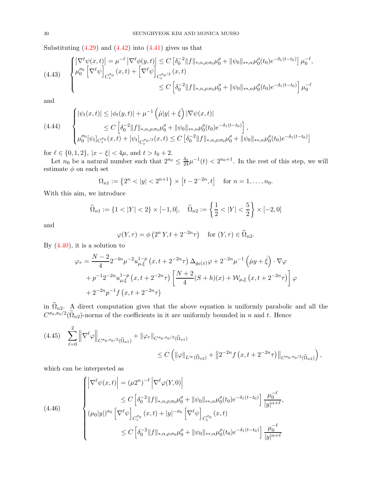Substituting  $(4.29)$  and  $(4.42)$  into  $(4.41)$  gives us that

<span id="page-29-2"></span>
$$
(4.43) \quad \begin{cases} \left| \nabla^{\ell} \psi(x,t) \right| = \mu^{-\ell} \left| \nabla^{\ell} \phi(y,t) \right| \le C \left[ \delta_0^{-2} \| f \|_{*,\alpha,\rho;\sigma_0} \mu_0^{\rho} + \| \psi_0 \|_{*,\alpha} \mu_0^{\rho}(t_0) e^{-\delta_1(t-t_0)} \right] \mu_0^{-\ell}, \\ \mu_0^{\sigma_0} \left[ \nabla^{\ell} \psi \right]_{C_z^{\sigma_0}} (x,t) + \left[ \nabla^{\ell} \psi \right]_{C_t^{\sigma_0/2}} (x,t) \\ \le C \left[ \delta_0^{-2} \| f \|_{*,\alpha,\rho;\sigma_0} \mu_0^{\rho} + \| \psi_0 \|_{*,\alpha} \mu_0^{\rho}(t_0) e^{-\delta_1(t-t_0)} \right] \mu_0^{-\ell} \end{cases}
$$

and

<span id="page-29-3"></span>
$$
(4.44) \qquad \begin{cases} |\psi_t(x,t)| \leq |\phi_t(y,t)| + \mu^{-1} \left( \mu|y| + \dot{\xi} \right) |\nabla \psi(x,t)| \\ \leq C \left[ \delta_0^{-2} \|f\|_{*,\alpha,\rho;\sigma_0} \mu_0^{\rho} + \|\psi_0\|_{*,\alpha} \mu_0^{\rho}(t_0) e^{-\delta_1(t-t_0)} \right], \\ \mu_0^{\sigma_0} [\psi_t]_{C_2^{\sigma_0}}(x,t) + [\psi_t]_{C_t^{\sigma_0/2}}(x,t) \leq C \left[ \delta_0^{-2} \|f\|_{*,\alpha,\rho;\sigma_0} \mu_0^{\rho} + \|\psi_0\|_{*,\alpha} \mu_0^{\rho}(t_0) e^{-\delta_1(t-t_0)} \right] \end{cases}
$$

for  $\ell \in \{0, 1, 2\}, |x - \xi| < 4\mu$ , and  $t > t_0 + 2$ .

Let  $n_0$  be a natural number such that  $2^{n_0} \n\t\leq \frac{\delta_0}{24} \mu^{-1}(t) < 2^{n_0+1}$ . In the rest of this step, we will estimate  $\phi$  on each set

$$
\Omega_{n1} := \left\{ 2^n < |y| < 2^{n+1} \right\} \times \left[ t - 2^{-2n}, t \right] \quad \text{for } n = 1, \dots, n_0.
$$

With this aim, we introduce

$$
\widetilde{\Omega}_{n1} := \{ 1 < |Y| < 2 \} \times [-1, 0], \quad \widetilde{\Omega}_{n2} := \left\{ \frac{1}{2} < |Y| < \frac{5}{2} \right\} \times [-2, 0]
$$

and

$$
\varphi(Y,\tau) = \phi\left(2^n Y, t + 2^{-2n}\tau\right) \quad \text{for } (Y,\tau) \in \widetilde{\Omega}_{n2}.
$$

By  $(4.40)$ , it is a solution to

$$
\varphi_{\tau} = \frac{N-2}{4} 2^{-4n} \mu^{-2} u_{\mu,\xi}^{1-p} (x, t+2^{-2n}\tau) \Delta_{g_0(x)} \varphi + 2^{-2n} \mu^{-1} (\mu y + \dot{\xi}) \cdot \nabla \varphi + p^{-1} 2^{-2n} u_{\mu,\xi}^{1-p} (x, t+2^{-2n}\tau) \left[ \frac{N+2}{4} (S+h)(x) + \mathcal{W}_{\mu,\xi} (x, t+2^{-2n}\tau) \right] \varphi + 2^{-2n} p^{-1} f (x, t+2^{-2n}\tau)
$$

in  $\Omega_{n2}$ . A direct computation gives that the above equation is uniformly parabolic and all the  $C^{\sigma_0,\sigma_0/2}(\Omega_{n2})$ -norms of the coefficients in it are uniformly bounded in n and t. Hence

<span id="page-29-1"></span>
$$
(4.45) \quad \sum_{\ell=0}^{2} \left\| \nabla^{\ell} \varphi \right\|_{C^{\sigma_0, \sigma_0/2}(\tilde{\Omega}_{n1})} + \left\| \varphi_{\tau} \right\|_{C^{\sigma_0, \sigma_0/2}(\tilde{\Omega}_{n1})} \leq C \left( \|\varphi\|_{L^{\infty}(\tilde{\Omega}_{n2})} + \left\| 2^{-2n} f(x, t + 2^{-2n} \tau) \right\|_{C^{\sigma_0, \sigma_0/2}(\tilde{\Omega}_{n2})} \right),
$$

which can be interpreted as

<span id="page-29-0"></span>
$$
(4.46) \qquad \begin{cases} \left| \nabla^{\ell} \psi(x,t) \right| = (\mu 2^{n})^{-\ell} \left| \nabla^{\ell} \varphi(Y,0) \right| \\ \leq C \left[ \delta_{0}^{-2} \| f \|_{*,\alpha,\rho;\sigma_{0}} \mu_{0}^{\rho} + \| \psi_{0} \|_{*,\alpha} \mu_{0}^{\rho}(t_{0}) e^{-\delta_{1}(t-t_{0})} \right] \frac{\mu_{0}^{-\ell}}{|y|^{\alpha+\ell}}, \\ (\mu_{0}|y|)^{\sigma_{0}} \left[ \nabla^{\ell} \psi \right]_{C_{z}^{\sigma_{0}}}(x,t) + |y|^{-\sigma_{0}} \left[ \nabla^{\ell} \psi \right]_{C_{t}^{\sigma_{0}}}(x,t) \\ \leq C \left[ \delta_{0}^{-2} \| f \|_{*,\alpha,\rho;\sigma_{0}} \mu_{0}^{\rho} + \| \psi_{0} \|_{*,\alpha} \mu_{0}^{\rho}(t_{0}) e^{-\delta_{1}(t-t_{0})} \right] \frac{\mu_{0}^{-\ell}}{|y|^{\alpha+\ell}} \end{cases}
$$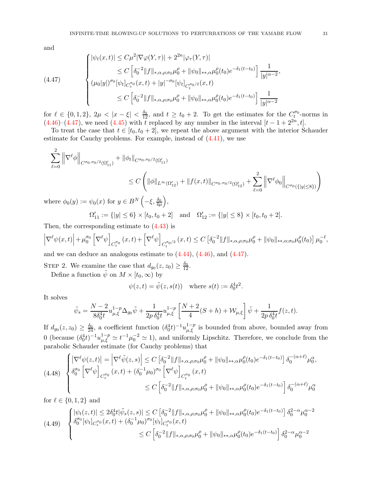and

<span id="page-30-0"></span>
$$
(4.47) \qquad \begin{cases} |\psi_t(x,t)| \leq C\mu^2 |\nabla \varphi(Y,\tau)| + 2^{2n} |\varphi_\tau(Y,\tau)| \\ \leq C \left[ \delta_0^{-2} \|f\|_{*,\alpha,\rho;\sigma_0} \mu_0^{\rho} + \|\psi_0\|_{*,\alpha} \mu_0^{\rho}(t_0) e^{-\delta_1(t-t_0)} \right] \frac{1}{|y|^{\alpha-2}}, \\ (\mu_0 |y|)^{\sigma_0} [\psi_t]_{C_x^{\sigma_0}}(x,t) + |y|^{-\sigma_0} [\psi_t]_{C_t^{\sigma_0/2}}(x,t) \\ \leq C \left[ \delta_0^{-2} \|f\|_{*,\alpha,\rho;\sigma_0} \mu_0^{\rho} + \|\psi_0\|_{*,\alpha} \mu_0^{\rho}(t_0) e^{-\delta_1(t-t_0)} \right] \frac{1}{|y|^{\alpha-2}} \end{cases}
$$

for  $\ell \in \{0, 1, 2\}$ ,  $2\mu < |x - \xi| < \frac{\delta_0}{12}$ , and  $t \ge t_0 + 2$ . To get the estimates for the  $C_{t}^{\sigma_0}$ -norms in  $(4.46)$ – $(4.47)$ , we need  $(4.45)$  with t replaced by any number in the interval  $[t-1+2^{2n}, t]$ .

To treat the case that  $t \in [t_0, t_0 + 2]$ , we repeat the above argument with the interior Schauder estimate for Cauchy problems. For example, instead of [\(4.41\)](#page-28-2), we use

$$
\sum_{\ell=0}^{2} \left\| \nabla^{\ell} \phi \right\|_{C^{\sigma_0, \sigma_0/2}(\Omega_{11}')} + \|\phi_t\|_{C^{\sigma_0, \sigma_0/2}(\Omega_{11}')} \n\leq C \left( \|\phi\|_{L^{\infty}(\Omega_{12}')} + \|f(x, t)\|_{C^{\sigma_0, \sigma_0/2}(\Omega_{12}')} + \sum_{\ell=0}^{2} \left\| \nabla^{\ell} \phi_0 \right\|_{C^{\sigma_0}(\{|y| \leq 8\})} \right)
$$

where  $\phi_0(y) := \psi_0(x)$  for  $y \in B^N\left(-\xi, \frac{\delta_0}{4\mu}\right)$ ,

 $\Omega'_{11} := \{|y| \le 6\} \times [t_0, t_0 + 2]$  and  $\Omega'_{12} := \{|y| \le 8\} \times [t_0, t_0 + 2]$ .

Then, the corresponding estimate to [\(4.43\)](#page-29-2) is

$$
\left|\nabla^{\ell}\psi(x,t)\right| + \mu_0^{\sigma_0}\left[\nabla^{\ell}\psi\right]_{C_z^{\sigma_0}}(x,t) + \left[\nabla^{\ell}\psi\right]_{C_t^{\sigma_0/2}}(x,t) \leq C\left[\delta_0^{-2}||f||_{*,\alpha,\rho;\sigma_0}\mu_0^{\rho} + ||\psi_0||_{*,\alpha;\sigma_0}\mu_0^{\rho}(t_0)\right]\mu_0^{-\ell},
$$

and we can deduce an analogous estimate to [\(4.44\)](#page-29-3), [\(4.46\)](#page-29-0), and [\(4.47\)](#page-30-0).

STEP 2. We examine the case that  $d_{g_0}(z, z_0) \ge \frac{\delta_0}{12}$ .

Define a function  $\tilde{\psi}$  on  $M \times [t_0, \infty)$  by

$$
\psi(z,t) = \tilde{\psi}(z,s(t))
$$
 where  $s(t) := \delta_0^4 t^2$ .

It solves

$$
\tilde{\psi}_s = \frac{N-2}{8\delta_0^4 t} u_{\mu,\xi}^{1-p} \Delta_{g_0} \tilde{\psi} + \frac{1}{2p \, \delta_0^4 t} u_{\mu,\xi}^{1-p} \left[ \frac{N+2}{4} (S+h) + \mathcal{W}_{\mu,\xi} \right] \tilde{\psi} + \frac{1}{2p \, \delta_0^4 t} f(z,t).
$$

If  $d_{g_0}(z, z_0) \geq \frac{\delta_0}{24}$ , a coefficient function  $(\delta_0^4 t)^{-1} u_{\mu,\xi}^{1-p}$  is bounded from above, bounded away from 0 (because  $(\delta_0^4 t)^{-1} u_{\mu,\xi}^{1-p} \simeq t^{-1} \mu_0^{-2} \simeq 1$ ), and uniformly Lipschitz. Therefore, we conclude from the parabolic Schauder estimate (for Cauchy problems) that

$$
(4.48) \begin{cases} \left| \nabla^{\ell} \psi(z,t) \right| = \left| \nabla^{\ell} \tilde{\psi}(z,s) \right| \leq C \left[ \delta_0^{-2} \| f \|_{*,\alpha,\rho;\sigma_0} \mu_0^{\rho} + \| \psi_0 \|_{*,\alpha} \mu_0^{\rho}(t_0) e^{-\delta_1 (t-t_0)} \right] \delta_0^{-(\alpha+\ell)} \mu_0^{\alpha}, \\ \delta_0^{\sigma_0} \left[ \nabla^{\ell} \psi \right]_{C_z^{\sigma_0}} (x,t) + (\delta_0^{-1} \mu_0)^{\sigma_0} \left[ \nabla^{\ell} \psi \right]_{C_t^{\sigma_0}} (x,t) \\ \leq C \left[ \delta_0^{-2} \| f \|_{*,\alpha,\rho;\sigma_0} \mu_0^{\rho} + \| \psi_0 \|_{*,\alpha} \mu_0^{\rho}(t_0) e^{-\delta_1 (t-t_0)} \right] \delta_0^{-(\alpha+\ell)} \mu_0^{\alpha} \end{cases}
$$

for  $\ell \in \{0, 1, 2\}$  and

<span id="page-30-1"></span>
$$
(4.49) \quad \begin{cases} |\psi_t(z,t)| \le 2\delta_0^4 t |\tilde{\psi}_s(z,s)| \le C \left[ \delta_0^{-2} \|f\|_{*,\alpha,\rho;\sigma_0} \mu_0^{\rho} + \|\psi_0\|_{*,\alpha} \mu_0^{\rho}(t_0) e^{-\delta_1(t-t_0)} \right] \delta_0^{2-\alpha} \mu_0^{\alpha-2} \\ \delta_0^{\sigma_0} [\psi_t]_{C_z^{\sigma_0}}(x,t) + (\delta_0^{-1} \mu_0)^{\sigma_0} [\psi_t]_{C_t^{\sigma_0}}(x,t) \\ \le C \left[ \delta_0^{-2} \|f\|_{*,\alpha,\rho;\sigma_0} \mu_0^{\rho} + \|\psi_0\|_{*,\alpha} \mu_0^{\rho}(t_0) e^{-\delta_1(t-t_0)} \right] \delta_0^{2-\alpha} \mu_0^{\alpha-2} \end{cases}
$$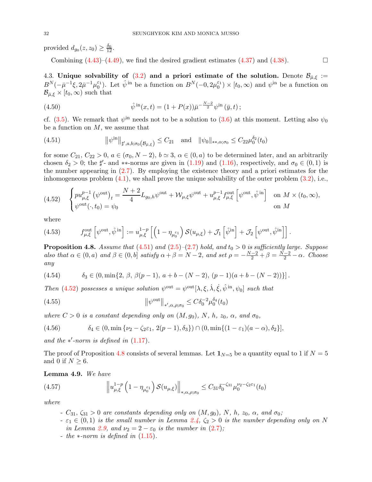provided  $d_{g_0}(z, z_0) \geq \frac{\delta_0}{12}$ .

Combining  $(4.43)$ – $(4.49)$ , we find the desired gradient estimates  $(4.37)$  and  $(4.38)$ .

<span id="page-31-0"></span>4.3. Unique solvability of [\(3.2\)](#page-17-1) and a priori estimate of the solution. Denote  $\mathcal{B}_{\bar{\mu},\xi}$  :=  $B^{N}(-\bar{\mu}^{-1}\xi, 2\bar{\mu}^{-1}\mu_0^{\varepsilon_1})$ . Let  $\hat{\psi}$ <sup>in</sup> be a function on  $B^{N}(-0, 2\mu_0^{\varepsilon_1}) \times [t_0, \infty)$  and  $\psi$ <sup>in</sup> be a function on  $\mathcal{B}_{\bar{\mu},\xi} \times [t_0,\infty)$  such that

<span id="page-31-6"></span>(4.50) 
$$
\hat{\psi}^{\text{ in}}(x,t) = (1+P(x))\bar{\mu}^{-\frac{N-2}{2}}\psi^{\text{ in}}(\bar{y},t) ;
$$

cf. [\(3.5\)](#page-18-2). We remark that  $\psi^{\text{in}}$  needs not to be a solution to [\(3.6\)](#page-18-0) at this moment. Letting also  $\psi_0$ be a function on  $M$ , we assume that

<span id="page-31-1"></span>(4.51) 
$$
\|\psi^{in}\|_{\sharp',a,b;\sigma_0(\mathcal{B}_{\bar{\mu},\xi})} \leq C_{21} \text{ and } \|\psi_0\|_{\ast,\alpha;\sigma_0} \leq C_{22}\mu_0^{\delta_2}(t_0)
$$

for some  $C_{21}$ ,  $C_{22} > 0$ ,  $a \in (\sigma_0, N - 2)$ ,  $b \simeq 3$ ,  $\alpha \in (0, a)$  to be determined later, and an arbitrarily chosen  $\delta_2 > 0$ ; the  $\sharp'$ - and \*\*-norms are given in [\(1.19\)](#page-7-0) and [\(1.16\)](#page-7-1), respectively, and  $\sigma_0 \in (0,1)$  is the number appearing in [\(2.7\)](#page-8-5). By employing the existence theory and a priori estimates for the inhomogeneous problem  $(4.1)$ , we shall prove the unique solvability of the outer problem  $(3.2)$ , i.e.,

<span id="page-31-2"></span>
$$
(4.52) \quad \begin{cases} pu_{\mu,\xi}^{p-1} \left( \psi^{\text{out}} \right)_t = \frac{N+2}{4} L_{g_0,h} \psi^{\text{out}} + \mathcal{W}_{\mu,\xi} \psi^{\text{out}} + u_{\mu,\xi}^{p-1} f_{\mu,\xi}^{\text{out}} \left[ \psi^{\text{out}}, \hat{\psi}^{\text{in}} \right] & \text{on } M \times (t_0, \infty), \\ \psi^{\text{out}}(\cdot, t_0) = \psi_0 & \text{on } M \end{cases}
$$

where

<span id="page-31-8"></span>(4.53) 
$$
f_{\mu,\xi}^{\text{out}}\left[\psi^{\text{out}},\hat{\psi}^{\text{in}}\right] := u_{\mu,\xi}^{1-p}\left[\left(1-\eta_{\mu_0^{\varepsilon_1}}\right)\mathcal{S}(u_{\mu,\xi})+\mathcal{J}_1\left[\hat{\psi}^{\text{in}}\right]+\mathcal{J}_2\left[\psi^{\text{out}},\hat{\psi}^{\text{in}}\right]\right].
$$

<span id="page-31-3"></span>**Proposition 4.8.** Assume that  $(4.51)$  and  $(2.5)-(2.7)$  $(2.5)-(2.7)$  $(2.5)-(2.7)$  hold, and  $t_0 > 0$  is sufficiently large. Suppose also that  $\alpha \in (0, a)$  and  $\beta \in (0, b]$  satisfy  $\alpha + \beta = N - 2$ , and set  $\rho = -\frac{N-2}{2} + \beta = \frac{N-2}{2} - \alpha$ . Choose any

<span id="page-31-7"></span>(4.54) 
$$
\delta_3 \in (0, \min\{2, \beta, \beta(p-1), a+b-(N-2), (p-1)(a+b-(N-2))\}].
$$

Then [\(4.52\)](#page-31-2) possesses a unique solution  $\psi^{out} = \psi^{out}[\lambda, \xi, \dot{\lambda}, \dot{\xi}, \hat{\psi}^{in}, \psi_0]$  such that

<span id="page-31-9"></span>(4.55) 
$$
\|\psi^{\text{out}}\|_{*,\alpha,\rho;\sigma_0} \leq C\delta_0^{-2}\mu_0^{\delta_4}(t_0)
$$

where  $C > 0$  is a constant depending only on  $(M, g_0)$ , N, h,  $z_0$ ,  $\alpha$ , and  $\sigma_0$ ,

<span id="page-31-5"></span>
$$
(4.56) \qquad \delta_4 \in (0, \min\{\nu_2 - \zeta_2 \varepsilon_1, 2(p-1), \delta_3\}) \cap (0, \min\{(1 - \varepsilon_1)(a - \alpha), \delta_2\}],
$$

and the  $*'$ -norm is defined in  $(1.17)$ .

The proof of Proposition [4.8](#page-31-3) consists of several lemmas. Let  $\mathbf{1}_{N=5}$  be a quantity equal to 1 if  $N=5$ and 0 if  $N \geq 6$ .

Lemma 4.9. We have

(4.57) 
$$
\left\| u_{\mu,\xi}^{1-p} \left( 1 - \eta_{\mu_0^{\varepsilon_1}} \right) \mathcal{S}(u_{\mu,\xi}) \right\|_{*,\alpha,\rho;\sigma_0} \leq C_{31} \delta_0^{-\zeta_{31}} \mu_0^{\nu_2 - \zeta_{2\varepsilon_1}}(t_0)
$$

where

- <span id="page-31-4"></span> $-C_{31}$ ,  $\zeta_{31} > 0$  are constants depending only on  $(M, g_0)$ , N, h,  $z_0$ ,  $\alpha$ , and  $\sigma_0$ ;
- $\varepsilon_1 \in (0,1)$  is the small number in Lemma [2.4,](#page-12-4)  $\zeta_2 > 0$  is the number depending only on N in Lemma [2.9,](#page-16-5) and  $\nu_2 = 2 - \varepsilon_0$  is the number in [\(2.7\)](#page-8-5);
- the  $*$ -norm is defined in  $(1.15)$ .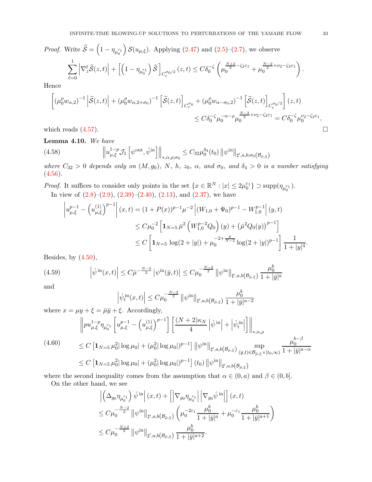*Proof.* Write  $\widetilde{S} = \left(1 - \eta_{\mu_0^{\varepsilon_1}}\right)$  $\int \mathcal{S}(u_{\mu,\xi})$ . Applying  $(2.47)$  and  $(2.5)-(2.7)$  $(2.5)-(2.7)$ , we observe

$$
\sum_{\ell=0}^1 \left| \nabla_z^{\ell} \widetilde{\mathcal{S}}(z,t) \right| + \left[ \left( 1 - \eta_{\mu_0^{\varepsilon_1}} \right) \widetilde{\mathcal{S}} \right]_{C_t^{\sigma_0/2}}(z,t) \leq C \delta_0^{-\zeta} \left( \mu_0^{\frac{N+2}{2} - \zeta_2 \varepsilon_1} + \mu_0^{\frac{N-2}{2} + \nu_2 - \zeta_2 \varepsilon_1} \right)
$$

Hence

$$
\left[ \left( \mu_0^{\rho} w_{\alpha,2} \right)^{-1} \left| \tilde{\mathcal{S}}(z,t) \right| + \left( \mu_0^{\rho} w_{\alpha,2+\sigma_0} \right)^{-1} \left[ \tilde{\mathcal{S}}(z,t) \right]_{C_z^{\sigma_0}} + \left( \mu_0^{\rho} w_{\alpha-\sigma_0,2} \right)^{-1} \left[ \tilde{\mathcal{S}}(z,t) \right]_{C_t^{\sigma_0/2}} \right] (z,t)
$$
\n
$$
\leq C \delta_0^{-\zeta} \mu_0^{-\alpha-\rho} \mu_0^{\frac{N-2}{2}+\nu_2-\zeta_2 \varepsilon_1} = C \delta_0^{-\zeta} \mu_0^{\nu_2-\zeta_2 \varepsilon_1},
$$
\nwhich reads (4.57).

<span id="page-32-3"></span>Lemma 4.10. We have

<span id="page-32-1"></span>(4.58) 
$$
\left\| u_{\mu,\xi}^{1-p} \mathcal{J}_1 \left[ \psi^{\text{out}}, \hat{\psi}^{\text{in}} \right] \right\|_{*,\alpha,\rho;\sigma_0} \leq C_{32} \mu_0^{\delta_4}(t_0) \left\| \psi^{\text{in}} \right\|_{\sharp',a,b;\sigma_0(\mathcal{B}_{\bar{\mu},\xi})}
$$

where  $C_{32} > 0$  depends only on  $(M, g_0)$ , N, h,  $z_0$ ,  $\alpha$ , and  $\sigma_0$ , and  $\delta_4 > 0$  is a number satisfying  $(4.56).$  $(4.56).$ 

*Proof.* It suffices to consider only points in the set  $\{x \in \mathbb{R}^N : |x| \leq 2\mu_0^{\varepsilon_1}\} \supset \text{supp}(\eta_{\mu_0^{\varepsilon_1}}).$ In view of  $(2.8)$ – $(2.9)$ ,  $(2.39)$ – $(2.40)$ ,  $(2.13)$ , and  $(2.37)$ , we have

$$
\left| u_{\mu,\xi}^{p-1} - \left( u_{\mu,\xi}^{(1)} \right)^{p-1} \right| (x,t) = (1+P(x))^{p-1} \mu^{-2} \left| (W_{1,0} + \Psi_0)^{p-1} - W_{1,0}^{p-1} \right| (y,t)
$$
  
\n
$$
\leq C \mu_0^{-2} \left[ \mathbf{1}_{N=5} \bar{\mu}^2 \left( W_{1,0}^{p-2} Q_0 \right) (y) + \left( \bar{\mu}^2 Q_0 (y) \right)^{p-1} \right]
$$
  
\n
$$
\leq C \left[ \mathbf{1}_{N=5} \log(2+|y|) + \mu_0^{-2+\frac{8}{N-2}} \log(2+|y|)^{p-1} \right] \frac{1}{1+|y|^4}.
$$

Besides, by  $(4.50)$ ,

$$
(4.59) \qquad \left| \hat{\psi}^{\text{in}}(x,t) \right| \leq C \bar{\mu}^{-\frac{N-2}{2}} \left| \psi^{\text{in}}(\bar{y},t) \right| \leq C \mu_0^{-\frac{N-2}{2}} \left\| \psi^{\text{in}} \right\|_{\sharp',a,b(\mathcal{B}_{\bar{\mu},\xi})} \frac{\mu_0^b}{1+|\bar{y}|^a}
$$

and

<span id="page-32-2"></span>
$$
\left| \hat{\psi}^{\text{in}}_t(x,t) \right| \leq C \mu_0^{-\frac{N-2}{2}} \left\| \psi^{\text{in}} \right\|_{\sharp',a,b(\mathcal{B}_{\bar{\mu},\xi})} \frac{\mu_0^b}{1+|\bar{y}|^{a-2}}
$$

where  $x = \mu y + \xi = \bar{\mu}\bar{y} + \xi$ . Accordingly,

<span id="page-32-0"></span>
$$
\|pu_{\mu,\xi}^{1-p}\eta_{\mu_0^{\varepsilon_1}}\left[u_{\mu,\xi}^{p-1} - \left(u_{\mu,\xi}^{(1)}\right)^{p-1}\right]\left[\frac{(N+2)\kappa_N}{4}\left|\hat{\psi}^{\text{ in}}\right| + \left|\hat{\psi}_t^{\text{ in}}\right|\right]\right\|_{\ast,\alpha,\rho}
$$
\n
$$
\leq C\left[1_{N=5}\,\mu_0^2|\log\mu_0| + (\mu_0^2|\log\mu_0|)^{p-1}\right] \|\psi^{\text{in}}\|_{\sharp',a,b(\mathcal{B}_{\bar{\mu},\xi})}\sup_{(\bar{y},t)\in\mathcal{B}_{\bar{\mu},\xi}\times[t_0,\infty)}\frac{\mu_0^{b-\beta}}{1+|\bar{y}|^{a-\alpha}}
$$
\n
$$
\leq C\left[1_{N=5}\,\mu_0^2|\log\mu_0| + (\mu_0^2|\log\mu_0|)^{p-1}\right](t_0) \|\psi^{\text{in}}\|_{\sharp',a,b(\mathcal{B}_{\bar{\mu},\xi})}
$$

where the second inequality comes from the assumption that  $\alpha \in (0, a)$  and  $\beta \in (0, b]$ .

On the other hand, we see

$$
\begin{aligned}&\left|\left(\Delta_{g_0}\eta_{\mu_0^{\varepsilon_1}}\right)\hat{\psi}^{\,\rm in}\right|(x,t)+\left[\left|\nabla_{g_0}\eta_{\mu_0^{\varepsilon_1}}\right|\left|\nabla_{g_0}\hat{\psi}^{\,\rm in}\right|\right](x,t)\\&\leq C\mu_0^{-\frac{N-2}{2}}\left\|\psi^{\,\rm in}\right\|_{\sharp',a,b\left(\mathcal{B}_{\bar{\mu},\xi}\right)}\left(\mu_0^{-2\varepsilon_1}\frac{\mu_0^b}{1+|\bar{y}|^a}+\mu_0^{-\varepsilon_1}\frac{\mu_0^b}{1+|\bar{y}|^{a+1}}\right)\\&\leq C\mu_0^{-\frac{N+2}{2}}\left\|\psi^{\,\rm in}\right\|_{\sharp',a,b\left(\mathcal{B}_{\bar{\mu},\xi}\right)}\frac{\mu_0^b}{1+|\bar{y}|^{a+2}}.\end{aligned}
$$

.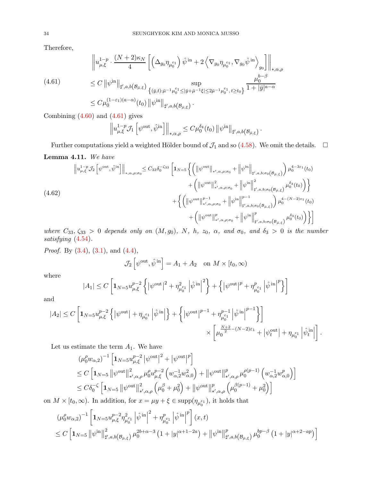Therefore,

$$
(4.61) \qquad \begin{aligned} \left\| u_{\mu,\xi}^{1-p} \cdot \frac{(N+2)\kappa_N}{4} \left[ \left( \Delta_{g_0} \eta_{\mu_0^{\varepsilon_1}} \right) \hat{\psi}^{\text{ in}} + 2 \left\langle \nabla_{g_0} \eta_{\mu_0^{\varepsilon_1}} , \nabla_{g_0} \hat{\psi}^{\text{ in}} \right\rangle_{g_0} \right] \right\|_{*,\alpha,\rho} \\ \leq C \left\| \psi^{\text{in}} \right\|_{\sharp',a,b\left(\mathcal{B}_{\bar{\mu},\xi}\right)} \sup_{\left\{ (\bar{y},t): \bar{\mu}^{-1}\mu_0^{\varepsilon_1} \leq |\bar{y} + \bar{\mu}^{-1}\xi| \leq 2\bar{\mu}^{-1}\mu_0^{\varepsilon_1}, t \geq t_0 \right\}} \frac{\mu_0^{b-\beta}}{1+|\bar{y}|^{a-\alpha}} \\ \leq C \mu_0^{(1-\varepsilon_1)(a-\alpha)}(t_0) \left\| \psi^{\text{in}} \right\|_{\sharp',a,b\left(\mathcal{B}_{\bar{\mu},\xi}\right)}. \end{aligned}
$$

Combining  $(4.60)$  and  $(4.61)$  gives

<span id="page-33-0"></span>
$$
\left\|u_{\mu,\xi}^{1-p}\mathcal{J}_1\left[\psi^{\text{out}},\hat{\psi}^{\text{in}}\right]\right\|_{*,\alpha,\rho}\leq C\mu_0^{\delta_4}(t_0)\left\|\psi^{\text{in}}\right\|_{\sharp',a,b\left(\mathcal{B}_{\bar{\mu},\xi}\right)}.
$$

Further computations yield a weighted Hölder bound of  $\mathcal{J}_1$  and so [\(4.58\)](#page-32-1). We omit the details.  $\Box$ Lemma 4.11. We have

<span id="page-33-1"></span>
$$
(4.62)
$$
\n
$$
\|u_{\mu,\xi}^{1-p} \mathcal{J}_{2} \left[\psi^{\text{out}}, \hat{\psi}^{\text{in}}\right] \|_{*,\alpha,\rho;\sigma_{0}} \leq C_{33} \delta_{0}^{-\zeta_{33}} \left[1_{N=5} \left\{ \left(\left\|\psi^{\text{out}}\right\|_{*,\alpha,\rho;\sigma_{0}} + \left\|\psi^{\text{in}}\right\|_{\sharp',a,b;\sigma_{0}(\mathcal{B}_{\bar{\mu},\xi})} + \left(\left\|\psi^{\text{out}}\right\|_{\sharp',a,b;\sigma_{0}(\mathcal{B}_{\bar{\mu},\xi})}^{2}\right) \mu_{0}^{4-3\varepsilon_{1}}(t_{0}) + \left(\left\|\psi^{\text{out}}\right\|_{*,\alpha,\rho;\sigma_{0}}^{2} + \left\|\psi^{\text{in}}\right\|_{\sharp',a,b;\sigma_{0}(\mathcal{B}_{\bar{\mu},\xi})}^{2}\mu_{0}^{\delta_{3}}(t_{0})\right) \right\} + \left\{ \left(\left\|\psi^{\text{out}}\right\|_{*,\alpha,\rho;\sigma_{0}}^{p-1} + \left\|\psi^{\text{in}}\right\|_{\sharp',a,b;\sigma_{0}(\mathcal{B}_{\bar{\mu},\xi})}^{p-1}\right) \mu_{0}^{4-(N-2)\varepsilon_{1}}(t_{0}) + \left(\left\|\psi^{\text{out}}\right\|_{*,\alpha,\rho;\sigma_{0}}^{p} + \left\|\psi^{\text{in}}\right\|_{\sharp',a,b;\sigma_{0}(\mathcal{B}_{\bar{\mu},\xi})}^{p}\mu_{0}^{\delta_{3}}(t_{0})\right) \right\} \right]
$$

where  $C_{33}$ ,  $\zeta_{33} > 0$  depends only on  $(M, g_0)$ , N, h,  $z_0$ ,  $\alpha$ , and  $\sigma_0$ , and  $\delta_3 > 0$  is the number satisfying  $(4.54)$ .

*Proof.* By  $(3.4)$ ,  $(3.1)$ , and  $(4.4)$ ,

$$
\mathcal{J}_2\left[\psi^{\text{out}}, \hat{\psi}^{\text{ in}}\right] = A_1 + A_2 \quad \text{on } M \times [t_0, \infty)
$$

where

$$
|A_1| \le C \left[ \mathbf{1}_{N=5} u_{\mu,\xi}^{p-2} \left\{ \left| \psi^{\text{out}} \right|^2 + \eta_{\mu_0^{\varepsilon_1}}^2 \left| \hat{\psi}^{\text{in}} \right|^2 \right\} + \left\{ \left| \psi^{\text{out}} \right|^p + \eta_{\mu_0^{\varepsilon_1}}^p \left| \hat{\psi}^{\text{in}} \right|^p \right\} \right]
$$

and

$$
\begin{aligned} |A_2|\leq C\left[\mathbf{1}_{N=5}u_{\mu,\xi}^{p-2}\left\{\left|\psi^{\mathrm{out}}\right|+\eta_{\mu_0^{\varepsilon_1}}\left|\hat{\psi}^{\mathrm{in}}\right|\right\}+\left\{\left|\psi^{\mathrm{out}}\right|^{p-1}+\eta_{\mu_0^{\varepsilon_1}}^{p-1}\left|\hat{\psi}^{\mathrm{in}}\right|^{p-1}\right\}\right]\\ &\times\left[\mu_0^{\frac{N+2}{2}-(N-2)\varepsilon_1}+\left|\psi_t^{\mathrm{out}}\right|+\eta_{\mu_0^{\varepsilon_1}}\left|\hat{\psi}^{\mathrm{in}}_t\right|\right]. \end{aligned}
$$

Let us estimate the term  $A_1$ . We have

$$
\begin{split} & \left(\mu_0^{\rho} w_{\alpha,2}\right)^{-1} \left[ \mathbf{1}_{N=5} u_{\mu,\xi}^{p-2} \left| \psi^{\text{out}} \right|^2 + \left| \psi^{\text{out}} \right|^p \right] \\ & \leq C \left[ \mathbf{1}_{N=5} \left\| \psi^{\text{out}} \right\|_{*',\alpha,\rho}^2 \mu_0^{\rho} u_{\mu,\xi}^{p-2} \left( w_{\alpha,2}^{-1} w_{\alpha,0}^2 \right) + \left\| \psi^{\text{out}} \right\|_{*',\alpha,\rho}^p \mu_0^{\rho(p-1)} \left( w_{\alpha,2}^{-1} w_{\alpha,0}^p \right) \right] \\ & \leq C \delta_0^{-\zeta} \left[ \mathbf{1}_{N=5} \left\| \psi^{\text{out}} \right\|_{*',\alpha,\rho}^2 \left( \mu_0^{\beta} + \mu_0^2 \right) + \left\| \psi^{\text{out}} \right\|_{*',\alpha,\rho}^p \left( \mu_0^{\beta(p-1)} + \mu_0^2 \right) \right] \end{split}
$$

on  $M \times [t_0, \infty)$ . In addition, for  $x = \mu y + \xi \in \text{supp}(\eta_{\mu_0^{\varepsilon_1}})$ , it holds that

$$
\begin{split} & \left(\mu_0^{\rho} w_{\alpha,2}\right)^{-1} \left[ \mathbf{1}_{N=5} u_{\mu,\xi}^{p-2} \eta_{\mu_0^{\varepsilon_1}}^2 \left| \hat{\psi}^{\, \mathrm{in}} \right|^2 + \eta_{\mu_0^{\varepsilon_1}}^{p} \left| \hat{\psi}^{\, \mathrm{in}} \right|^p \right] (x,t) \\ & \leq C \left[ \mathbf{1}_{N=5} \left\| \psi^{\mathrm{in}} \right\|_{\sharp',a,b\left(\mathcal{B}_{\bar{\mu},\xi}\right)}^2 \mu_0^{2b+\alpha-3} \left( 1 + |y|^{\alpha+1-2a} \right) + \left\| \psi^{\mathrm{in}} \right\|_{\sharp',a,b\left(\mathcal{B}_{\bar{\mu},\xi}\right)}^p \mu_0^{bp-\beta} \left( 1 + |y|^{\alpha+2-ap} \right) \right] \end{split}
$$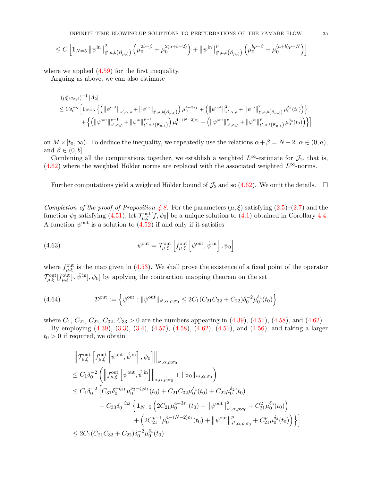$$
\leq C\left[\mathbf{1}_{N=5}\left\Vert \psi^{\mathrm{in}}\right\Vert _{\sharp',a,b\left(\mathcal{B}_{\bar{\mu},\xi}\right)}^{2}\left(\mu_{0}^{2b-\beta}+\mu_{0}^{2(a+b-2)}\right)+\left\Vert \psi^{\mathrm{in}}\right\Vert _{\sharp',a,b\left(\mathcal{B}_{\bar{\mu},\xi}\right)}^{p}\left(\mu_{0}^{bp-\beta}+\mu_{0}^{(a+b)p-N}\right)\right]
$$

where we applied  $(4.59)$  for the first inequality.

Arguing as above, we can also estimate

$$
\label{eq:4.13} \begin{split} &(\mu_0^\rho w_{\alpha,2})^{-1}\,|A_2|\\ &\leq C\delta_0^{-\zeta}\,\Big[\mathbf{1}_{N=5}\,\Big\{\Big(\big\|\psi^{\rm out}\big\|_{*\prime,\alpha,\rho}+\big\|\psi^{\rm in}\big\|_{\sharp',a,b\left(\mathcal{B}_{\bar\mu,\xi}\right)}\Big)\,\mu_0^{4-3\varepsilon_1}+\Big(\big\|\psi^{\rm out}\big\|_{*\prime,\alpha,\rho}^2+\big\|\psi^{\rm in}\big\|_{\sharp',a,b\left(\mathcal{B}_{\bar\mu,\xi}\right)}^2\,\mu_0^{\delta_3}(t_0)\Big)\Big\}\\ &\quad+\Big\{\Big(\big\|\psi^{\rm out}\big\|_{*\prime,\alpha,\rho}^{p-1}+\big\|\psi^{\rm in}\big\|_{\sharp',a,b\left(\mathcal{B}_{\bar\mu,\xi}\right)}^{p-1}\Big)\,\mu_0^{4-(N-2)\varepsilon_1}+\Big(\big\|\psi^{\rm out}\big\|_{*\prime,\alpha,\rho}^{p}+\big\|\psi^{\rm in}\big\|_{\sharp',a,b\left(\mathcal{B}_{\bar\mu,\xi}\right)}^{p}\,\mu_0^{\delta_3}(t_0)\Big)\Big\}\Big] \end{split}
$$

on  $M \times [t_0,\infty)$ . To deduce the inequality, we repeatedly use the relations  $\alpha + \beta = N - 2$ ,  $\alpha \in (0, a)$ , and  $\beta \in (0, b]$ .

Combining all the computations together, we establish a weighted  $L^{\infty}$ -estimate for  $\mathcal{J}_2$ , that is, [\(4.62\)](#page-33-1) where the weighted Hölder norms are replaced with the associated weighted  $L^{\infty}$ -norms.

Further computations yield a weighted Hölder bound of  $\mathcal{J}_2$  and so [\(4.62\)](#page-33-1). We omit the details.  $\Box$ 

Completion of the proof of Proposition [4.8.](#page-31-3) For the parameters  $(\mu, \xi)$  satisfying  $(2.5)$ – $(2.7)$  and the function  $\psi_0$  satisfying [\(4.51\)](#page-31-1), let  $\mathcal{T}_{\mu,\xi}^{\text{out}}[f,\psi_0]$  be a unique solution to [\(4.1\)](#page-19-1) obtained in Corollary [4.4.](#page-24-3) A function  $\psi^{\text{out}}$  is a solution to  $(4.52)$  if and only if it satisfies

<span id="page-34-0"></span>(4.63) 
$$
\psi^{\text{out}} = \mathcal{T}_{\mu,\xi}^{\text{out}} \left[ f_{\mu,\xi}^{\text{out}} \left[ \psi^{\text{out}}, \hat{\psi}^{\text{in}} \right], \psi_0 \right]
$$

where  $f_{\mu,\xi}^{\text{out}}$  is the map given in [\(4.53\)](#page-31-8). We shall prove the existence of a fixed point of the operator  $\mathcal{T}_{\mu,\xi}^{\text{out}}[f_{\mu,\xi}^{\text{out}}[\cdot,\hat{\psi}^{\text{in}}],\psi_0]$  by applying the contraction mapping theorem on the set

<span id="page-34-1"></span>(4.64) 
$$
\mathcal{D}^{\text{out}} := \left\{ \psi^{\text{out}} : \|\psi^{\text{out}}\|_{\ast',\alpha,\rho;\sigma_0} \leq 2C_1(C_{21}C_{32} + C_{22})\delta_0^{-2}\mu_0^{\delta_4}(t_0) \right\}
$$

where  $C_1, C_{21}, C_{22}, C_{32}, C_{33} > 0$  are the numbers appearing in [\(4.39\)](#page-27-5), [\(4.51\)](#page-31-1), [\(4.58\)](#page-32-1), and [\(4.62\)](#page-33-1).

By employing [\(4.39\)](#page-27-5), [\(3.3\)](#page-17-6), [\(3.4\)](#page-17-2), [\(4.57\)](#page-31-4), [\(4.58\)](#page-32-1), [\(4.62\)](#page-33-1), [\(4.51\)](#page-31-1), and [\(4.56\)](#page-31-5), and taking a larger  $t_0 > 0$  if required, we obtain

$$
\begin{split}\n&\left\|\mathcal{T}^{\text{out}}_{\mu,\xi}\left[f^{\text{out}}_{\mu,\xi}\left[\psi^{\text{out}},\hat{\psi}^{\text{ in}}\right],\psi_{0}\right]\right\|_{\ast',\alpha,\rho;\sigma_{0}} \\
&\leq C_{1}\delta_{0}^{-2}\left(\left\|f^{\text{out}}_{\mu,\xi}\left[\psi^{\text{out}},\hat{\psi}^{\text{ in}}\right]\right\|_{\ast,\alpha,\rho;\sigma_{0}}+\|\psi_{0}\|_{\ast,\ast,\alpha;\sigma_{0}}\right) \\
&\leq C_{1}\delta_{0}^{-2}\left[C_{31}\delta_{0}^{-\zeta_{31}}\mu_{0}^{\nu_{2}-\zeta_{2}\varepsilon_{1}}(t_{0})+C_{21}C_{32}\mu_{0}^{\delta_{4}}(t_{0})+C_{22}\mu_{0}^{\delta_{2}}(t_{0})\right. \\
&\left.+C_{33}\delta_{0}^{-\zeta_{33}}\left\{\mathbf{1}_{N=5}\left(2C_{21}\mu_{0}^{4-3\varepsilon_{1}}(t_{0})+\left\|\psi^{\text{out}}\right\|_{\ast',\alpha,\rho;\sigma_{0}}^{2}+C_{21}^{2}\mu_{0}^{\delta_{3}}(t_{0})\right)\right. \\
&+\left(2C_{21}^{p-1}\mu_{0}^{4-(N-2)\varepsilon_{1}}(t_{0})+\left\|\psi^{\text{out}}\right\|_{\ast',\alpha,\rho;\sigma_{0}}^{p}+C_{21}^{p}\mu_{0}^{\delta_{3}}(t_{0})\right)\right\}\right] \\
&\leq 2C_{1}(C_{21}C_{32}+C_{22})\delta_{0}^{-2}\mu_{0}^{\delta_{4}}(t_{0})\n\end{split}
$$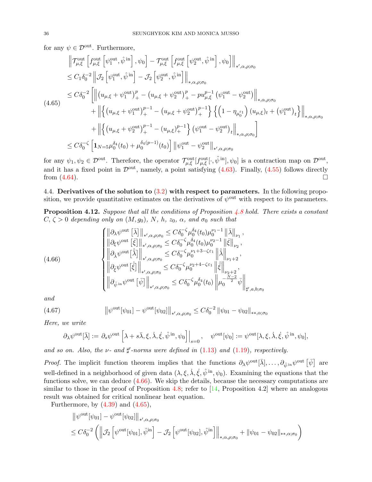for any  $\psi \in \mathcal{D}^{\text{out}}$ . Furthermore,

<span id="page-35-2"></span>
$$
\begin{split}\n\left\| \mathcal{T}^{\text{out}}_{\mu,\xi} \left[ f^{\text{out}}_{\mu,\xi} \left[ \psi^{\text{out}}_{1}, \hat{\psi}^{\text{in}} \right], \psi_{0} \right] - \mathcal{T}^{\text{out}}_{\mu,\xi} \left[ f^{\text{out}}_{\mu,\xi} \left[ \psi^{\text{out}}_{2}, \hat{\psi}^{\text{in}} \right], \psi_{0} \right] \right\|_{*,\alpha,\rho;\sigma_{0}} \\
&\leq C_{1} \delta_{0}^{-2} \left\| \mathcal{T}_{2} \left[ \psi^{\text{out}}_{1}, \hat{\psi}^{\text{in}} \right] - \mathcal{T}_{2} \left[ \psi^{\text{out}}_{2}, \hat{\psi}^{\text{in}} \right] \right\|_{*,\alpha,\rho;\sigma_{0}} \\
&\leq C \delta_{0}^{-2} \left[ \left\| \left( u_{\mu,\xi} + \psi^{\text{out}}_{1} \right)_{+}^{p} - \left( u_{\mu,\xi} + \psi^{\text{out}}_{2} \right)_{+}^{p} - p u_{\mu,\xi}^{p-1} \left( \psi^{\text{out}}_{1} - \psi^{\text{out}}_{2} \right) \right\|_{*,\alpha,\rho;\sigma_{0}} \\
&\quad + \left\| \left\{ \left( u_{\mu,\xi} + \psi^{\text{out}}_{1} \right)_{+}^{p-1} - \left( u_{\mu,\xi} + \psi^{\text{out}}_{2} \right)_{+}^{p-1} \right\} \left\{ \left( 1 - \eta_{\mu_{0}^{\varepsilon_{1}}} \right) \left( u_{\mu,\xi} \right)_{t} + \left( \psi^{\text{out}}_{1} \right)_{t} \right\|_{*,\alpha,\rho;\sigma_{0}} \\
&\quad + \left\| \left\{ \left( u_{\mu,\xi} + \psi^{\text{out}}_{2} \right)_{+}^{p-1} - \left( u_{\mu,\xi} \right)_{+}^{p-1} \right\} \left( \psi^{\text{out}}_{1} - \psi^{\text{out}}_{2} \right) \right\|_{*,\alpha,\rho;\sigma_{0}} \right] \\
&\leq C \delta_{0}^{-\zeta} \left[ \mathbf{1}_{N=5} \mu_{0}^{\delta_{4}}(t_{0}) + \mu_{0}^{\delta_{4}(p-1)}(t
$$

for any  $\psi_1, \psi_2 \in \mathcal{D}^{\text{out}}$ . Therefore, the operator  $\mathcal{T}^{\text{out}}_{\mu,\xi}[\hat{f}^{\text{out}}_{\mu,\xi}[\cdot,\hat{\psi}^{\text{in}}],\psi_0]$  is a contraction map on  $\mathcal{D}^{\text{out}}$ , and it has a fixed point in  $\mathcal{D}^{out}$ , namely, a point satisfying [\(4.63\)](#page-34-0). Finally, [\(4.55\)](#page-31-9) follows directly from (4.64) from [\(4.64\)](#page-34-1).

<span id="page-35-0"></span>4.4. Derivatives of the solution to  $(3.2)$  with respect to parameters. In the following proposition, we provide quantitative estimates on the derivatives of  $\psi^{\text{out}}$  with respect to its parameters.

**Proposition 4.12.** Suppose that all the conditions of Proposition [4.8](#page-31-3) hold. There exists a constant  $C, \zeta > 0$  depending only on  $(M, g_0), N, h, z_0, \alpha$ , and  $\sigma_0$  such that

<span id="page-35-1"></span>(4.66) 
$$
\begin{cases}\n\left\|\partial_{\lambda}\psi^{\text{out}}\left[\bar{\lambda}\right]\right\|_{*,\alpha,\rho;\sigma_{0}} \leq C\delta_{0}^{-\zeta}\mu_{0}^{\delta_{4}}(t_{0})\mu_{0}^{\nu_{1}-1}\left\|\bar{\lambda}\right\|_{\nu_{1}},\\ \n\left\|\partial_{\xi}\psi^{\text{out}}\left[\bar{\xi}\right]\right\|_{*,\alpha,\rho;\sigma_{0}} \leq C\delta_{0}^{-\zeta}\mu_{0}^{\delta_{4}}(t_{0})\mu_{0}^{\nu_{2}-1}\left\|\bar{\xi}\right\|_{\nu_{2}},\\ \n\left\|\partial_{\lambda}\psi^{\text{out}}\left[\bar{\lambda}\right]\right\|_{*,\alpha,\rho;\sigma_{0}} \leq C\delta_{0}^{-\zeta}\mu_{0}^{\nu_{1}+3-\zeta_{\epsilon_{1}}}\left\|\dot{\bar{\lambda}}\right\|_{\nu_{1}+2},\\ \n\left\|\partial_{\xi}\psi^{\text{out}}\left[\bar{\xi}\right]\right\|_{*,\alpha,\rho;\sigma_{0}} \leq C\delta_{0}^{-\zeta}\mu_{0}^{\nu_{2}+4-\zeta_{\epsilon_{1}}}\left\|\bar{\xi}\right\|_{\nu_{2}+2},\\ \n\left\|\partial_{\hat{\psi}^{\text{in}}}\psi^{\text{out}}\left[\bar{\psi}\right]\right\|_{*,\alpha,\rho;\sigma_{0}} \leq C\delta_{0}^{-\zeta}\mu_{0}^{\delta_{4}}(t_{0})\left\|\mu_{0}^{-\frac{N-2}{2}}\bar{\psi}\right\|_{\mu',a,b;\sigma_{0}}\n\end{cases}
$$

and

(4.67) 
$$
\|\psi^{\text{out}}[\psi_{01}] - \psi^{\text{out}}[\psi_{02}]\|_{*,\alpha,\rho;\sigma_0} \leq C\delta_0^{-2} \|\psi_{01} - \psi_{02}\|_{*,\alpha;\sigma_0}
$$

Here, we write

<span id="page-35-3"></span>
$$
\partial_{\lambda} \psi^{\text{out}}[\bar{\lambda}] := \partial_s \psi^{\text{out}} \left[ \lambda + s\bar{\lambda}, \xi, \dot{\lambda}, \dot{\xi}, \hat{\psi}^{\text{ in}}, \psi_0 \right] \Big|_{s=0}, \quad \psi^{\text{out}}[\psi_0] := \psi^{\text{out}}[\lambda, \xi, \dot{\lambda}, \dot{\xi}, \hat{\psi}^{\text{ in}}, \psi_0],
$$

and so on. Also, the  $\nu$ - and  $\sharp'$ -norms were defined in [\(1.13\)](#page-6-0) and [\(1.19\)](#page-7-0), respectively.

*Proof.* The implicit function theorem implies that the functions  $\partial_{\lambda} \psi^{\text{out}}[\bar{\lambda}], \dots, \partial_{\hat{\psi}^{\text{in}}} \psi^{\text{out}}[\bar{\psi}]$  are well-defined in a neighborhood of given data  $(\lambda, \xi, \dot{\lambda}, \dot{\xi}, \hat{\psi}^{in}, \psi_0)$ . Examining the equations that the functions solve, we can deduce [\(4.66\)](#page-35-1). We skip the details, because the necessary computations are similar to those in the proof of Proposition [4.8;](#page-31-3) refer to  $[14,$  Proposition 4.2] where an analogous result was obtained for critical nonlinear heat equation.

Furthermore, by  $(4.39)$  and  $(4.65)$ ,

**Sales State** 

$$
\|\psi^{\text{out}}[\psi_{01}] - \psi^{\text{out}}[\psi_{02}]\|_{*,\alpha,\rho;\sigma_{0}}\n\leq C\delta_0^{-2} \left( \left\|\mathcal{J}_2 \left[ \psi^{\text{out}}[\psi_{01}], \hat{\psi}^{\text{in}} \right] - \mathcal{J}_2 \left[ \psi^{\text{out}}[\psi_{02}], \hat{\psi}^{\text{in}} \right] \right\|_{*,\alpha,\rho;\sigma_{0}} + \|\psi_{01} - \psi_{02}\|_{*,\alpha;\sigma_{0}} \right)
$$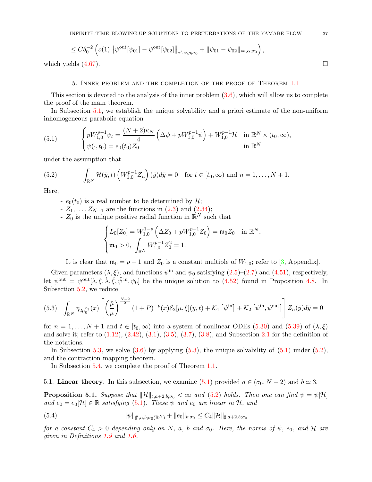$$
\leq C\delta_0^{-2} \left( o(1) \left\| \psi^{\text{out}}[\psi_{01}] - \psi^{\text{out}}[\psi_{02}] \right\|_{\ast',\alpha,\rho;\sigma_0} + \|\psi_{01} - \psi_{02}\|_{\ast,\alpha;\sigma_0} \right),
$$
  
which yields (4.67).

<span id="page-36-0"></span>

#### 5. Inner problem and the completion of the proof of Theorem [1.1](#page-2-1)

This section is devoted to the analysis of the inner problem  $(3.6)$ , which will allow us to complete the proof of the main theorem.

In Subsection [5.1,](#page-36-3) we establish the unique solvability and a priori estimate of the non-uniform inhomogeneous parabolic equation

<span id="page-36-1"></span>(5.1) 
$$
\begin{cases} pW_{1,0}^{p-1}\psi_t = \frac{(N+2)\kappa_N}{4} \left(\Delta \psi + pW_{1,0}^{p-1}\psi\right) + W_{1,0}^{p-1}\mathcal{H} & \text{in } \mathbb{R}^N \times (t_0, \infty), \\ \psi(\cdot, t_0) = e_0(t_0)Z_0 & \text{in } \mathbb{R}^N \end{cases}
$$

under the assumption that

(5.2) 
$$
\int_{\mathbb{R}^N} \mathcal{H}(\bar{y},t) \left( W_{1,0}^{p-1} Z_n \right) (\bar{y}) d\bar{y} = 0 \text{ for } t \in [t_0,\infty) \text{ and } n = 1,\ldots,N+1.
$$

Here,

- <span id="page-36-2"></span> $-e_0(t_0)$  is a real number to be determined by  $\mathcal{H}$ ;
- $Z_1, ..., Z_{N+1}$  are the functions in  $(2.3)$  and  $(2.34)$ ;
- $Z_0$  is the unique positive radial function in  $\mathbb{R}^N$  such that

$$
\begin{cases} L_0[Z_0] = W_{1,0}^{1-p} \left( \Delta Z_0 + pW_{1,0}^{p-1} Z_0 \right) = \mathfrak{m}_0 Z_0 & \text{in } \mathbb{R}^N, \\ \mathfrak{m}_0 > 0, \ \int_{\mathbb{R}^N} W_{1,0}^{p-1} Z_0^2 = 1. \end{cases}
$$

It is clear that  $\mathfrak{m}_0 = p - 1$  and  $Z_0$  is a constant multiple of  $W_{1,0}$ ; refer to [\[3,](#page-52-24) Appendix].

Given parameters  $(\lambda, \xi)$ , and functions  $\psi^{\text{in}}$  and  $\psi_0$  satisfying  $(2.5)-(2.7)$  $(2.5)-(2.7)$  and  $(4.51)$ , respectively, let  $\psi^{\text{out}} = \psi^{\text{out}}[\lambda, \xi, \dot{\lambda}, \dot{\xi}, \hat{\psi}^{\text{in}}, \psi_0]$  be the unique solution to  $(4.52)$  found in Proposition [4.8.](#page-31-3) In Subsection [5.2,](#page-42-0) we reduce

<span id="page-36-4"></span>
$$
(5.3) \quad \int_{\mathbb{R}^N} \eta_{2\mu_0^{\varepsilon_1}}(x) \left[ \left( \frac{\bar{\mu}}{\mu} \right)^{\frac{N-2}{2}} (1+P)^{-p}(x) \mathcal{E}_2[\mu, \xi](y, t) + \mathcal{K}_1 \left[ \psi^{\text{in}} \right] + \mathcal{K}_2 \left[ \psi^{\text{in}}, \psi^{\text{out}} \right] \right] Z_n(\bar{y}) d\bar{y} = 0
$$

for  $n = 1, \ldots, N + 1$  and  $t \in [t_0, \infty)$  into a system of nonlinear ODEs [\(5.30\)](#page-42-1) and [\(5.39\)](#page-44-0) of  $(\lambda, \xi)$ and solve it; refer to  $(1.12)$ ,  $(2.42)$ ,  $(3.1)$ ,  $(3.5)$ ,  $(3.7)$ ,  $(3.8)$ , and Subsection [2.1](#page-8-4) for the definition of the notations.

In Subsection [5.3,](#page-47-0) we solve  $(3.6)$  by applying  $(5.3)$ , the unique solvability of  $(5.1)$  under  $(5.2)$ , and the contraction mapping theorem.

In Subsection [5.4,](#page-49-1) we complete the proof of Theorem [1.1.](#page-2-1)

<span id="page-36-3"></span>5.1. Linear theory. In this subsection, we examine [\(5.1\)](#page-36-1) provided  $a \in (\sigma_0, N-2)$  and  $b \simeq 3$ .

<span id="page-36-5"></span>**Proposition 5.1.** Suppose that  $\|\mathcal{H}\|_{\sharp,a+2,b;\sigma_0} < \infty$  and [\(5.2\)](#page-36-2) holds. Then one can find  $\psi = \psi[\mathcal{H}]$ and  $e_0 = e_0[\mathcal{H}] \in \mathbb{R}$  satisfying [\(5.1\)](#page-36-1). These  $\psi$  and  $e_0$  are linear in  $\mathcal{H}$ , and

<span id="page-36-6"></span>(5.4) 
$$
\|\psi\|_{\sharp',a,b;\sigma_0(\mathbb{R}^N)} + \|e_0\|_{b;\sigma_0} \leq C_4 \|\mathcal{H}\|_{\sharp,a+2,b;\sigma_0}
$$

for a constant  $C_4 > 0$  depending only on N, a, b and  $\sigma_0$ . Here, the norms of  $\psi$ ,  $e_0$ , and H are given in Definitions [1.9](#page-7-4) and [1.6.](#page-6-3)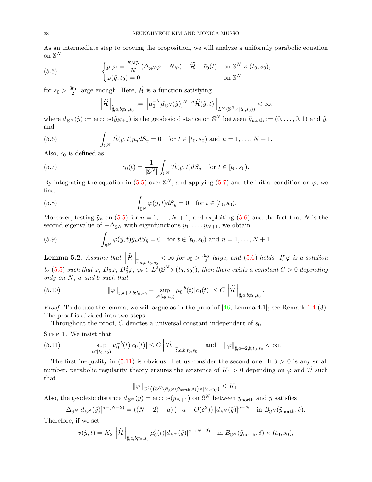As an intermediate step to proving the proposition, we will analyze a uniformly parabolic equation on  $\mathbb{S}^N$ 

(5.5) 
$$
\begin{cases} p \varphi_t = \frac{\kappa_N p}{N} (\Delta_{\mathbb{S}^N} \varphi + N \varphi) + \widetilde{\mathcal{H}} - \tilde{c}_0(t) & \text{on } \mathbb{S}^N \times (t_0, s_0), \\ \varphi(\tilde{y}, t_0) = 0 & \text{on } \mathbb{S}^N \end{cases}
$$

for  $s_0 > \frac{3t_0}{2}$  large enough. Here,  $\widetilde{\mathcal{H}}$  is a function satisfying

<span id="page-37-2"></span><span id="page-37-1"></span><span id="page-37-0"></span>
$$
\left\|\widetilde{\mathcal{H}}\right\|_{\widetilde{\sharp},a,b;t_0,s_0} := \left\|\mu_0^{-b}[d_{\mathbb{S}^N}(\tilde{y})]^{N-a}\widetilde{\mathcal{H}}(\tilde{y},t)\right\|_{L^{\infty}(\mathbb{S}^N\times[t_0,s_0))} < \infty,
$$

where  $d_{\mathbb{S}^N}(\tilde{y}) := \arccos(\tilde{y}_{N+1})$  is the geodesic distance on  $\mathbb{S}^N$  between  $\tilde{y}_{\text{north}} := (0, \ldots, 0, 1)$  and  $\tilde{y},$ and

(5.6) 
$$
\int_{\mathbb{S}^N} \widetilde{\mathcal{H}}(\widetilde{y},t) \widetilde{y}_n dS_{\widetilde{y}} = 0 \text{ for } t \in [t_0,s_0) \text{ and } n = 1,\ldots,N+1.
$$

Also,  $\tilde{c}_0$  is defined as

(5.7) 
$$
\tilde{c}_0(t) = \frac{1}{|\mathbb{S}^N|} \int_{\mathbb{S}^N} \widetilde{\mathcal{H}}(\tilde{y}, t) dS_{\tilde{y}} \text{ for } t \in [t_0, s_0).
$$

By integrating the equation in [\(5.5\)](#page-37-0) over  $\mathbb{S}^N$ , and applying [\(5.7\)](#page-37-1) and the initial condition on  $\varphi$ , we find

<span id="page-37-4"></span>(5.8) 
$$
\int_{\mathbb{S}^N} \varphi(\tilde{y}, t) dS_{\tilde{y}} = 0 \text{ for } t \in [t_0, s_0).
$$

Moreover, testing  $\tilde{y}_n$  on  $(5.5)$  for  $n = 1, \ldots, N + 1$ , and exploiting  $(5.6)$  and the fact that N is the second eigenvalue of  $-\Delta_{\mathbb{S}^N}$  with eigenfunctions  $\tilde{y}_1, \ldots, \tilde{y}_{N+1}$ , we obtain

<span id="page-37-5"></span>(5.9) 
$$
\int_{\mathbb{S}^N} \varphi(\tilde{y},t) \tilde{y}_n dS_{\tilde{y}} = 0 \text{ for } t \in [t_0, s_0) \text{ and } n = 1,\dots, N+1.
$$

<span id="page-37-7"></span>**Lemma 5.2.** Assume that  $\|\widetilde{\mathcal{H}}\|$  $\left\|\mathbf{z}_{\tilde{\mathbf{z}},a,b;t_0,s_0}\right\|_{\tilde{\mathbb{H}},a,b;t_0,s_0} < \infty$  for  $s_0 > \frac{3t_0}{2}$  large, and [\(5.6\)](#page-37-2) holds. If  $\varphi$  is a solution to [\(5.5\)](#page-37-0) such that  $\varphi$ ,  $D_{\tilde{y}}\varphi$ ,  $D_{\tilde{y}}^2\varphi$ ,  $\varphi_t \in L^2(\mathbb{S}^N \times (t_0, s_0))$ , then there exists a constant  $C > 0$  depending only on N, a and b such that

<span id="page-37-6"></span>(5.10) 
$$
\|\varphi\|_{\widetilde{\sharp},a+2,b;t_0,s_0} + \sup_{t \in [t_0,s_0)} \mu_0^{-b}(t) |\tilde{c}_0(t)| \leq C \left\|\widetilde{\mathcal{H}}\right\|_{\widetilde{\sharp},a,b;t_0,s_0}
$$

*Proof.* To deduce the lemma, we will argue as in the proof of  $[46, \text{Lemma } 4.1]$ ; see Remark [1.4](#page-3-0) (3). The proof is divided into two steps.

.

Throughout the proof,  $C$  denotes a universal constant independent of  $s_0$ .

STEP 1. We insist that

<span id="page-37-3"></span>(5.11) 
$$
\sup_{t\in[t_0,s_0)}\mu_0^{-b}(t)|\tilde{c}_0(t)| \leq C \left\|\tilde{\mathcal{H}}\right\|_{\tilde{\sharp},a,b;t_0,s_0} \quad \text{and} \quad \|\varphi\|_{\tilde{\sharp},a+2,b;t_0,s_0} < \infty.
$$

The first inequality in  $(5.11)$  is obvious. Let us consider the second one. If  $\delta > 0$  is any small number, parabolic regularity theory ensures the existence of  $K_1 > 0$  depending on  $\varphi$  and H such that

$$
\|\varphi\|_{C^0\left(\left(\mathbb{S}^N\setminus B_{\mathbb{S}^N}(\tilde{y}_{\text{north}}, \delta)\right) \times [t_0, s_0)\right)} \leq K_1.
$$

Also, the geodesic distance  $d_{S^N}(\tilde{y}) = \arccos(\tilde{y}_{N+1})$  on  $S^N$  between  $\tilde{y}_{\text{north}}$  and  $\tilde{y}$  satisfies

$$
\Delta_{\mathbb{S}^N}[d_{\mathbb{S}^N}(\tilde{y})]^{a-(N-2)} = ((N-2)-a)\left(-a+O(\delta^2)\right)[d_{\mathbb{S}^N}(\tilde{y})]^{a-N} \text{ in } B_{\mathbb{S}^N}(\tilde{y}_{\text{north}},\delta).
$$

Therefore, if we set

$$
v(\tilde{y},t) = K_2 \left\| \tilde{\mathcal{H}} \right\|_{\tilde{\sharp},a,b;t_0,s_0} \mu_0^b(t) [d_{\mathbb{S}^N}(\tilde{y})]^{a-(N-2)} \quad \text{in } B_{\mathbb{S}^N}(\tilde{y}_{\text{north}},\delta) \times (t_0,s_0),
$$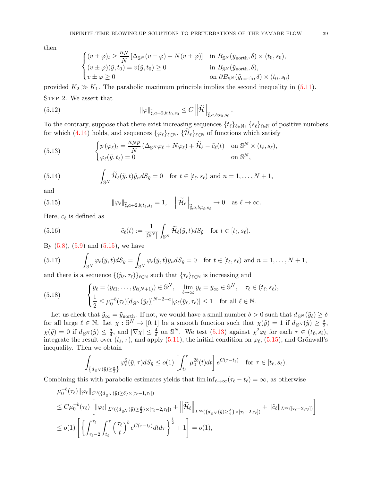then

<span id="page-38-3"></span>
$$
\begin{cases}\n(v \pm \varphi)_t \geq \frac{\kappa_N}{N} \left[ \Delta_{\mathbb{S}^N}(v \pm \varphi) + N(v \pm \varphi) \right] & \text{in } B_{\mathbb{S}^N}(\tilde{y}_{\text{north}}, \delta) \times (t_0, s_0), \\
(v \pm \varphi)(\tilde{y}, t_0) = v(\tilde{y}, t_0) \geq 0 & \text{in } B_{\mathbb{S}^N}(\tilde{y}_{\text{north}}, \delta), \\
v \pm \varphi \geq 0 & \text{on } \partial B_{\mathbb{S}^N}(\tilde{y}_{\text{north}}, \delta) \times (t_0, s_0)\n\end{cases}
$$

provided  $K_2 \gg K_1$ . The parabolic maximum principle implies the second inequality in [\(5.11\)](#page-37-3). STEP 2. We assert that

(5.12) 
$$
\|\varphi\|_{\widetilde{\sharp},a+2,b;t_0,s_0} \leq C \left\|\widetilde{\mathcal{H}}\right\|_{\widetilde{\sharp},a,b;t_0,s_0}
$$

To the contrary, suppose that there exist increasing sequences  $\{t_\ell\}_{\ell \in \mathbb{N}}$ ,  $\{s_\ell\}_{\ell \in \mathbb{N}}$  of positive numbers for which [\(4.14\)](#page-21-4) holds, and sequences  $\{\varphi_\ell\}_{\ell \in \mathbb{N}}$ ,  $\{\mathcal{H}_\ell\}_{\ell \in \mathbb{N}}$  of functions which satisfy

.

<span id="page-38-1"></span>(5.13) 
$$
\begin{cases} p(\varphi_{\ell})_t = \frac{\kappa_N p}{N} (\Delta_{\mathbb{S}^N} \varphi_{\ell} + N \varphi_{\ell}) + \widetilde{\mathcal{H}}_{\ell} - \tilde{c}_{\ell}(t) & \text{on } \mathbb{S}^N \times (t_{\ell}, s_{\ell}), \\ \varphi_{\ell}(\tilde{y}, t_{\ell}) = 0 & \text{on } \mathbb{S}^N, \end{cases}
$$

<span id="page-38-5"></span>(5.14) 
$$
\int_{\mathbb{S}^N} \widetilde{\mathcal{H}}_{\ell}(\tilde{y},t) \tilde{y}_n dS_{\tilde{y}} = 0 \text{ for } t \in [t_{\ell}, s_{\ell}) \text{ and } n = 1,\ldots, N+1,
$$

and

<span id="page-38-0"></span>(5.15) 
$$
\|\varphi_{\ell}\|_{\widetilde{\sharp},a+2,b;t_{\ell},s_{\ell}}=1, \quad \left\|\widetilde{\mathcal{H}}_{\ell}\right\|_{\widetilde{\sharp},a,b;t_{\ell},s_{\ell}}\to 0 \quad \text{as } \ell \to \infty.
$$

Here,  $\tilde{c}_{\ell}$  is defined as

<span id="page-38-4"></span>(5.16) 
$$
\tilde{c}_{\ell}(t) := \frac{1}{|\mathbb{S}^N|} \int_{\mathbb{S}^N} \widetilde{\mathcal{H}}_{\ell}(\tilde{y}, t) dS_{\tilde{y}} \quad \text{for } t \in [t_{\ell}, s_{\ell}).
$$

By  $(5.8)$ ,  $(5.9)$  and  $(5.15)$ , we have

<span id="page-38-6"></span>(5.17) 
$$
\int_{\mathbb{S}^N} \varphi_{\ell}(\tilde{y},t) dS_{\tilde{y}} = \int_{\mathbb{S}^N} \varphi_{\ell}(\tilde{y},t) \tilde{y}_n dS_{\tilde{y}} = 0 \text{ for } t \in [t_{\ell}, s_{\ell}) \text{ and } n = 1,\ldots, N+1,
$$

and there is a sequence  $\{(\tilde{y}_\ell, \tau_\ell)\}_{\ell \in \mathbb{N}}$  such that  $\{\tau_\ell\}_{\ell \in \mathbb{N}}$  is increasing and

<span id="page-38-2"></span>(5.18) 
$$
\begin{cases} \tilde{y}_{\ell} = (\tilde{y}_{\ell 1}, \dots, \tilde{y}_{\ell (N+1)}) \in \mathbb{S}^{N}, & \lim_{\ell \to \infty} \tilde{y}_{\ell} = \tilde{y}_{\infty} \in \mathbb{S}^{N}, \quad \tau_{\ell} \in (t_{\ell}, s_{\ell}), \\ \frac{1}{2} \leq \mu_0^{-b}(\tau_{\ell}) [d_{\mathbb{S}^{N}}(\tilde{y}_{\ell})]^{N-2-a} |\varphi_{\ell}(\tilde{y}_{\ell}, \tau_{\ell})| \leq 1 & \text{for all } \ell \in \mathbb{N}. \end{cases}
$$

Let us check that  $\tilde{y}_{\infty} = \tilde{y}_{\text{north}}$ . If not, we would have a small number  $\delta > 0$  such that  $d_{S^N}(\tilde{y}_\ell) \ge \delta$ for all large  $\ell \in \mathbb{N}$ . Let  $\chi : \mathbb{S}^N \to [0,1]$  be a smooth function such that  $\chi(\tilde{y}) = 1$  if  $d_{\mathbb{S}^N}(\tilde{y}) \geq \frac{\delta}{2}$  $\frac{\delta}{2}$ ,  $\chi(\tilde{y}) = 0$  if  $d_{\mathbb{S}^N}(\tilde{y}) \leq \frac{\delta}{4}$  $\frac{\delta}{4}$ , and  $|\nabla \chi| \leq \frac{4}{\delta}$  on  $\mathbb{S}^N$ . We test [\(5.13\)](#page-38-1) against  $\chi^2 \varphi_\ell$  for each  $\tau \in (t_\ell, s_\ell)$ , integrate the result over  $(t_{\ell}, \tau)$ , and apply  $(5.11)$ , the initial condition on  $\varphi_{\ell}$ ,  $(5.15)$ , and Grönwall's inequality. Then we obtain

$$
\int_{\left\{d_{\mathbb{S}^N}(\tilde{y})\geq \frac{\delta}{2}\right\}} \varphi_{\ell}^2(\tilde{y},\tau) dS_{\tilde{y}} \leq o(1) \left[ \int_{t_{\ell}}^{\tau} \mu_0^{2b}(t) dt \right] e^{C(\tau-t_{\ell})} \quad \text{for } \tau \in [t_{\ell}, s_{\ell}).
$$

Combining this with parabolic estimates yields that  $\liminf_{\ell \to \infty} (\tau_{\ell} - t_{\ell}) = \infty$ , as otherwise

$$
\mu_0^{-b}(\tau_\ell) \|\varphi_\ell\|_{C^0(\{d_{s^N}(\tilde{y})\geq \delta\}\times [\tau_\ell-1,\tau_\ell])}
$$
\n
$$
\leq C\mu_0^{-b}(\tau_\ell) \left[ \|\varphi_\ell\|_{L^2(\{d_{s^N}(\tilde{y})\geq \frac{\delta}{2}\}\times [\tau_\ell-2,\tau_\ell])} + \left\|\tilde{\mathcal{H}}_\ell\right\|_{L^\infty(\{d_{s^N}(\tilde{y})\geq \frac{\delta}{2}\}\times [\tau_\ell-2,\tau_\ell])} + \|\tilde{c}_\ell\|_{L^\infty([\tau_\ell-2,\tau_\ell])} \right]
$$
\n
$$
\leq o(1) \left[ \left\{ \int_{\tau_\ell-2}^{\tau_\ell} \int_{t_\ell}^{\tau} \left(\frac{\tau_\ell}{t}\right)^b e^{C(\tau-t_\ell)} dt d\tau \right\}^{\frac{1}{2}} + 1 \right] = o(1),
$$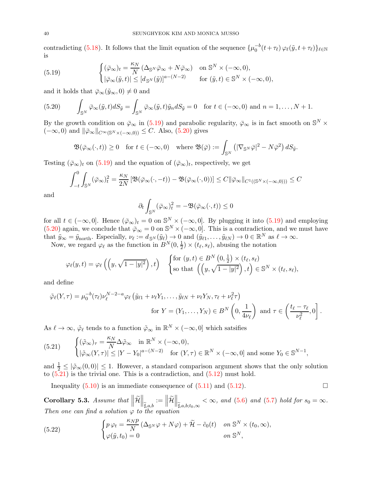contradicting [\(5.18\)](#page-38-2). It follows that the limit equation of the sequence  $\{\mu_0^{-b}(t+\tau_\ell)\varphi_\ell(\tilde{y},t+\tau_\ell)\}_{\ell \in \mathbb{N}}$ is

<span id="page-39-0"></span>(5.19) 
$$
\begin{cases} (\bar{\varphi}_{\infty})_t = \frac{\kappa_N}{N} \left( \Delta_{\mathbb{S}^N} \bar{\varphi}_{\infty} + N \bar{\varphi}_{\infty} \right) & \text{on } \mathbb{S}^N \times (-\infty, 0), \\ |\bar{\varphi}_{\infty}(\tilde{y}, t)| \leq [d_{\mathbb{S}^N}(\tilde{y})]^{a - (N-2)} & \text{for } (\tilde{y}, t) \in \mathbb{S}^N \times (-\infty, 0), \end{cases}
$$

and it holds that  $\bar{\varphi}_{\infty}(\tilde{y}_{\infty}, 0) \neq 0$  and

<span id="page-39-1"></span>(5.20) 
$$
\int_{\mathbb{S}^N} \bar{\varphi}_{\infty}(\tilde{y}, t) dS_{\tilde{y}} = \int_{\mathbb{S}^N} \bar{\varphi}_{\infty}(\tilde{y}, t) \tilde{y}_n dS_{\tilde{y}} = 0 \text{ for } t \in (-\infty, 0) \text{ and } n = 1, ..., N + 1.
$$

By the growth condition on  $\bar{\varphi}_{\infty}$  in [\(5.19\)](#page-39-0) and parabolic regularity,  $\bar{\varphi}_{\infty}$  is in fact smooth on  $\mathbb{S}^N \times$  $(-\infty, 0)$  and  $\|\bar{\varphi}_{\infty}\|_{C^{\infty}(\mathbb{S}^N \times (-\infty, 0))} \leq C$ . Also, [\(5.20\)](#page-39-1) gives

$$
\mathfrak{B}(\bar{\varphi}_{\infty}(\cdot,t)) \ge 0 \quad \text{for } t \in (-\infty,0) \quad \text{where } \mathfrak{B}(\bar{\varphi}) := \int_{\mathbb{S}^N} \left( |\nabla_{\mathbb{S}^N} \bar{\varphi}|^2 - N \bar{\varphi}^2 \right) dS_{\bar{y}}.
$$

Testing  $(\bar{\varphi}_{\infty})_t$  on  $(5.19)$  and the equation of  $(\bar{\varphi}_{\infty})_t$ , respectively, we get

$$
\int_{-t}^{0} \int_{\mathbb{S}^{N}} (\bar{\varphi}_{\infty})_{t}^{2} = \frac{\kappa_{N}}{2N} \left[ \mathfrak{B}(\bar{\varphi}_{\infty}(\cdot, -t)) - \mathfrak{B}(\bar{\varphi}_{\infty}(\cdot, 0)) \right] \leq C ||\bar{\varphi}_{\infty}||_{C^{1}((\mathbb{S}^{N}\times(-\infty, 0)))} \leq C
$$

and

$$
\partial_t \int_{\mathbb{S}^N} (\bar{\varphi}_{\infty})_t^2 = -\mathfrak{B}(\bar{\varphi}_{\infty}(\cdot, t)) \le 0
$$

for all  $t \in (-\infty, 0]$ . Hence  $(\bar{\varphi}_{\infty})_t = 0$  on  $\mathbb{S}^N \times (-\infty, 0]$ . By plugging it into  $(5.19)$  and employing [\(5.20\)](#page-39-1) again, we conclude that  $\bar{\varphi}_{\infty} = 0$  on  $\mathbb{S}^{N} \times (-\infty, 0]$ . This is a contradiction, and we must have that  $\tilde{y}_{\infty} = \tilde{y}_{\text{north}}$ . Especially,  $\nu_{\ell} := d_{\mathbb{S}^{N}}(\tilde{y}_{\ell}) \to 0$  and  $(\tilde{y}_{\ell 1}, \ldots, \tilde{y}_{\ell N}) \to 0 \in \mathbb{R}^{N}$  as  $\ell \to \infty$ .

Now, we regard  $\varphi_{\ell}$  as the function in  $B^{N}(0, \frac{1}{2})$  $(\frac{1}{2}) \times (t_{\ell}, s_{\ell}),$  abusing the notation

$$
\varphi_{\ell}(y,t) = \varphi_{\ell}\left(\left(y,\sqrt{1-|y|^2}\right),t\right) \quad \begin{cases} \text{for } (y,t) \in B^N\left(0,\frac{1}{2}\right) \times (t_{\ell},s_{\ell}) \\ \text{so that } \left(\left(y,\sqrt{1-|y|^2}\right),t\right) \in \mathbb{S}^N \times (t_{\ell},s_{\ell}), \end{cases}
$$

and define

$$
\tilde{\varphi}_{\ell}(Y,\tau) = \mu_0^{-b}(\tau_{\ell})\nu_{\ell}^{N-2-a}\varphi_{\ell} \left(\tilde{y}_{\ell 1} + \nu_{\ell}Y_1,\ldots,\tilde{y}_{\ell N} + \nu_{\ell}Y_N,\tau_{\ell} + \nu_{\ell}^2\tau\right)
$$
  
for  $Y = (Y_1,\ldots,Y_N) \in B^N\left(0,\frac{1}{4\nu_{\ell}}\right)$  and  $\tau \in \left(\frac{t_{\ell} - \tau_{\ell}}{\nu_{\ell}^2},0\right]$ .

As  $\ell \to \infty$ ,  $\tilde{\varphi}_{\ell}$  tends to a function  $\tilde{\varphi}_{\infty}$  in  $\mathbb{R}^N \times (-\infty, 0]$  which satsifies

<span id="page-39-2"></span>(5.21) 
$$
\begin{cases} (\tilde{\varphi}_{\infty})_{\tau} = \frac{\kappa_N}{N} \Delta \tilde{\varphi}_{\infty} & \text{in } \mathbb{R}^N \times (-\infty, 0), \\ |\tilde{\varphi}_{\infty}(Y, \tau)| \leq |Y - Y_0|^{a - (N - 2)} & \text{for } (Y, \tau) \in \mathbb{R}^N \times (-\infty, 0] \text{ and some } Y_0 \in \mathbb{S}^{N - 1}, \end{cases}
$$

and  $\frac{1}{2} \leq |\tilde{\varphi}_{\infty}(0,0)| \leq 1$ . However, a standard comparison argument shows that the only solution to  $(5.21)$  is the trivial one. This is a contradiction, and  $(5.12)$  must hold.

Inequality  $(5.10)$  is an immediate consequence of  $(5.11)$  and  $(5.12)$ .

<span id="page-39-4"></span>Corollary 5.3. Assume that  $\|\widetilde{\mathcal{H}}$  $\Big\|_{\widetilde{\sharp},a,b}$  $:= \Big\| \widetilde{\mathcal{H}}$  $\Big\|_{\widetilde{\sharp},a,b;t_0,\infty} < \infty$ , and [\(5.6\)](#page-37-2) and [\(5.7\)](#page-37-1) hold for  $s_0 = \infty$ . Then one can find a solution  $\varphi$  to the equation

<span id="page-39-3"></span>(5.22) 
$$
\begin{cases} p \, \varphi_t = \frac{\kappa_N p}{N} \left( \Delta_{\mathbb{S}^N} \varphi + N \varphi \right) + \widetilde{\mathcal{H}} - \widetilde{c}_0(t) & \text{on } \mathbb{S}^N \times (t_0, \infty), \\ \varphi(\widetilde{y}, t_0) = 0 & \text{on } \mathbb{S}^N, \end{cases}
$$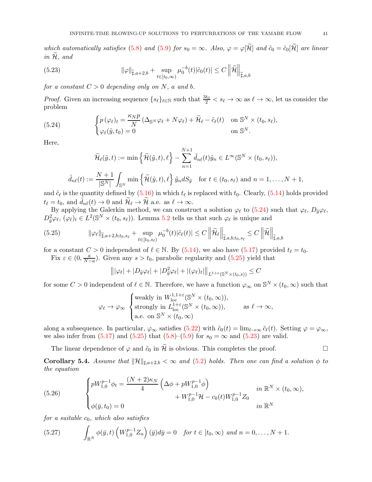which automatically satisfies [\(5.8\)](#page-37-4) and [\(5.9\)](#page-37-5) for  $s_0 = \infty$ . Also,  $\varphi = \varphi[\mathcal{H}]$  and  $\tilde{c}_0 = \tilde{c}_0[\mathcal{H}]$  are linear in  $H$ , and

<span id="page-40-2"></span>(5.23) 
$$
\|\varphi\|_{\widetilde{\sharp},a+2,b} + \sup_{t \in [t_0,\infty)} \mu_0^{-b}(t)|\widetilde{c}_0(t)| \leq C \left\|\widetilde{\mathcal{H}}\right\|_{\widetilde{\sharp},a,b}
$$

for a constant  $C > 0$  depending only on N, a and b.

*Proof.* Given an increasing sequence  $\{s_\ell\}_{\ell \in \mathbb{N}}$  such that  $\frac{3t_0}{2} < s_\ell \to \infty$  as  $\ell \to \infty$ , let us consider the problem

(5.24) 
$$
\begin{cases} p(\varphi_{\ell})_t = \frac{\kappa_N p}{N} (\Delta_{\mathbb{S}^N} \varphi_{\ell} + N \varphi_{\ell}) + \widetilde{\mathcal{H}}_{\ell} - \tilde{c}_{\ell}(t) & \text{on } \mathbb{S}^N \times (t_0, s_{\ell}), \\ \varphi_{\ell}(\tilde{y}, t_0) = 0 & \text{on } \mathbb{S}^N. \end{cases}
$$

Here,

<span id="page-40-0"></span>
$$
\widetilde{\mathcal{H}}_{\ell}(\tilde{y},t) := \min\left\{\widetilde{\mathcal{H}}(\tilde{y},t),\ell\right\} - \sum_{n=1}^{N+1} \widetilde{d}_{n\ell}(t)\widetilde{y}_n \in L^{\infty}(\mathbb{S}^N \times (t_0,s_{\ell})),
$$

$$
\widetilde{d}_{n\ell}(t) := \frac{N+1}{|\mathbb{S}^N|} \int_{\mathbb{S}^N} \min\left\{\widetilde{\mathcal{H}}(\tilde{y},t),\ell\right\} \widetilde{y}_n dS_{\tilde{y}} \quad \text{for } t \in (t_0,s_{\ell}) \text{ and } n = 1,\ldots,N+1,
$$

and  $\tilde{c}_{\ell}$  is the quantity defined by  $(5.16)$  in which  $t_{\ell}$  is replaced with  $t_0$ . Clearly,  $(5.14)$  holds provided  $t_{\ell} = t_0$ , and  $\tilde{d}_{n\ell}(t) \to 0$  and  $\tilde{\mathcal{H}}_{\ell} \to \tilde{\mathcal{H}}$  a.e. as  $\ell \to \infty$ .

By applying the Galerkin method, we can construct a solution  $\varphi_{\ell}$  to [\(5.24\)](#page-40-0) such that  $\varphi_{\ell}, D_{\tilde{y}}\varphi_{\ell}$ ,  $D_{\tilde{y}}^2 \varphi_{\ell}, (\varphi_{\ell})_t \in L^2(\mathbb{S}^N \times (t_0, s_{\ell}))$ . Lemma [5.2](#page-37-7) tells us that such  $\varphi_{\ell}$  is unique and

$$
(5.25) \qquad \|\varphi_{\ell}\|_{\widetilde{\sharp},a+2,b;t_0,s_{\ell}} + \sup_{t \in [t_0,s_{\ell})} \mu_0^{-b}(t) |\tilde{c}_{\ell}(t)| \leq C \left\|\widetilde{\mathcal{H}}_{\ell}\right\|_{\widetilde{\sharp},a,b;t_0,s_{\ell}} \leq C \left\|\widetilde{\mathcal{H}}\right\|_{\widetilde{\sharp},a,b}
$$

for a constant  $C > 0$  independent of  $\ell \in \mathbb{N}$ . By [\(5.14\)](#page-38-5), we also have [\(5.17\)](#page-38-6) provided  $t_{\ell} = t_0$ .

Fix  $\varepsilon \in (0, \frac{a}{N}$  $\frac{a}{N-a}$ ). Given any  $s > t_0$ , parabolic regularity and  $(5.25)$  yield that

<span id="page-40-1"></span>
$$
\left\| |\varphi_{\ell}| + |D_{\tilde{y}} \varphi_{\ell}| + |D_{\tilde{y}}^2 \varphi_{\ell}| + |(\varphi_{\ell})_t| \right\|_{L^{1+\varepsilon}(\mathbb{S}^N \times (t_0, s))} \leq C
$$

for some  $C > 0$  independent of  $\ell \in \mathbb{N}$ . Therefore, we have a function  $\varphi_{\infty}$  on  $\mathbb{S}^{N} \times (t_0, \infty)$  such that

$$
\varphi_{\ell} \to \varphi_{\infty} \begin{cases} \text{weakly in } W_{\mathrm{loc}}^{1,1+\varepsilon}(\mathbb{S}^N \times (t_0,\infty)), \\ \text{strongly in } L_{\mathrm{loc}}^{1+\varepsilon}(\mathbb{S}^N \times (t_0,\infty)), \\ \text{a.e. on } \mathbb{S}^N \times (t_0,\infty) \end{cases} \text{ as } \ell \to \infty,
$$

along a subsequence. In particular,  $\varphi_{\infty}$  satisfies  $(5.22)$  with  $\tilde{c}_0(t) = \lim_{\ell \to \infty} \tilde{c}_{\ell}(t)$ . Setting  $\varphi = \varphi_{\infty}$ , we also infer from  $(5.17)$  and  $(5.25)$  that  $(5.8)$ – $(5.9)$  for  $s_0 = \infty$  and  $(5.23)$  are valid.

The linear dependence of  $\varphi$  and  $\tilde{c}_0$  in  $\tilde{\mathcal{H}}$  is obvious. This completes the proof.

<span id="page-40-5"></span>**Corollary 5.4.** Assume that  $\|\mathcal{H}\|_{\sharp,a+2,b} < \infty$  and [\(5.2\)](#page-36-2) holds. Then one can find a solution  $\phi$  to the equation

<span id="page-40-3"></span>(5.26) 
$$
\begin{cases} pW_{1,0}^{p-1}\phi_t = \frac{(N+2)\kappa_N}{4} \left(\Delta\phi + pW_{1,0}^{p-1}\phi\right) & \text{in } \mathbb{R}^N \times (t_0,\infty), \\ \phi(\bar{y},t_0) = 0 & \text{in } \mathbb{R}^N \end{cases}
$$

for a suitable  $c_0$ , which also satisfies

<span id="page-40-4"></span>(5.27) 
$$
\int_{\mathbb{R}^N} \phi(\bar{y},t) \left( W_{1,0}^{p-1} Z_n \right) (\bar{y}) d\bar{y} = 0 \quad \text{for } t \in [t_0,\infty) \text{ and } n = 0,\ldots,N+1.
$$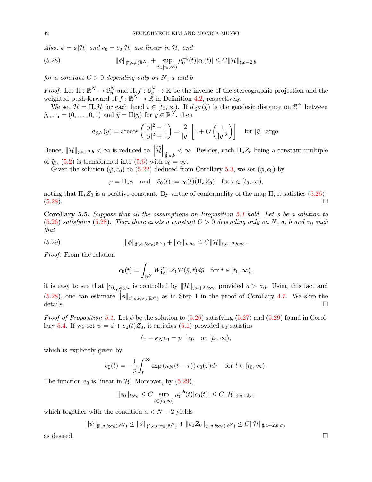Also,  $\phi = \phi[\mathcal{H}]$  and  $c_0 = c_0[\mathcal{H}]$  are linear in  $\mathcal{H}$ , and

(5.28) 
$$
\|\phi\|_{\sharp',a,b(\mathbb{R}^N)} + \sup_{t \in [t_0,\infty)} \mu_0^{-b}(t)|c_0(t)| \leq C \|\mathcal{H}\|_{\sharp,a+2,b}
$$

for a constant  $C > 0$  depending only on N, a and b.

Proof. Let  $\Pi: \mathbb{R}^N \to \mathbb{S}_n^N$  and  $\Pi_* f: \mathbb{S}_n^N \to \mathbb{R}$  be the inverse of the stereographic projection and the weighted push-forward of  $f : \mathbb{R}^N \to \mathbb{R}$  in Definition [4.2,](#page-21-2) respectively.

We set  $\widetilde{\mathcal{H}} = \Pi_* \mathcal{H}$  for each fixed  $t \in [t_0, \infty)$ . If  $d_{\mathbb{S}^N}(\widetilde{y})$  is the geodesic distance on  $\mathbb{S}^N$  between  $\tilde{y}_{\text{north}} = (0, \ldots, 0, 1)$  and  $\tilde{y} = \Pi(\bar{y})$  for  $\bar{y} \in \mathbb{R}^N$ , then

<span id="page-41-0"></span>
$$
d_{S^N}(\tilde{y}) = \arccos\left(\frac{|\bar{y}|^2 - 1}{|\bar{y}|^2 + 1}\right) = \frac{2}{|\bar{y}|} \left[1 + O\left(\frac{1}{|\bar{y}|^2}\right)\right]
$$
 for  $|\bar{y}|$  large.

Hence,  $\|\mathcal{H}\|_{\sharp,a+2,b} < \infty$  is reduced to  $\left\|\widetilde{\mathcal{H}}\right\|$  $\Big\Vert_{\widetilde{\sharp},a,b}<\infty.$  Besides, each  $\Pi_*Z_\ell$  being a constant multiple of  $\tilde{y}_{\ell}$ , [\(5.2\)](#page-36-2) is transformed into [\(5.6\)](#page-37-2) with  $s_0 = \infty$ .

Given the solution ( $\varphi, \tilde{c}_0$ ) to [\(5.22\)](#page-39-3) deduced from Corollary [5.3,](#page-39-4) we set  $(\phi, c_0)$  by

$$
\varphi = \Pi_* \phi
$$
 and  $\tilde{c}_0(t) := c_0(t) (\Pi_* Z_0)$  for  $t \in [t_0, \infty)$ ,

noting that  $\Pi_* Z_0$  is a positive constant. By virtue of conformality of the map  $\Pi$ , it satisfies [\(5.26\)](#page-40-3)–  $(5.28)$ .

Corollary 5.5. Suppose that all the assumptions on Proposition [5.1](#page-36-5) hold. Let  $\phi$  be a solution to [\(5.26\)](#page-40-3) satisfying [\(5.28\)](#page-41-0). Then there exists a constant  $C > 0$  depending only on N, a, b and  $\sigma_0$  such that

(5.29) 
$$
\|\phi\|_{\sharp',a,b;\sigma_0(\mathbb{R}^N)} + \|c_0\|_{b;\sigma_0} \leq C \|\mathcal{H}\|_{\sharp,a+2,b;\sigma_0}.
$$

Proof. From the relation

<span id="page-41-1"></span>
$$
c_0(t) = \int_{\mathbb{R}^N} W_{1,0}^{p-1} Z_0 \mathcal{H}(\bar{y}, t) d\bar{y} \quad \text{for } t \in [t_0, \infty),
$$

it is easy to see that  $[c_0]_{C_t^{\sigma_0/2}}$  is controlled by  $\|\mathcal{H}\|_{\sharp,a+2,b;\sigma_0}$  provided  $a > \sigma_0$ . Using this fact and [\(5.28\)](#page-41-0), one can estimate  $\|\phi\|_{\sharp',a,b;\sigma_0(\mathbb{R}^N)}$  as in Step 1 in the proof of Corollary [4.7.](#page-27-6) We skip the details.  $\Box$ 

*Proof of Proposition [5.1.](#page-36-5)* Let  $\phi$  be the solution to [\(5.26\)](#page-40-3) satisfying [\(5.27\)](#page-40-4) and [\(5.29\)](#page-41-1) found in Corol-lary [5.4.](#page-40-5) If we set  $\psi = \phi + e_0(t)Z_0$ , it satisfies  $(5.1)$  provided  $e_0$  satisfies

$$
\dot{e}_0 - \kappa_N e_0 = p^{-1} c_0
$$
 on  $[t_0, \infty)$ ,

which is explicitly given by

$$
e_0(t) = -\frac{1}{p} \int_t^{\infty} \exp\left(\kappa_N(t-\tau)\right) c_0(\tau) d\tau \quad \text{for } t \in [t_0, \infty).
$$

The function  $e_0$  is linear in  $H$ . Moreover, by [\(5.29\)](#page-41-1),

$$
||e_0||_{b;\sigma_0} \leq C \sup_{t \in [t_0,\infty)} \mu_0^{-b}(t) |c_0(t)| \leq C ||\mathcal{H}||_{\sharp,a+2,b},
$$

which together with the condition  $a < N - 2$  yields

$$
\|\psi\|_{\sharp',a,b;\sigma_0(\mathbb{R}^N)} \le \|\phi\|_{\sharp',a,b;\sigma_0(\mathbb{R}^N)} + \|e_0 Z_0\|_{\sharp',a,b;\sigma_0(\mathbb{R}^N)} \le C \|\mathcal{H}\|_{\sharp,a+2,b;\sigma_0}
$$

as desired.  $\Box$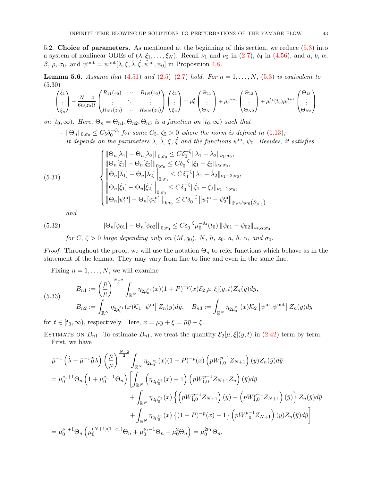<span id="page-42-0"></span>5.2. Choice of parameters. As mentioned at the beginning of this section, we reduce [\(5.3\)](#page-36-4) into a system of nonlinear ODEs of  $(\lambda, \xi_1, \ldots, \xi_N)$ . Recall  $\nu_1$  and  $\nu_2$  in [\(2.7\)](#page-8-5),  $\delta_4$  in [\(4.56\)](#page-31-5), and a, b,  $\alpha$ , β, ρ,  $\sigma_0$ , and  $\psi^{\text{out}} = \psi^{\text{out}}[\lambda, \xi, \dot{\lambda}, \dot{\xi}, \hat{\psi}^{\text{in}}, \psi_0]$  in Proposition [4.8.](#page-31-3)

<span id="page-42-4"></span>**Lemma 5.6.** Assume that  $(4.51)$  and  $(2.5)-(2.7)$  $(2.5)-(2.7)$  $(2.5)-(2.7)$  hold. For  $n = 1, ..., N$ ,  $(5.3)$  is equivalent to (5.30)

<span id="page-42-1"></span>
$$
\begin{pmatrix} \dot{\xi}_1 \\ \vdots \\ \dot{\xi}_n \end{pmatrix} - \frac{N-4}{6h(z_0)t} \begin{pmatrix} R_{11}(z_0) & \cdots & R_{1N}(z_0) \\ \vdots & \ddots & \vdots \\ R_{N1}(z_0) & \cdots & R_{NN}(z_0) \end{pmatrix} \begin{pmatrix} \xi_1 \\ \vdots \\ \xi_n \end{pmatrix} = \mu_0^4 \begin{pmatrix} \Theta_{11} \\ \vdots \\ \Theta_{N1} \end{pmatrix} + \mu_0^{b+\nu_1} \begin{pmatrix} \Theta_{12} \\ \vdots \\ \Theta_{N2} \end{pmatrix} + \mu_0^{\delta_4}(t_0) \mu_0^{\beta+1} \begin{pmatrix} \Theta_{13} \\ \vdots \\ \Theta_{N3} \end{pmatrix}
$$

on  $[t_0,\infty)$ . Here,  $\Theta_n = \Theta_{n1}, \Theta_{n2}, \Theta_{n3}$  is a function on  $[t_0,\infty)$  such that

- $||\Theta_n||_{0,\sigma_0} \leq C_5 \delta_0^{-\zeta_5}$  for some  $C_5, \zeta_5 > 0$  where the norm is defined in [\(1.13\)](#page-6-0);
- It depends on the parameters  $\lambda$ ,  $\dot{\lambda}$ ,  $\xi$ ,  $\dot{\xi}$  and the functions  $\psi^{\text{in}}$ ,  $\psi_0$ . Besides, it satisfies

(5.31)  
\n
$$
\begin{cases}\n||\Theta_n[\lambda_1] - \Theta_n[\lambda_2]||_{0;\sigma_0} \leq C\delta_0^{-\zeta}||\lambda_1 - \lambda_2||_{\nu_1;\sigma_0}, \\
||\Theta_n[\xi_1] - \Theta_n[\xi_2]||_{0;\sigma_0} \leq C\delta_0^{-\zeta}||\xi_1 - \xi_2||_{\nu_2;\sigma_0}, \\
||\Theta_n[\lambda_1] - \Theta_n[\lambda_2]||_{0;\sigma_0} \leq C\delta_0^{-\zeta}||\lambda_1 - \lambda_2||_{\nu_1+2;\sigma_0}, \\
||\Theta_n[\xi_1] - \Theta_n[\xi_2]||_{0;\sigma_0} \leq C\delta_0^{-\zeta}||\xi_1 - \xi_2||_{\nu_2+2;\sigma_0}, \\
||\Theta_n[\psi_1^{\text{in}}] - \Theta_n[\psi_2^{\text{in}}]||_{0;\sigma_0} \leq C\delta_0^{-\zeta} ||\psi_1^{\text{in}} - \psi_2^{\text{in}}||_{\sharp',a,b;\sigma_0(\mathcal{B}_{\bar{\mu},\xi})}\n\end{cases}
$$

<span id="page-42-3"></span><span id="page-42-2"></span>and

(5.32) 
$$
\|\Theta_n[\psi_{01}] - \Theta_n[\psi_{02}]\|_{0;\sigma_0} \leq C\delta_0^{-\zeta} \mu_0^{-\delta_4}(t_0) \|\psi_{01} - \psi_{02}\|_{**,\alpha;\sigma_0}
$$
for  $\zeta > 0$  have down the value  $(M, \zeta) \in \mathbb{N}$ ,  $h, \zeta \in \mathbb{N}$  for all  $\zeta$ .

for  $C, \zeta > 0$  large depending only on  $(M, g_0), N, h, z_0, a, b, \alpha, and \sigma_0$ .

*Proof.* Throughout the proof, we will use the notation  $\Theta_n$  to refer functions which behave as in the statement of the lemma. They may vary from line to line and even in the same line.

Fixing  $n = 1, \ldots, N$ , we will examine

<span id="page-42-5"></span>(5.33) 
$$
B_{n1} := \left(\frac{\bar{\mu}}{\mu}\right)^{\frac{N-2}{2}} \int_{\mathbb{R}^N} \eta_{2\mu_0^{\varepsilon_1}}(x) (1+P)^{-p}(x) \mathcal{E}_2[\mu, \xi](y, t) Z_n(\bar{y}) d\bar{y},
$$

$$
B_{n2} := \int_{\mathbb{R}^N} \eta_{2\mu_0^{\varepsilon_1}}(x) \mathcal{K}_1[\psi^{\text{in}}] Z_n(\bar{y}) d\bar{y}, \quad B_{n3} := \int_{\mathbb{R}^N} \eta_{2\mu_0^{\varepsilon_1}}(x) \mathcal{K}_2[\psi^{\text{in}}, \psi^{\text{out}}] Z_n(\bar{y}) d\bar{y}
$$

for  $t \in [t_0, \infty)$ , respectively. Here,  $x = \mu y + \xi = \overline{\mu} \overline{y} + \xi$ .

ESTIMATE ON  $B_{n1}$ : To estimate  $B_{n1}$ , we treat the quantity  $\mathcal{E}_2[\mu,\xi](y,t)$  in [\(2.42\)](#page-15-3) term by term. First, we have

$$
\bar{\mu}^{-1}(\dot{\lambda} - \bar{\mu}^{-1}\dot{\bar{\mu}}\lambda) \left(\frac{\bar{\mu}}{\mu}\right)^{\frac{N-2}{2}} \int_{\mathbb{R}^N} \eta_{2\mu_0^{\varepsilon_1}}(x)(1+P)^{-p}(x) \left(pW_{1,0}^{p-1}Z_{N+1}\right)(y)Z_n(\bar{y})d\bar{y}
$$
\n
$$
= \mu_0^{\nu_1+1}\Theta_n \left(1 + \mu_0^{\nu_1-1}\Theta_n\right) \left[\int_{\mathbb{R}^N} \left(\eta_{2\mu_0^{\varepsilon_1}}(x) - 1\right) \left(pW_{1,0}^{p-1}Z_{N+1}Z_n\right)(\bar{y})d\bar{y} + \int_{\mathbb{R}^N} \eta_{2\mu_0^{\varepsilon_1}}(x) \left\{\left(pW_{1,0}^{p-1}Z_{N+1}\right)(y) - \left(pW_{1,0}^{p-1}Z_{N+1}\right)(\bar{y})\right\} Z_n(\bar{y})d\bar{y} + \int_{\mathbb{R}^N} \eta_{2\mu_0^{\varepsilon_1}}(x) \left\{\left(1+P\right)^{-p}(x) - 1\right\} \left(pW_{1,0}^{p-1}Z_{N+1}\right)(y)Z_n(\bar{y})d\bar{y}\right]
$$
\n
$$
= \mu_0^{\nu_1+1}\Theta_n \left(\mu_0^{(N+1)(1-\varepsilon_1)}\Theta_n + \mu_0^{\nu_1-1}\Theta_n + \mu_0^2\Theta_n\right) = \mu_0^{2\nu_1}\Theta_n,
$$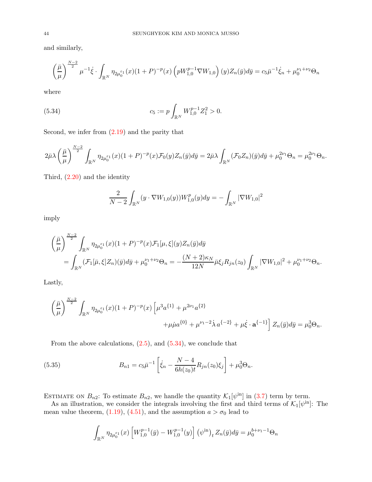and similarly,

$$
\left(\frac{\bar{\mu}}{\mu}\right)^{\frac{N-2}{2}} \mu^{-1}\dot{\xi} \cdot \int_{\mathbb{R}^N} \eta_{2\mu_0^{\varepsilon_1}}(x)(1+P)^{-p}(x) \left(pW_{1,0}^{p-1}\nabla W_{1,0}\right)(y) Z_n(\bar{y}) d\bar{y} = c_5 \bar{\mu}^{-1}\dot{\xi}_n + \mu_0^{\nu_1+\nu_2} \Theta_n
$$

where

(5.34) 
$$
c_5 := p \int_{\mathbb{R}^N} W_{1,0}^{p-1} Z_1^2 > 0.
$$

Second, we infer from [\(2.19\)](#page-10-5) and the parity that

$$
2\bar{\mu}\lambda\left(\frac{\bar{\mu}}{\mu}\right)^{\frac{N-2}{2}}\int_{\mathbb{R}^N}\eta_{2\mu_0^{\varepsilon_1}}(x)(1+P)^{-p}(x)\mathcal{F}_0(y)Z_n(\bar{y})d\bar{y}=2\bar{\mu}\lambda\int_{\mathbb{R}^N}(\mathcal{F}_0Z_n)(\bar{y})d\bar{y}+\mu_0^{2\nu_1}\Theta_n=\mu_0^{2\nu_1}\Theta_n.
$$

Third, [\(2.20\)](#page-10-6) and the identity

<span id="page-43-0"></span>
$$
\frac{2}{N-2} \int_{\mathbb{R}^N} (y \cdot \nabla W_{1,0}(y)) W_{1,0}^p(y) dy = - \int_{\mathbb{R}^N} |\nabla W_{1,0}|^2
$$

imply

$$
\begin{split} &\left(\frac{\bar{\mu}}{\mu}\right)^{\frac{N-2}{2}}\int_{\mathbb{R}^N}\eta_{2\mu_0^{\varepsilon_1}}(x)(1+P)^{-p}(x)\mathcal{F}_1[\mu,\xi](y)Z_n(\bar{y})d\bar{y} \\ &=\int_{\mathbb{R}^N}(\mathcal{F}_1[\bar{\mu},\xi]Z_n)(\bar{y})d\bar{y}+\mu_0^{\nu_1+\nu_2}\Theta_n=-\frac{(N+2)\kappa_N}{12N}\bar{\mu}\xi_jR_{jn}(z_0)\int_{\mathbb{R}^N}|\nabla W_{1,0}|^2+\mu_0^{\nu_1+\nu_2}\Theta_n. \end{split}
$$

Lastly,

$$
\left(\frac{\bar{\mu}}{\mu}\right)^{\frac{N-2}{2}} \int_{\mathbb{R}^N} \eta_{2\mu_0^{\varepsilon_1}}(x)(1+P)^{-p}(x) \left[\mu^3 a^{\{1\}} + \mu^{2\nu_1} a^{\{2\}} + \mu \mu a^{\{0\}} + \mu^{\nu_1 - 2}\dot{\lambda} a^{\{-2\}} + \mu \dot{\xi} \cdot \mathbf{a}^{\{-1\}}\right] Z_n(\bar{y}) d\bar{y} = \mu_0^3 \Theta_n.
$$

From the above calculations,  $(2.5)$ , and  $(5.34)$ , we conclude that

(5.35) 
$$
B_{n1} = c_5 \bar{\mu}^{-1} \left[ \dot{\xi}_n - \frac{N-4}{6h(z_0)t} R_{jn}(z_0) \xi_j \right] + \mu_0^3 \Theta_n.
$$

ESTIMATE ON  $B_{n2}$ : To estimate  $B_{n2}$ , we handle the quantity  $\mathcal{K}_1[\psi^{\text{in}}]$  in [\(3.7\)](#page-18-3) term by term.

As an illustration, we consider the integrals involving the first and third terms of  $\mathcal{K}_1[\psi^{\text{in}}]$ : The mean value theorem, [\(1.19\)](#page-7-0), [\(4.51\)](#page-31-1), and the assumption  $a > \sigma_0$  lead to

<span id="page-43-1"></span>
$$
\int_{\mathbb{R}^N} \eta_{2\mu_0^{\varepsilon_1}}(x) \left[ W_{1,0}^{p-1}(\bar{y}) - W_{1,0}^{p-1}(y) \right] (\psi^{\text{in}})_t Z_n(\bar{y}) d\bar{y} = \mu_0^{b+\nu_1-1} \Theta_n
$$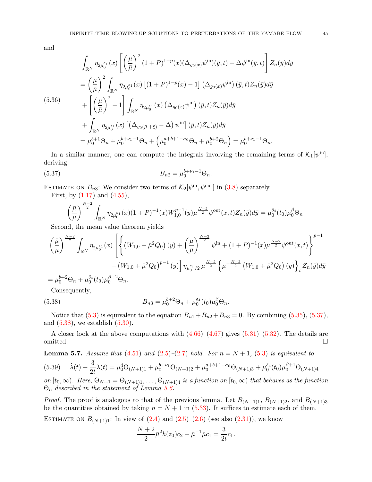and

<span id="page-44-3"></span>
$$
\int_{\mathbb{R}^N} \eta_{2\mu_0^{\varepsilon_1}}(x) \left[ \left(\frac{\mu}{\bar{\mu}}\right)^2 (1+P)^{1-p}(x) (\Delta_{g_0(x)} \psi^{\text{in}})(\bar{y}, t) - \Delta \psi^{\text{in}}(\bar{y}, t) \right] Z_n(\bar{y}) d\bar{y}
$$
\n
$$
= \left(\frac{\mu}{\bar{\mu}}\right)^2 \int_{\mathbb{R}^N} \eta_{2\mu_0^{\varepsilon_1}}(x) \left[ (1+P)^{1-p}(x) - 1 \right] (\Delta_{g_0(x)} \psi^{\text{in}})(\bar{y}, t) Z_n(\bar{y}) d\bar{y}
$$
\n(5.36)\n
$$
+ \left[ \left(\frac{\mu}{\bar{\mu}}\right)^2 - 1 \right] \int_{\mathbb{R}^N} \eta_{2\mu_0^{\varepsilon_1}}(x) (\Delta_{g_0(x)} \psi^{\text{in}})(\bar{y}, t) Z_n(\bar{y}) d\bar{y}
$$
\n
$$
+ \int_{\mathbb{R}^N} \eta_{2\mu_0^{\varepsilon_1}}(x) \left[ (\Delta_{g_0(\bar{\mu} \cdot + \xi)} - \Delta) \psi^{\text{in}} \right] (\bar{y}, t) Z_n(\bar{y}) d\bar{y}
$$
\n
$$
= \mu_0^{b+1} \Theta_n + \mu_0^{b+\nu_1 - 1} \Theta_n + \left( \mu_0^{a+b+1-\sigma_0} \Theta_n + \mu_0^{b+2} \Theta_n \right) = \mu_0^{b+\nu_1 - 1} \Theta_n.
$$

In a similar manner, one can compute the integrals involving the remaining terms of  $\mathcal{K}_1[\psi^{\text{in}}]$ , deriving

(5.37) 
$$
B_{n2} = \mu_0^{b+\nu_1-1} \Theta_n.
$$

ESTIMATE ON  $B_{n3}$ : We consider two terms of  $\mathcal{K}_2[\psi^{\text{in}}, \psi^{\text{out}}]$  in [\(3.8\)](#page-18-4) separately.

First, by  $(1.17)$  and  $(4.55)$ ,

<span id="page-44-1"></span>
$$
\left(\frac{\bar{\mu}}{\mu}\right)^{\frac{N-2}{2}} \int_{\mathbb{R}^N} \eta_{2\mu_0^{\varepsilon_1}}(x)(1+P)^{-1}(x)W_{1,0}^{p-1}(y)\mu^{\frac{N-2}{2}}\psi^{\text{out}}(x,t)Z_n(\bar{y})d\bar{y} = \mu_0^{\delta_4}(t_0)\mu_0^{\beta}\Theta_n.
$$

Second, the mean value theorem yields

$$
\left(\frac{\bar{\mu}}{\mu}\right)^{\frac{N-2}{2}} \int_{\mathbb{R}^N} \eta_{2\mu_0^{\varepsilon_1}}(x) \left[ \left\{ \left(W_{1,0} + \bar{\mu}^2 Q_0\right)(y) + \left(\frac{\mu}{\bar{\mu}}\right)^{\frac{N-2}{2}} \psi^{\text{in}} + (1+P)^{-1}(x) \mu^{\frac{N-2}{2}} \psi^{\text{out}}(x,t) \right\}^{p-1} - \left(W_{1,0} + \bar{\mu}^2 Q_0\right)^{p-1}(y) \right] \eta_{\mu_0^{\varepsilon_1}/2}^{\quad \frac{N-2}{2}} \left\{ \mu^{-\frac{N-2}{2}} \left(W_{1,0} + \bar{\mu}^2 Q_0\right)(y) \right\}_t Z_n(\bar{y}) d\bar{y}
$$
  
=  $\mu_0^{b+2} \Theta_n + \mu_0^{\delta_4}(t_0) \mu_0^{\beta+2} \Theta_n.$ 

<span id="page-44-2"></span>Consequently,

(5.38) 
$$
B_{n3} = \mu_0^{b+2} \Theta_n + \mu_0^{\delta_4}(t_0) \mu_0^{\beta} \Theta_n.
$$

Notice that [\(5.3\)](#page-36-4) is equivalent to the equation  $B_{n1} + B_{n2} + B_{n3} = 0$ . By combining [\(5.35\)](#page-43-1), [\(5.37\)](#page-44-1), and [\(5.38\)](#page-44-2), we establish [\(5.30\)](#page-42-1).

A closer look at the above computations with  $(4.66)$ – $(4.67)$  gives  $(5.31)$ – $(5.32)$ . The details are omitted.  $\Box$ 

**Lemma 5.7.** Assume that  $(4.51)$  and  $(2.5)-(2.7)$  $(2.5)-(2.7)$  $(2.5)-(2.7)$  hold. For  $n = N + 1$ ,  $(5.3)$  is equivalent to (5.39)  $\dot{\lambda}(t) + \frac{3}{2t}\lambda(t) = \mu_0^4 \Theta_{(N+1)1} + \mu_0^{b+\nu_1} \Theta_{(N+1)2} + \mu_0^{a+b+1-\sigma_0} \Theta_{(N+1)3} + \mu_0^{\delta_4}(t_0)\mu_0^{\beta+1} \Theta_{(N+1)4}$ 

<span id="page-44-0"></span>on 
$$
[t_0, \infty)
$$
. Here,  $\Theta_{N+1} = \Theta_{(N+1)1}, \dots, \Theta_{(N+1)4}$  is a function on  $[t_0, \infty)$  that behaves as the function

 $\Theta_n$  described in the statement of Lemma [5.6.](#page-42-4)

*Proof.* The proof is analogous to that of the previous lemma. Let  $B_{(N+1)1}$ ,  $B_{(N+1)2}$ , and  $B_{(N+1)3}$ be the quantities obtained by taking  $n = N + 1$  in [\(5.33\)](#page-42-5). It suffices to estimate each of them. ESTIMATE ON  $B_{(N+1)1}$ : In view of  $(2.4)$  and  $(2.5)-(2.6)$  $(2.5)-(2.6)$  (see also  $(2.31)$ ), we know

$$
\frac{N+2}{2}\bar{\mu}^2h(z_0)c_2 - \bar{\mu}^{-1}\dot{\bar{\mu}}c_1 = \frac{3}{2t}c_1.
$$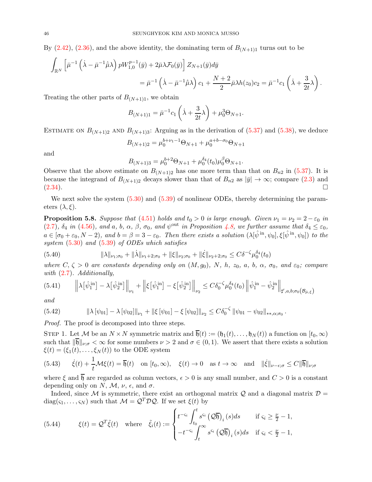By  $(2.42)$ ,  $(2.36)$ , and the above identity, the dominating term of  $B_{(N+1)1}$  turns out to be

$$
\int_{\mathbb{R}^N} \left[ \bar{\mu}^{-1} \left( \dot{\lambda} - \bar{\mu}^{-1} \dot{\bar{\mu}} \lambda \right) p W_{1,0}^{p-1}(\bar{y}) + 2 \bar{\mu} \lambda \mathcal{F}_0(\bar{y}) \right] Z_{N+1}(\bar{y}) d\bar{y}
$$
\n
$$
= \bar{\mu}^{-1} \left( \dot{\lambda} - \bar{\mu}^{-1} \dot{\bar{\mu}} \lambda \right) c_1 + \frac{N+2}{2} \bar{\mu} \lambda h(z_0) c_2 = \bar{\mu}^{-1} c_1 \left( \dot{\lambda} + \frac{3}{2t} \lambda \right).
$$

Treating the other parts of  $B_{(N+1)1}$ , we obtain

$$
B_{(N+1)1} = \bar{\mu}^{-1} c_1 \left( \dot{\lambda} + \frac{3}{2t} \lambda \right) + \mu_0^3 \Theta_{N+1}.
$$

ESTIMATE ON  $B_{(N+1)2}$  AND  $B_{(N+1)3}$ : Arguing as in the derivation of  $(5.37)$  and  $(5.38)$ , we deduce

$$
B_{(N+1)2} = \mu_0^{b+\nu_1-1} \Theta_{N+1} + \mu_0^{a+b-\sigma_0} \Theta_{N+1}
$$

and

$$
B_{(N+1)3} = \mu_0^{b+2} \Theta_{N+1} + \mu_0^{\delta_4}(t_0) \mu_0^{\beta} \Theta_{N+1}.
$$

Observe that the above estimate on  $B_{(N+1)2}$  has one more term than that on  $B_{n2}$  in [\(5.37\)](#page-44-1). It is because the integrand of  $B_{(N+1)2}$  decays slower than that of  $B_{n2}$  as  $|\bar{y}| \to \infty$ ; compare [\(2.3\)](#page-8-7) and (2.34).  $(2.34)$ .

We next solve the system  $(5.30)$  and  $(5.39)$  of nonlinear ODEs, thereby determining the parameters  $(\lambda, \xi)$ .

<span id="page-45-4"></span>**Proposition 5.8.** Suppose that [\(4.51\)](#page-31-1) holds and  $t_0 > 0$  is large enough. Given  $\nu_1 = \nu_2 = 2 - \varepsilon_0$  in [\(2.7\)](#page-8-5),  $\delta_4$  in [\(4.56\)](#page-31-5), and a, b,  $\alpha$ ,  $\beta$ ,  $\sigma_0$ , and  $\psi^{\text{out}}$  in Proposition [4.8,](#page-31-3) we further assume that  $\delta_4 \leq \varepsilon_0$ ,  $a \in [\sigma_0 + \varepsilon_0, N - 2)$ , and  $b = \beta = 3 - \varepsilon_0$ . Then there exists a solution  $(\lambda[\hat{\psi}^{\text{in}}, \psi_0], \xi[\hat{\psi}^{\text{in}}, \psi_0])$  to the system [\(5.30\)](#page-42-1) and [\(5.39\)](#page-44-0) of ODEs which satisfies

<span id="page-45-1"></span>
$$
(5.40) \t\t ||\lambda||_{\nu_1;\sigma_0} + ||\dot{\lambda}||_{\nu_1+2;\sigma_0} + ||\xi||_{\nu_2;\sigma_0} + ||\dot{\xi}||_{\nu_2+2;\sigma_0} \leq C\delta^{-\zeta}\mu_0^{\delta_4}(t_0)
$$

where  $C, \zeta > 0$  are constants depending only on  $(M, g_0), N, h, z_0, a, b, \alpha, \sigma_0, \text{ and } \varepsilon_0$ ; compare with [\(2.7\)](#page-8-5). Additionally,

<span id="page-45-2"></span>
$$
(5.41) \qquad \left\|\lambda\left[\hat{\psi}_1^{\text{in}}\right] - \lambda\left[\hat{\psi}_2^{\text{in}}\right]\right\|_{\nu_1} + \left\|\xi\left[\hat{\psi}_1^{\text{in}}\right] - \xi\left[\hat{\psi}_2^{\text{in}}\right]\right\|_{\nu_2} \leq C\delta_0^{-\zeta}\mu_0^{\delta_4}(t_0) \left\|\hat{\psi}_1^{\text{in}} - \hat{\psi}_2^{\text{in}}\right\|_{\sharp',a,b;\sigma_0(\mathcal{B}_{\bar{\mu},\xi})}
$$

and

<span id="page-45-3"></span>
$$
(5.42) \t\t ||\lambda [\psi_{01}] - \lambda [\psi_{02}]||_{\nu_1} + ||\xi [\psi_{01}] - \xi [\psi_{02}]]_{\nu_2} \leq C \delta_0^{-\zeta} ||\psi_{01} - \psi_{02}||_{\ast \ast, \alpha; \sigma_0}.
$$

Proof. The proof is decomposed into three steps.

STEP 1. Let M be an  $N \times N$  symmetric matrix and  $\overline{\mathfrak{h}}(t) := (\mathfrak{h}_1(t), \ldots, \mathfrak{h}_N(t))$  a function on  $[t_0, \infty)$ such that  $\|\overline{\mathfrak{h}}\|_{\nu;\sigma}<\infty$  for some numbers  $\nu>2$  and  $\sigma\in(0,1)$ . We assert that there exists a solution  $\xi(t) = (\xi_1(t), \dots, \xi_N(t))$  to the ODE system

<span id="page-45-0"></span>(5.43) 
$$
\dot{\xi}(t) + \frac{1}{t} \mathcal{M} \xi(t) = \overline{\mathfrak{h}}(t)
$$
 on  $[t_0, \infty)$ ,  $\xi(t) \to 0$  as  $t \to \infty$  and  $\|\dot{\xi}\|_{\nu-\epsilon;\sigma} \leq C \|\overline{\mathfrak{h}}\|_{\nu;\sigma}$ 

where  $\xi$  and  $\overline{h}$  are regarded as column vectors,  $\epsilon > 0$  is any small number, and  $C > 0$  is a constant depending only on N, M,  $\nu$ ,  $\epsilon$ , and  $\sigma$ .

Indeed, since M is symmetric, there exist an orthogonal matrix  $\mathcal{Q}$  and a diagonal matrix  $\mathcal{D} =$  $diag(\varsigma_1,\ldots,\varsigma_N)$  such that  $\mathcal{M} = \mathcal{Q}^T \mathcal{D} \mathcal{Q}$ . If we set  $\xi(t)$  by

<span id="page-45-5"></span>(5.44) 
$$
\xi(t) = Q^T \tilde{\xi}(t) \quad \text{where} \quad \tilde{\xi}_i(t) := \begin{cases} t^{-\varsigma_i} \int_{t_0}^t s^{\varsigma_i} (Q \overline{\mathfrak{h}})_i(s) ds & \text{if } \varsigma_i \geq \frac{\nu}{2} - 1, \\ -t^{-\varsigma_i} \int_t^{\infty} s^{\varsigma_i} (Q \overline{\mathfrak{h}})_i(s) ds & \text{if } \varsigma_i < \frac{\nu}{2} - 1, \end{cases}
$$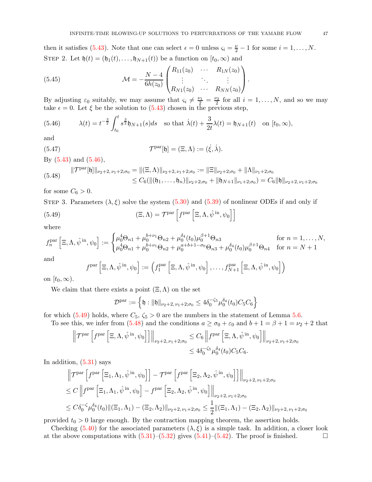then it satisfies [\(5.43\)](#page-45-0). Note that one can select  $\epsilon = 0$  unless  $\varsigma_i = \frac{\nu}{2} - 1$  for some  $i = 1, ..., N$ . STEP 2. Let  $\mathfrak{h}(t) = (\mathfrak{h}_1(t), \ldots, \mathfrak{h}_{N+1}(t))$  be a function on  $[t_0, \infty)$  and

<span id="page-46-3"></span>(5.45) 
$$
\mathcal{M} = -\frac{N-4}{6h(z_0)} \begin{pmatrix} R_{11}(z_0) & \cdots & R_{1N}(z_0) \\ \vdots & \ddots & \vdots \\ R_{N1}(z_0) & \cdots & R_{NN}(z_0) \end{pmatrix}.
$$

By adjusting  $\varepsilon_0$  suitably, we may assume that  $\varsigma_i \neq \frac{\nu_1}{2} = \frac{\nu_2}{2}$  for all  $i = 1, ..., N$ , and so we may take  $\epsilon = 0$ . Let  $\xi$  be the solution to [\(5.43\)](#page-45-0) chosen in the previous step,

<span id="page-46-0"></span>(5.46) 
$$
\lambda(t) = t^{-\frac{3}{2}} \int_{t_0}^t s^{\frac{3}{2}} \mathfrak{h}_{N+1}(s) ds \text{ so that } \dot{\lambda}(t) + \frac{3}{2t} \lambda(t) = \mathfrak{h}_{N+1}(t) \text{ on } [t_0, \infty),
$$

and

<span id="page-46-4"></span>(5.47) 
$$
\mathcal{T}^{\text{par}}[\mathfrak{h}] = (\Xi, \Lambda) := (\dot{\xi}, \dot{\lambda}).
$$

By [\(5.43\)](#page-45-0) and [\(5.46\)](#page-46-0),

<span id="page-46-2"></span>
$$
(5.48) \quad \|\mathcal{T}^{\text{par}}[\mathfrak{h}]\|_{\nu_2+2,\nu_1+2;\sigma_0} = \|(\Xi,\Lambda)\|_{\nu_2+2,\nu_1+2;\sigma_0} := \|\Xi\|_{\nu_2+2;\sigma_0} + \|\Lambda\|_{\nu_1+2;\sigma_0}
$$
  

$$
\leq C_6 (\|(\mathfrak{h}_1,\ldots,\mathfrak{h}_n)\|_{\nu_2+2;\sigma_0} + \|\mathfrak{h}_{N+1}\|_{\nu_1+2;\sigma_0}) = C_6 \|\mathfrak{h}\|_{\nu_2+2,\nu_1+2;\sigma_0}
$$

for some  $C_6 > 0$ .

STEP 3. Parameters  $(\lambda, \xi)$  solve the system [\(5.30\)](#page-42-1) and [\(5.39\)](#page-44-0) of nonlinear ODEs if and only if

(5.49) 
$$
(\Xi, \Lambda) = \mathcal{T}^{\text{par}} \left[ f^{\text{par}} \left[ \Xi, \Lambda, \hat{\psi}^{\text{in}}, \psi_0 \right] \right]
$$

where

$$
f_n^{\text{par}} \left[ \Xi, \Lambda, \hat{\psi}^{\text{in}}, \psi_0 \right] := \begin{cases} \mu_0^4 \Theta_{n1} + \mu_0^{b+\nu_1} \Theta_{n2} + \mu_0^{\delta_4}(t_0) \mu_0^{\beta+1} \Theta_{n3} & \text{for } n = 1, \dots, N, \\ \mu_0^4 \Theta_{n1} + \mu_0^{b+\nu_1} \Theta_{n2} + \mu_0^{a+b+1-\sigma_0} \Theta_{n3} + \mu_0^{\delta_4}(t_0) \mu_0^{\beta+1} \Theta_{n4} & \text{for } n = N+1 \end{cases}
$$

and

<span id="page-46-1"></span>
$$
f^{\text{par}}\left[\Xi,\Lambda,\hat{\psi}^{\text{ in}},\psi_0\right]:=\left(f^{\text{par}}_1\left[\Xi,\Lambda,\hat{\psi}^{\text{ in}},\psi_0\right],\ldots,f^{\text{par}}_{N+1}\left[\Xi,\Lambda,\hat{\psi}^{\text{ in}},\psi_0\right]\right)
$$

on  $[t_0,\infty)$ .

We claim that there exists a point  $(\Xi, \Lambda)$  on the set

$$
\mathcal{D}^{\mathrm{par}} := \left\{ \mathfrak{h}: \|\mathfrak{h}\|_{\nu_2+2, \nu_1+2; \sigma_0} \leq 4 \delta_0^{-\zeta_5} \mu_0^{\delta_4}(t_0) C_5 C_6 \right\}
$$

for which [\(5.49\)](#page-46-1) holds, where  $C_5$ ,  $\zeta_5 > 0$  are the numbers in the statement of Lemma [5.6.](#page-42-4)

To see this, we infer from [\(5.48\)](#page-46-2) and the conditions  $a \ge \sigma_0 + \varepsilon_0$  and  $b + 1 = \beta + 1 = \nu_2 + 2$  that

$$
\left\| \mathcal{T}^{\mathrm{par}} \left[ f^{\mathrm{par}} \left[ \Xi, \Lambda, \hat{\psi}^{\mathrm{in}}, \psi_0 \right] \right] \right\|_{\nu_2+2, \nu_1+2; \sigma_0} \leq C_6 \left\| f^{\mathrm{par}} \left[ \Xi, \Lambda, \hat{\psi}^{\mathrm{in}}, \psi_0 \right] \right\|_{\nu_2+2, \nu_1+2; \sigma_0}
$$
  

$$
\leq 4\delta_0^{-\zeta_5} \mu_0^{\delta_4}(t_0) C_5 C_6.
$$

In addition, [\(5.31\)](#page-42-2) says

$$
\|\mathcal{T}^{\text{par}}\left[f^{\text{par}}\left[\Xi_1,\Lambda_1,\hat{\psi}^{\text{in}},\psi_0\right]\right] - \mathcal{T}^{\text{par}}\left[f^{\text{par}}\left[\Xi_2,\Lambda_2,\hat{\psi}^{\text{in}},\psi_0\right]\right]\Big|_{\nu_2+2,\nu_1+2;\sigma_0}
$$
  
\n
$$
\leq C \left\|f^{\text{par}}\left[\Xi_1,\Lambda_1,\hat{\psi}^{\text{in}},\psi_0\right] - f^{\text{par}}\left[\Xi_2,\Lambda_2,\hat{\psi}^{\text{in}},\psi_0\right]\right\|_{\nu_2+2,\nu_1+2;\sigma_0}
$$
  
\n
$$
\leq C\delta_0^{-\zeta}\mu_0^{\delta_4}(t_0) \|\left(\Xi_1,\Lambda_1\right) - \left(\Xi_2,\Lambda_2\right)\|_{\nu_2+2,\nu_1+2;\sigma_0} \leq \frac{1}{2}\|\left(\Xi_1,\Lambda_1\right) - \left(\Xi_2,\Lambda_2\right)\|_{\nu_2+2,\nu_1+2;\sigma_0}
$$

provided  $t_0 > 0$  large enough. By the contraction mapping theorem, the assertion holds.

Checking [\(5.40\)](#page-45-1) for the associated parameters  $(\lambda, \xi)$  is a simple task. In addition, a closer look at the above computations with  $(5.31)$ – $(5.32)$  gives  $(5.41)$ – $(5.42)$ . The proof is finished.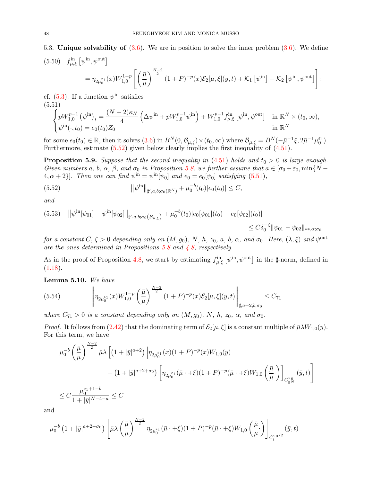<span id="page-47-0"></span>5.3. Unique solvability of  $(3.6)$ . We are in position to solve the inner problem  $(3.6)$ . We define

<span id="page-47-5"></span>(5.50) 
$$
f_{\mu,\xi}^{\text{in}} \left[ \psi^{\text{in}}, \psi^{\text{out}} \right]
$$
  
=  $\eta_{2\mu_0^{\varepsilon_1}}(x)W_{1,0}^{1-p} \left[ \left( \frac{\bar{\mu}}{\mu} \right)^{\frac{N-2}{2}} (1+P)^{-p}(x) \mathcal{E}_2[\mu, \xi](y,t) + \mathcal{K}_1 \left[ \psi^{\text{in}} \right] + \mathcal{K}_2 \left[ \psi^{\text{in}}, \psi^{\text{out}} \right] \right];$ 

cf.  $(5.3)$ . If a function  $\psi^{\text{in}}$  satisfies (5.51)

<span id="page-47-2"></span>
$$
\begin{cases} pW_{1,0}^{p-1}(\psi^{\rm in})_t = \frac{(N+2)\kappa_N}{4} \left(\Delta\psi^{\rm in} + pW_{1,0}^{p-1}\psi^{\rm in}\right) + W_{1,0}^{p-1}f_{\mu,\xi}^{\rm in}[\psi^{\rm in},\psi^{\rm out}] & \text{in } \mathbb{R}^N \times (t_0,\infty),\\ \psi^{\rm in}(\cdot,t_0) = e_0(t_0)Z_0 & \text{in } \mathbb{R}^N \end{cases}
$$

for some  $e_0(t_0) \in \mathbb{R}$ , then it solves  $(3.6)$  in  $B^N(0, \mathcal{B}_{\bar{\mu},\xi}) \times (t_0, \infty)$  where  $\mathcal{B}_{\bar{\mu},\xi} = B^N(-\bar{\mu}^{-1}\xi, 2\bar{\mu}^{-1}\mu_0^{\varepsilon_1})$ . Furthermore, estimate  $(5.52)$  given below clearly implies the first inequality of  $(4.51)$ .

<span id="page-47-4"></span>**Proposition 5.9.** Suppose that the second inequality in  $(4.51)$  holds and  $t_0 > 0$  is large enough. Given numbers a, b,  $\alpha$ ,  $\beta$ , and  $\sigma_0$  in Proposition [5.8,](#page-45-4) we further assume that  $a \in [\sigma_0 + \varepsilon_0, \min\{N - \sigma_0\}]$  ${4, \alpha + 2}$ . Then one can find  $\psi^{\text{in}} = \psi^{\text{in}}[\psi_0]$  and  $e_0 = e_0[\psi_0]$  satisfying [\(5.51\)](#page-47-2),

<span id="page-47-1"></span>(5.52) 
$$
\|\psi^{\text{in}}\|_{\sharp',a,b;\sigma_0(\mathbb{R}^N)} + \mu_0^{-b}(t_0)|e_0(t_0)| \leq C,
$$

and

<span id="page-47-6"></span>
$$
(5.53) \quad \|\psi^{in}[\psi_{01}] - \psi^{in}[\psi_{02}]\|_{\sharp',a,b;\sigma_{0}}(B_{\bar{\mu},\xi}) + \mu_{0}^{-b}(t_{0})|e_{0}[\psi_{01}](t_{0}) - e_{0}[\psi_{02}](t_{0})|
$$
  

$$
\leq C\delta_{0}^{-\zeta} \|\psi_{01} - \psi_{02}\|_{**,\alpha;\sigma_{0}}
$$

for a constant  $C, \zeta > 0$  depending only on  $(M, g_0)$ , N, h,  $z_0$ , a, b,  $\alpha$ , and  $\sigma_0$ . Here,  $(\lambda, \xi)$  and  $\psi^{\text{out}}$ are the ones determined in Propositions [5.8](#page-45-4) and [4.8,](#page-31-3) respectively.

As in the proof of Proposition [4.8,](#page-31-3) we start by estimating  $f_{\mu,\xi}^{in} \left[ \psi^{in}, \psi^{out} \right]$  in the ‡-norm, defined in  $(1.18).$  $(1.18).$ 

Lemma 5.10. We have

<span id="page-47-3"></span>
$$
(5.54) \qquad \left\| \eta_{2\mu_0^{\varepsilon_1}}(x)W_{1,0}^{1-p}\left(\frac{\bar{\mu}}{\mu}\right)^{\frac{N-2}{2}}(1+P)^{-p}(x)\mathcal{E}_2[\mu,\xi](y,t) \right\|_{\sharp,a+2,b;\sigma_0} \leq C_{71}
$$

where  $C_{71} > 0$  is a constant depending only on  $(M, g_0)$ , N, h,  $z_0$ ,  $\alpha$ , and  $\sigma_0$ .

*Proof.* It follows from [\(2.42\)](#page-15-3) that the dominating term of  $\mathcal{E}_2[\mu, \xi]$  is a constant multiple of  $\bar{\mu} \lambda W_{1,0}(y)$ . For this term, we have

$$
\mu_0^{-b} \left( \frac{\bar{\mu}}{\mu} \right)^{\frac{N-2}{2}} \bar{\mu} \lambda \left[ \left( 1 + |\bar{y}|^{a+2} \right) \left| \eta_{2\mu_0^{\varepsilon_1}}(x)(1+P)^{-p}(x) W_{1,0}(y) \right| \right. \\
\left. + \left( 1 + |\bar{y}|^{a+2+\sigma_0} \right) \left[ \eta_{2\mu_0^{\varepsilon_1}}(\bar{\mu} \cdot + \xi)(1+P)^{-p}(\bar{\mu} \cdot + \xi) W_{1,0} \left( \frac{\bar{\mu}}{\mu} \cdot \right) \right]_{C_{\mathbb{R}^N}^{\sigma_0}} (\bar{y}, t) \right]
$$
\n
$$
\leq C \frac{\mu_0^{\nu_1+1-b}}{1+|\bar{y}|^{N-4-a}} \leq C
$$

and

$$
\mu_0^{-b} \left( 1 + |\bar{y}|^{a+2-\sigma_0} \right) \left[ \bar{\mu} \lambda \left( \frac{\bar{\mu}}{\mu} \right)^{\frac{N-2}{2}} \eta_{2\mu_0^{\varepsilon_1}}(\bar{\mu} \cdot + \xi) (1+P)^{-p} (\bar{\mu} \cdot + \xi) W_{1,0} \left( \frac{\bar{\mu}}{\mu} \cdot \right) \right]_{C_t^{\sigma_0/2}} (\bar{y}, t)
$$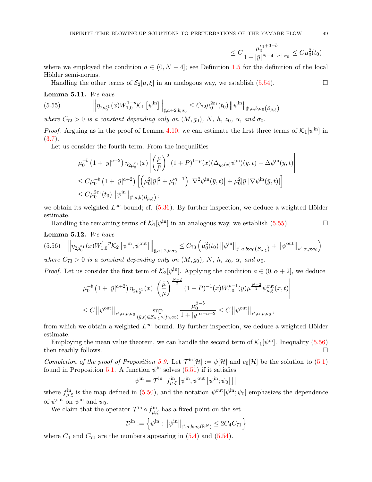$$
\leq C \frac{\mu_0^{\nu_1+3-b}}{1+|\bar{y}|^{N-4-a+\sigma_0}} \leq C \mu_0^2(t_0)
$$

 $\overline{\phantom{a}}$ I  $\overline{\phantom{a}}$ I  $\overline{\phantom{a}}$ 

where we employed the condition  $a \in (0, N-4]$ ; see Definition [1.5](#page-5-3) for the definition of the local Hölder semi-norms.

<span id="page-48-0"></span>Handling the other terms of  $\mathcal{E}_2[\mu, \xi]$  in an analogous way, we establish [\(5.54\)](#page-47-3).

## Lemma 5.11. We have

$$
(5.55) \t\t ||\eta_{2\mu_0^{\varepsilon_1}}(x)W_{1,0}^{1-p}\mathcal{K}_1\left[\psi^{\text{in}}\right]\Big\|_{\sharp,a+2,b;\sigma_0} \leq C_{72}\mu_0^{2\varepsilon_1}(t_0) \left\|\psi^{\text{in}}\right\|_{\sharp',a,b;\sigma_0(\mathcal{B}_{\bar{\mu},\xi})}
$$

where  $C_{72} > 0$  is a constant depending only on  $(M, g_0)$ , N, h,  $z_0$ ,  $\alpha$ , and  $\sigma_0$ .

*Proof.* Arguing as in the proof of Lemma [4.10,](#page-32-3) we can estimate the first three terms of  $\mathcal{K}_1[\psi^{\text{in}}]$  in  $(3.7).$  $(3.7).$ 

Let us consider the fourth term. From the inequalities

$$
\label{eq:4.13} \begin{split} & \left. \mu_0^{-b} \left( 1 + |\bar{y}|^{a+2} \right) \eta_{2\mu_0^{\varepsilon_1}}(x) \left| \left( \frac{\mu}{\bar{\mu}} \right)^2 (1+P)^{1-p}(x) (\Delta_{g_0(x)} \psi^{\rm in}) (\bar{y},t) - \Delta \psi^{\rm in} (\bar{y},t) \right| \right. \\ & \left. \leq C \mu_0^{-b} \left( 1 + |\bar{y}|^{a+2} \right) \left[ \left( \mu_0^2 |\bar{y}|^2 + \mu_0^{\nu_1-1} \right) \left| \nabla^2 \psi^{\rm in} (\bar{y},t) \right| + \mu_0^2 |\bar{y}| |\nabla \psi^{\rm in} (\bar{y},t)| \right] \right. \\ & \left. \leq C \mu_0^{2 \varepsilon_1}(t_0) \left\| \psi^{\rm in} \right\|_{\sharp',a,b\left(\mathcal{B}_{\bar{\mu},\xi}\right)}, \end{split}
$$

we obtain its weighted  $L^{\infty}$ -bound; cf. [\(5.36\)](#page-44-3). By further inspection, we deduce a weighted Hölder estimate.

Handling the remaining terms of  $\mathcal{K}_1[\psi^{\text{in}}]$  in an analogous way, we establish [\(5.55\)](#page-48-0).

## Lemma 5.12. We have

<span id="page-48-1"></span>
$$
(5.56) \quad \left\| \eta_{2\mu_0^{\varepsilon_1}}(x) W_{1,0}^{1-p} \mathcal{K}_2 \left[ \psi^{\text{in}}, \psi^{\text{out}} \right] \right\|_{\sharp, a+2, b; \sigma_0} \leq C_{73} \left( \mu_0^2(t_0) \left\| \psi^{\text{in}} \right\|_{\sharp', a, b; \sigma_0(\mathcal{B}_{\bar{\mu}, \xi})} + \left\| \psi^{\text{out}} \right\|_{\ast', \alpha, \rho; \sigma_0} \right)
$$
  
where  $C_{73} > 0$  is a constant depending only on  $(M, g_0)$ ,  $N$ ,  $h$ ,  $z_0$ ,  $\alpha$ , and  $\sigma_0$ .

*Proof.* Let us consider the first term of  $\mathcal{K}_2[\psi^{\text{in}}]$ . Applying the condition  $a \in (0, \alpha + 2]$ , we deduce

$$
\mu_0^{-b} \left( 1 + |\bar{y}|^{a+2} \right) \eta_{2\mu_0^{\varepsilon_1}}(x) \left| \left( \frac{\bar{\mu}}{\mu} \right)^{\frac{N-2}{2}} (1+P)^{-1}(x) W_{1,0}^{p-1}(y) \mu^{\frac{N-2}{2}} \psi_{\mu,\xi}^{\text{out}}(x,t) \right|
$$
  

$$
\leq C \left\| \psi^{\text{out}} \right\|_{\ast',\alpha,\rho;\sigma_0} \sup_{(\bar{y},t) \in \mathcal{B}_{\bar{\mu},\xi} \times [t_0,\infty)} \frac{\mu_0^{\beta-b}}{1+|\bar{y}|^{\alpha-a+2}} \leq C \left\| \psi^{\text{out}} \right\|_{\ast',\alpha,\rho;\sigma_0},
$$

from which we obtain a weighted  $L^{\infty}$ -bound. By further inspection, we deduce a weighted Hölder estimate.

Employing the mean value theorem, we can handle the second term of  $\mathcal{K}_1[\psi^{\text{in}}]$ . Inequality [\(5.56\)](#page-48-1) then readily follows.

Completion of the proof of Proposition [5.9.](#page-47-4) Let  $\mathcal{T}^{\text{in}}[\mathcal{H}] := \psi[\mathcal{H}]$  and  $e_0[\mathcal{H}]$  be the solution to [\(5.1\)](#page-36-1) found in Proposition [5.1.](#page-36-5) A function  $\psi^{\text{in}}$  solves  $(5.51)$  if it satisfies

$$
\psi^{\text{in}} = \mathcal{T}^{\text{in}} \left[ f^{\text{in}}_{\mu,\xi} \left[ \psi^{\text{in}}, \psi^{\text{out}} \left[ \psi^{\text{in}}; \psi_0 \right] \right] \right]
$$

where  $f_{\mu,\xi}^{\text{in}}$  is the map defined in [\(5.50\)](#page-47-5), and the notation  $\psi^{\text{out}}[\psi^{\text{in}};\psi_0]$  emphasizes the dependence of  $\psi^{\text{out}}$  on  $\psi^{\text{in}}$  and  $\psi_0$ .

We claim that the operator  $\mathcal{T}^{\text{in}} \circ f^{\text{in}}_{\mu,\xi}$  has a fixed point on the set

$$
\mathcal{D}^{\text{in}} := \left\{ \psi^{\text{in}} : \left\| \psi^{\text{in}} \right\|_{\sharp',a,b;\sigma_0(\mathbb{R}^N)} \leq 2C_4 C_{71} \right\}
$$

where  $C_4$  and  $C_{71}$  are the numbers appearing in  $(5.4)$  and  $(5.54)$ .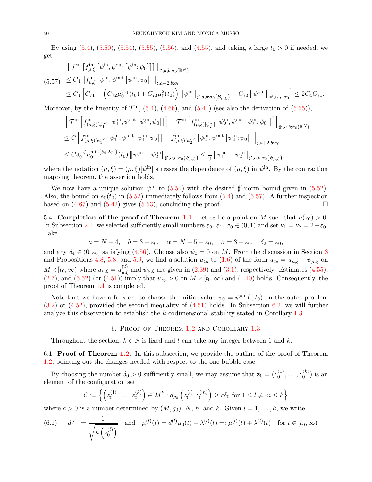By using  $(5.4)$ ,  $(5.50)$ ,  $(5.54)$ ,  $(5.55)$ ,  $(5.56)$ , and  $(4.55)$ , and taking a large  $t_0 > 0$  if needed, we get

<span id="page-49-2"></span>
$$
\|\mathcal{T}^{\text{in}}\left[f_{\mu,\xi}^{\text{in}}\left[\psi^{\text{in}},\psi^{\text{out}}\left[\psi^{\text{in}};\psi_0\right]\right]\right]\|_{\sharp',a,b;\sigma_0(\mathbb{R}^N)}
$$
\n
$$
(5.57) \leq C_4 \left\|f_{\mu,\xi}^{\text{in}}\left[\psi^{\text{in}},\psi^{\text{out}}\left[\psi^{\text{in}};\psi_0\right]\right]\right\|_{\sharp,a+2,b;\sigma_0}
$$
\n
$$
\leq C_4 \left[C_{71} + \left(C_{72}\mu_0^{2\varepsilon_1}(t_0) + C_{73}\mu_0^2(t_0)\right)\|\psi^{\text{in}}\|_{\sharp',a,b;\sigma_0(\mathcal{B}_{\bar{\mu},\xi})} + C_{73}\|\psi^{\text{out}}\|_{\ast',\alpha,\rho;\sigma_0}\right] \leq 2C_4C_{71}.
$$

Moreover, by the linearity of  $\mathcal{T}^{\text{in}}$ , [\(5.4\)](#page-36-6), [\(4.66\)](#page-35-1), and [\(5.41\)](#page-45-2) (see also the derivation of [\(5.55\)](#page-48-0)),

$$
\begin{split}\n\left\|\mathcal{T}^{\text{in}}\left[f^{\text{in}}_{(\mu,\xi)[\psi^{\text{in}}_{1}]}\left[\psi^{\text{in}}_{1},\psi^{\text{out}}\left[\psi^{\text{in}}_{1};\psi_{0}\right]\right]\right]-\mathcal{T}^{\text{in}}\left[f^{\text{in}}_{(\mu,\xi)[\psi^{\text{in}}_{2}]}\left[\psi^{\text{in}}_{2},\psi^{\text{out}}\left[\psi^{\text{in}}_{2};\psi_{0}\right]\right]\right]\right\|_{\sharp',a,b;\sigma_{0}(\mathbb{R}^{N})} \\
\leq C\left\|f^{\text{in}}_{(\mu,\xi)[\psi^{\text{in}}_{1}]}\left[\psi^{\text{in}}_{1},\psi^{\text{out}}\left[\psi^{\text{in}}_{1};\psi_{0}\right]\right]-f^{\text{in}}_{(\mu,\xi)[\psi^{\text{in}}_{2}]}\left[\psi^{\text{in}}_{2},\psi^{\text{out}}\left[\psi^{\text{in}}_{2};\psi_{0}\right]\right]\right\|_{\sharp,a+2,b;\sigma_{0}} \\
\leq C\delta_{0}^{-\zeta}\mu^{\min\{\delta_{4},2\varepsilon_{1}\}}_{0}(t_{0})\left\|\psi^{\text{in}}_{1}-\psi^{\text{in}}_{2}\right\|_{\sharp',a,b;\sigma_{0}(\mathcal{B}_{\bar{\mu},\xi})} \leq \frac{1}{2}\left\|\psi^{\text{in}}_{1}-\psi^{\text{in}}_{2}\right\|_{\sharp',a,b;\sigma_{0}(\mathcal{B}_{\bar{\mu},\xi})}\n\end{split}
$$

where the notation  $(\mu, \xi) = (\mu, \xi)[\psi^{\text{in}}]$  stresses the dependence of  $(\mu, \xi)$  in  $\psi^{\text{in}}$ . By the contraction mapping theorem, the assertion holds.

We now have a unique solution  $\psi^{\text{in}}$  to [\(5.51\)](#page-47-2) with the desired  $\sharp'$ -norm bound given in [\(5.52\)](#page-47-1). Also, the bound on  $e_0(t_0)$  in [\(5.52\)](#page-47-1) immediately follows from [\(5.4\)](#page-36-6) and [\(5.57\)](#page-49-2). A further inspection based on  $(4.67)$  and  $(5.42)$  gives  $(5.53)$ , concluding the proof.

<span id="page-49-1"></span>5.4. Completion of the proof of Theorem [1.1.](#page-2-1) Let  $z_0$  be a point on M such that  $h(z_0) > 0$ . In Subsection [2.1,](#page-8-4) we selected sufficiently small numbers  $\varepsilon_0$ ,  $\varepsilon_1$ ,  $\sigma_0 \in (0,1)$  and set  $\nu_1 = \nu_2 = 2 - \varepsilon_0$ . Take

$$
a = N - 4
$$
,  $b = 3 - \varepsilon_0$ ,  $\alpha = N - 5 + \varepsilon_0$ ,  $\beta = 3 - \varepsilon_0$ ,  $\delta_2 = \varepsilon_0$ ,

and any  $\delta_4 \in (0, \varepsilon_0]$  satisfying  $(4.56)$ . Choose also  $\psi_0 = 0$  on M. From the discussion in Section [3](#page-17-0) and Propositions [4.8,](#page-31-3) [5.8,](#page-45-4) and [5.9,](#page-47-4) we find a solution  $u_{z_0}$  to [\(1.6\)](#page-1-1) of the form  $u_{z_0} = u_{\mu,\xi} + \psi_{\mu,\xi}$  on  $M \times [t_0, \infty)$  where  $u_{\mu,\xi} = u_{\mu,\xi}^{(2)}$  and  $\psi_{\mu,\xi}$  are given in [\(2.39\)](#page-15-0) and [\(3.1\)](#page-17-5), respectively. Estimates [\(4.55\)](#page-31-9),  $(2.7)$ , and  $(5.52)$  (or  $(4.51)$ ) imply that  $u_{z_0} > 0$  on  $M \times [t_0, \infty)$  and  $(1.10)$  holds. Consequently, the proof of Theorem [1.1](#page-2-1) is completed.

Note that we have a freedom to choose the initial value  $\psi_0 = \psi^{\text{out}}(\cdot, t_0)$  on the outer problem [\(3.2\)](#page-17-1) or [\(4.52\)](#page-31-2), provided the second inequality of [\(4.51\)](#page-31-1) holds. In Subsection [6.2,](#page-51-0) we will further analyze this observation to establish the k-codimensional stability stated in Corollary [1.3.](#page-2-2)

#### 6. Proof of Theorem [1.2](#page-2-0) and Corollary [1.3](#page-2-2)

<span id="page-49-0"></span>Throughout the section,  $k \in \mathbb{N}$  is fixed and l can take any integer between 1 and k.

6.1. Proof of Theorem [1.2.](#page-2-0) In this subsection, we provide the outline of the proof of Theorem [1.2,](#page-2-0) pointing out the changes needed with respect to the one bubble case.

By choosing the number  $\delta_0 > 0$  sufficiently small, we may assume that  $\mathbf{z}_0 = (z_0^{(1)})$  $z_0^{(1)}, \ldots, z_0^{(k)}$  $\binom{(\kappa)}{0}$  is an element of the configuration set

$$
\mathcal{C} := \left\{ \left( z_0^{(1)}, \dots, z_0^{(k)} \right) \in M^k : d_{g_0} \left( z_0^{(l)}, z_0^{(m)} \right) \ge c \delta_0 \text{ for } 1 \le l \ne m \le k \right\}
$$

where  $c > 0$  is a number determined by  $(M, g_0)$ , N, h, and k. Given  $l = 1, \ldots, k$ , we write

<span id="page-49-3"></span>(6.1) 
$$
d^{(l)} := \frac{1}{\sqrt{h\left(z_0^{(l)}\right)}}
$$
 and  $\mu^{(l)}(t) = d^{(l)}\mu_0(t) + \lambda^{(l)}(t) =: \bar{\mu}^{(l)}(t) + \lambda^{(l)}(t)$  for  $t \in [t_0, \infty)$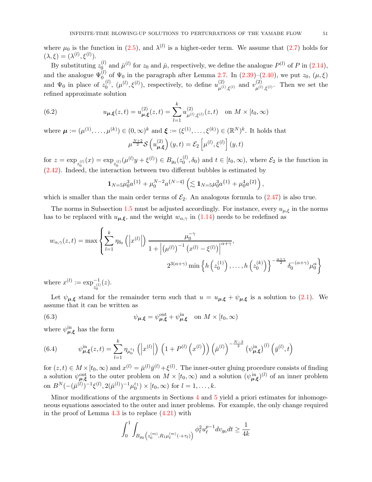where  $\mu_0$  is the function in [\(2.5\)](#page-8-2), and  $\lambda^{(l)}$  is a higher-order term. We assume that [\(2.7\)](#page-8-5) holds for  $(\lambda,\xi)=(\lambda^{(l)},\xi^{(l)}).$ 

By substituting  $z_0^{(l)}$  $\bar{\mu}^{(l)}$  and  $\bar{\mu}^{(l)}$  for  $z_0$  and  $\bar{\mu}$ , respectively, we define the analogue  $P^{(l)}$  of P in  $(2.14)$ , and the analogue  $\Psi_0^{(l)}$  of  $\Psi_0$  in the paragraph after Lemma [2.7.](#page-14-5) In [\(2.39\)](#page-15-0)–[\(2.40\)](#page-15-1), we put  $z_0$ , ( $\mu$ ,  $\xi$ ) and  $\Psi_0$  in place of  $z_0^{(l)}$  $\mathbf{u}_{0}^{(l)}$ ,  $(\mu^{(l)}, \xi^{(l)})$ , respectively, to define  $u_{\mu^{(l)}}^{(2)}$ (2)  $\mu^{(l)}, \xi^{(l)}$  and  $v_{\mu^{(l)}}^{(2)}$  $\mu^{(2)}_{\mu^{(l)}, \xi^{(l)}}$ . Then we set the refined approximate solution

<span id="page-50-0"></span>(6.2) 
$$
u_{\mu,\xi}(z,t) = u_{\mu,\xi}^{(2)}(z,t) = \sum_{l=1}^{k} u_{\mu^{(l)},\xi^{(l)}}^{(2)}(z,t) \text{ on } M \times [t_0,\infty)
$$

where 
$$
\mu := (\mu^{(1)}, \dots, \mu^{(k)}) \in (0, \infty)^k
$$
 and  $\xi := (\xi^{(1)}, \dots, \xi^{(k)}) \in (\mathbb{R}^N)^k$ . It holds that  

$$
\mu^{\frac{N+2}{2}} \mathcal{S}\left(u_{\mu,\xi}^{(2)}\right)(y,t) = \mathcal{E}_2\left[\mu^{(l)}, \xi^{(l)}\right](y,t)
$$

for  $z = \exp_{z_0^{(l)}}(x) = \exp_{z_0^{(l)}}(\mu^{(l)}y + \xi^{(l)}) \in B_{g_0}(z_0^{(l)})$  $\delta_0^{(t)}, \delta_0$  and  $t \in [t_0, \infty)$ , where  $\mathcal{E}_2$  is the function in [\(2.42\)](#page-15-3). Indeed, the interaction between two different bubbles is estimated by

$$
\mathbf{1}_{N=5}\mu_0^3 a^{\{1\}} + \mu_0^{N-2} a^{\{N-4\}} \left( \lesssim \mathbf{1}_{N=5}\mu_0^3 a^{\{1\}} + \mu_0^4 a^{\{2\}} \right),
$$

which is smaller than the main order terms of  $\mathcal{E}_2$ . An analogous formula to  $(2.47)$  is also true.

The norms in Subsection [1.5](#page-5-0) must be adjusted accordingly. For instance, every  $u_{\mu,\xi}$  in the norms has to be replaced with  $u_{\mu,\xi}$ , and the weight  $w_{\alpha,\gamma}$  in [\(1.14\)](#page-6-4) needs to be redefined as

$$
w_{\alpha,\gamma}(z,t) = \max \left\{ \sum_{l=1}^{k} \eta_{\delta_0} \left( \left| x^{(l)} \right| \right) \frac{\mu_0^{-\gamma}}{1 + \left| (\mu^{(l)})^{-1} (x^{(l)} - \xi^{(l)}) \right|^{\alpha + \gamma}}, \right. \newline 2^{3(\alpha + \gamma)} \min \left\{ h \left( z_0^{(1)} \right), \dots, h \left( z_0^{(k)} \right) \right\}^{-\frac{\alpha + \gamma}{2}} \delta_0^{-(\alpha + \gamma)} \mu_0^{\alpha} \right\}
$$

where  $x^{(l)} := \exp_{z_0^{(l)}}^{-1}$ (z).

Let  $\psi_{\mu,\xi}$  stand for the remainder term such that  $u = u_{\mu,\xi} + \psi_{\mu,\xi}$  is a solution to [\(2.1\)](#page-8-3). We assume that it can be written as

<span id="page-50-1"></span>(6.3) 
$$
\psi_{\mu,\xi} = \psi_{\mu,\xi}^{\text{out}} + \psi_{\mu,\xi}^{\text{in}} \quad \text{on } M \times [t_0,\infty)
$$

where  $\psi^{\text{in}}_{\mu,\xi}$  has the form

<span id="page-50-2"></span>(6.4) 
$$
\psi_{\mu,\xi}^{\text{in}}(z,t) = \sum_{l=1}^{k} \eta_{\mu_{0}^{\varepsilon_{1}}} \left( \left| x^{(l)} \right| \right) \left( 1 + P^{(l)} \left( x^{(l)} \right) \right) \left( \bar{\mu}^{(l)} \right)^{-\frac{N-2}{2}} \left( \psi_{\mu,\xi}^{\text{in}} \right)^{(l)} \left( \bar{y}^{(l)},t \right)
$$

for  $(z, t) \in M \times [t_0, \infty)$  and  $x^{(l)} = \bar{\mu}^{(l)} \bar{y}^{(l)} + \xi^{(l)}$ . The inner-outer gluing procedure consists of finding a solution  $\psi_{\mu,\xi}^{\text{out}}$  to the outer problem on  $M \times [t_0,\infty)$  and a solution  $(\psi_{\mu,\xi}^{\text{in}})^{(l)}$  of an inner problem on  $B^{N}(-(\bar{\mu}^{(l)})^{-1}\xi^{(l)}, 2(\bar{\mu}^{(l)})^{-1}\mu_{0}^{\varepsilon_{1}}) \times [t_{0}, \infty)$  for  $l = 1, ..., k$ .

Minor modifications of the arguments in Sections [4](#page-18-1) and [5](#page-36-0) yield a priori estimates for inhomogeneous equations associated to the outer and inner problems. For example, the only change required in the proof of Lemma  $4.3$  is to replace  $(4.21)$  with

$$
\int_0^1 \int_{B_{g_0}\left(z_0^{(m)}, R_1 \mu_\ell^{(m)}(z+\tau_\ell)\right)} \phi_\ell^2 u_\ell^{p-1} dv_{g_0} dt \ge \frac{1}{4k}
$$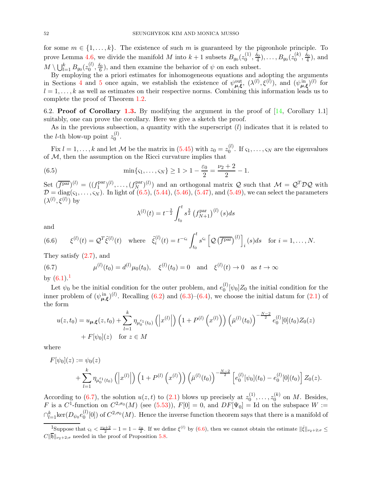for some  $m \in \{1, \ldots, k\}$ . The existence of such m is guaranteed by the pigeonhole principle. To prove Lemma [4.6,](#page-25-2) we divide the manifold M into  $k+1$  subsets  $B_{g_0}(z_0^{(1)})$  $\binom{(1)}{0}, \frac{\delta_0}{4}, \ldots, B_{g_0}(z_0^{(k)})$  $\frac{\delta_0}{0}, \frac{\delta_0}{4}$ , and  $M\setminus \bigcup_{l=1}^k B_{g_0}(z_0^{(l)})$  $\binom{0}{0}, \frac{\delta_0}{6}$ , and then examine the behavior of  $\psi$  on each subset.

By employing the a priori estimates for inhomogeneous equations and adopting the arguments in Sections [4](#page-18-1) and [5](#page-36-0) once again, we establish the existence of  $\psi_{\mu,\xi}^{\text{out}}, (\lambda^{(l)},\xi^{(l)})$ , and  $(\psi_{\mu,\xi}^{\text{in}})^{(l)}$  for  $l = 1, \ldots, k$  as well as estimates on their respective norms. Combining this information leads us to complete the proof of Theorem [1.2.](#page-2-0)

<span id="page-51-0"></span>6.2. **Proof of Corollary [1.3.](#page-2-2)** By modifying the argument in the proof of  $[14, \text{ Corollary } 1.1]$ suitably, one can prove the corollary. Here we give a sketch the proof.

As in the previous subsection, a quantity with the superscript  $(l)$  indicates that it is related to the *l*-th blow-up point  $z_0^{(l)}$  $\stackrel{(t)}{0}$ .

Fix  $l = 1, ..., k$  and let M be the matrix in [\(5.45\)](#page-46-3) with  $z_0 = z_0^{(l)}$  $\int_0^{(l)}$ . If  $\varsigma_1, \ldots, \varsigma_N$  are the eigenvalues of  $M$ , then the assumption on the Ricci curvature implies that

(6.5) 
$$
\min\{\varsigma_1,\ldots,\varsigma_N\} \ge 1 > 1 - \frac{\varepsilon_0}{2} = \frac{\nu_2 + 2}{2} - 1.
$$

Set  $(\overline{f^{par}})^{(l)} = ((f_1^{par})$  $(f_N^{\text{par}})^{(l)}, \ldots, (f_N^{\text{par}})$  $(N(N-1))$  and an orthogonal matrix Q such that  $\mathcal{M} = \mathcal{Q}^T \mathcal{D} \mathcal{Q}$  with  $\mathcal{D} = \text{diag}(\varsigma_1, \ldots, \varsigma_N)$ . In light of [\(6.5\)](#page-51-1), [\(5.44\)](#page-45-5), [\(5.46\)](#page-46-0), [\(5.47\)](#page-46-4), and [\(5.49\)](#page-46-1), we can select the parameters  $(\lambda^{(l)}, \xi^{(l)})$  by

<span id="page-51-1"></span>
$$
\lambda^{(l)}(t) = t^{-\frac{3}{2}} \int_{t_0}^t s^{\frac{3}{2}} (f_{N+1}^{\text{par}})^{(l)}(s) ds
$$

and

<span id="page-51-4"></span>(6.6) 
$$
\xi^{(l)}(t) = \mathcal{Q}^T \tilde{\xi}^{(l)}(t) \quad \text{where} \quad \tilde{\xi}_i^{(l)}(t) = t^{-\varsigma_i} \int_{t_0}^t s^{\varsigma_i} \left[ \mathcal{Q} \left( \overline{f^{\text{par}}} \right)^{(l)} \right]_i (s) ds \quad \text{for } i = 1, \dots, N.
$$

They satisfy [\(2.7\)](#page-8-5), and

<span id="page-51-3"></span>(6.7) 
$$
\mu^{(l)}(t_0) = d^{(l)}\mu_0(t_0), \quad \xi^{(l)}(t_0) = 0 \quad \text{and} \quad \xi^{(l)}(t) \to 0 \quad \text{as } t \to \infty
$$

by  $(6.1).$  $(6.1).$  $(6.1).$ <sup>1</sup>

Let  $\psi_0$  be the initial condition for the outer problem, and  $e_0^{(l)}$  $\int_0^{(t)} [\psi_0] Z_0$  the initial condition for the inner problem of  $(\psi_{\mu,\xi}^{\text{in}})^{(l)}$ . Recalling [\(6.2\)](#page-50-0) and [\(6.3\)](#page-50-1)–[\(6.4\)](#page-50-2), we choose the initial datum for [\(2.1\)](#page-8-3) of the form

$$
u(z, t_0) = u_{\mu, \xi}(z, t_0) + \sum_{l=1}^{k} \eta_{\mu_0^{\varepsilon_1}(t_0)} \left( \left| x^{(l)} \right| \right) \left( 1 + P^{(l)} \left( x^{(l)} \right) \right) \left( \bar{\mu}^{(l)}(t_0) \right)^{-\frac{N-2}{2}} e_0^{(l)}[0](t_0) Z_0(z)
$$
  
+  $F[\psi_0](z)$  for  $z \in M$ 

where

$$
F[\psi_0](z) := \psi_0(z)
$$
  
+ 
$$
\sum_{l=1}^k \eta_{\mu_0^{s_1}(t_0)} \left( \left| x^{(l)} \right| \right) \left( 1 + P^{(l)} \left( x^{(l)} \right) \right) \left( \bar{\mu}^{(l)}(t_0) \right)^{-\frac{N-2}{2}} \left[ e_0^{(l)}[\psi_0](t_0) - e_0^{(l)}[0](t_0) \right] Z_0(z).
$$

According to [\(6.7\)](#page-51-3), the solution  $u(z,t)$  to [\(2.1\)](#page-8-3) blows up precisely at  $z_0^{(1)}$  $z_0^{(1)}, \ldots, z_0^{(k)}$  $\int_0^{(\kappa)}$  on M. Besides, F is a C<sup>1</sup>-function on  $C^{2,\sigma_0}(M)$  (see [\(5.53\)](#page-47-6)),  $F[0] = 0$ , and  $DF[\Psi_0] =$  Id on the subspace  $W :=$  $\cap_{l=1}^k {\rm ker} (D_{\psi_0}e_0^{(l)})$  $\binom{0}{0}$  of  $C^{2,\sigma_0}(M)$ . Hence the inverse function theorem says that there is a manifold of

<span id="page-51-2"></span><sup>&</sup>lt;sup>1</sup>Suppose that  $\varsigma_1 < \frac{\nu_2+2}{2} - 1 = 1 - \frac{\varepsilon_0}{2}$ . If we define  $\xi^{(l)}$  by [\(6.6\)](#page-51-4), then we cannot obtain the estimate  $\|\xi\|_{\nu_2+2,\sigma} \leq$  $C\|\overline{\mathfrak{h}}\|_{\nu_2+2;\sigma}$  needed in the proof of Proposition [5.8.](#page-45-4)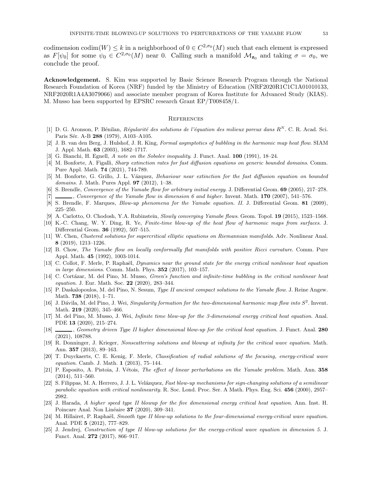codimension codim $(W) \leq k$  in a neighborhood of  $0 \in C^{2,\sigma_0}(M)$  such that each element is expressed as  $F[\psi_0]$  for some  $\psi_0 \in C^{2,\sigma_0}(M)$  near 0. Calling such a manifold  $\mathcal{M}_{\mathbf{z}_0}$  and taking  $\sigma = \sigma_0$ , we conclude the proof.

Acknowledgement. S. Kim was supported by Basic Science Research Program through the National Research Foundation of Korea (NRF) funded by the Ministry of Education (NRF2020R1C1C1A01010133, NRF2020R1A4A3079066) and associate member program of Korea Institute for Advanced Study (KIAS). M. Musso has been supported by EPSRC research Grant EP/T008458/1.

#### **REFERENCES**

- <span id="page-52-23"></span>[1] D. G. Aronson, P. Bénilan, Régularité des solutions de l'équation des milieux poreux dans  $R^N$ . C. R. Acad. Sci. Paris Sér. A-B 288 (1979), A103-A105.
- <span id="page-52-15"></span>[2] J. B. van den Berg, J. Hulshof, J. R. King, Formal asymptotics of bubbling in the harmonic map heat flow. SIAM J. Appl. Math. 63 (2003), 1682–1717.
- <span id="page-52-24"></span><span id="page-52-22"></span>[3] G. Bianchi, H. Egnell, A note on the Sobolev inequality. J. Funct. Anal. 100 (1991), 18–24.
- [4] M. Bonforte, A. Figalli, Sharp extinction rates for fast diffusion equations on generic bounded domains. Comm. Pure Appl. Math. 74 (2021), 744-789.
- <span id="page-52-21"></span>[5] M. Bonforte, G. Grillo, J. L. Vázquez, Behaviour near extinction for the fast diffusion equation on bounded domains. J. Math. Pures Appl. 97 (2012), 1–38.
- <span id="page-52-2"></span><span id="page-52-1"></span>[6] S. Brendle, Convergence of the Yamabe flow for arbitrary initial energy. J. Differential Geom. 69 (2005), 217–278.
- <span id="page-52-5"></span> $[7]$  , Convergence of the Yamabe flow in dimension 6 and higher. Invent. Math. 170 (2007), 541–576.
- <span id="page-52-3"></span>[8] S. Brendle, F. Marques, Blow-up phenomena for the Yamabe equation. II. J. Differential Geom. 81 (2009), 225–250.
- <span id="page-52-14"></span>[9] A. Carlotto, O. Chodosh, Y.A. Rubinstein, Slowly converging Yamabe flows. Geom. Topol. 19 (2015), 1523–1568.
- [10] K.-C. Chang, W. Y. Ding, R. Ye, Finite-time blow-up of the heat flow of harmonic maps from surfaces. J. Differential Geom. 36 (1992), 507–515.
- <span id="page-52-6"></span>[11] W. Chen, Clustered solutions for supercritical elliptic equations on Riemannian manifolds. Adv. Nonlinear Anal. 8 (2019), 1213–1226.
- <span id="page-52-0"></span>[12] B. Chow, The Yamabe flow on locally conformally flat manifolds with positive Ricci curvature. Comm. Pure Appl. Math. 45 (1992), 1003-1014.
- <span id="page-52-9"></span>[13] C. Collot, F. Merle, P. Raphaël, Dynamics near the ground state for the energy critical nonlinear heat equation in large dimensions. Comm. Math. Phys.  $352$  (2017), 103-157.
- <span id="page-52-10"></span>[14] C. Cortázar, M. del Pino, M. Musso, *Green's function and infinite-time bubbling in the critical nonlinear heat* equation. J. Eur. Math. Soc. 22 (2020), 283-344.
- <span id="page-52-7"></span>[15] P. Daskalopoulos, M. del Pino, N. Sesum, Type II ancient compact solutions to the Yamabe flow. J. Reine Angew. Math. 738 (2018), 1–71.
- <span id="page-52-16"></span>[16] J. Dávila, M. del Pino, J. Wei, Singularity formation for the two-dimensional harmonic map flow into  $S^2$ . Invent. Math. **219** (2020), 345-466.
- <span id="page-52-11"></span>[17] M. del Pino, M. Musso, J. Wei, Infinite time blow-up for the 3-dimensional energy critical heat equation. Anal. PDE 13 (2020), 215–274.
- <span id="page-52-13"></span>[18] , Geometry driven Type II higher dimensional blow-up for the critical heat equation. J. Funct. Anal. 280 (2021), 108788.
- <span id="page-52-18"></span>[19] R. Donninger, J. Krieger, Nonscattering solutions and blowup at infinity for the critical wave equation. Math. Ann. 357 (2013), 89–163.
- <span id="page-52-19"></span>[20] T. Duyckaerts, C. E. Kenig, F. Merle, Classification of radial solutions of the focusing, energy-critical wave equation. Camb. J. Math. 1 (2013), 75–144.
- <span id="page-52-4"></span>[21] P. Esposito, A. Pistoia, J. Vétois, *The effect of linear perturbations on the Yamabe problem*. Math. Ann. 358 (2014), 511–560.
- <span id="page-52-8"></span>[22] S. Filippas, M. A. Herrero, J. J. L. Velázquez, Fast blow-up mechanisms for sign-changing solutions of a semilinear parabolic equation with critical nonlinearity. R. Soc. Lond. Proc. Ser. A Math. Phys. Eng. Sci. 456 (2000), 2957– 2982.
- <span id="page-52-12"></span>[23] J. Harada, A higher speed type II blowup for the five dimensional energy critical heat equation. Ann. Inst. H. Poincare Anal. Non Linéaire **37** (2020), 309–341.
- <span id="page-52-17"></span>[24] M. Hillairet, P. Raphaël, Smooth type II blow-up solutions to the four-dimensional energy-critical wave equation. Anal. PDE 5 (2012), 777–829.
- <span id="page-52-20"></span>[25] J. Jendrej, Construction of type II blow-up solutions for the energy-critical wave equation in dimension 5. J. Funct. Anal. 272 (2017), 866–917.